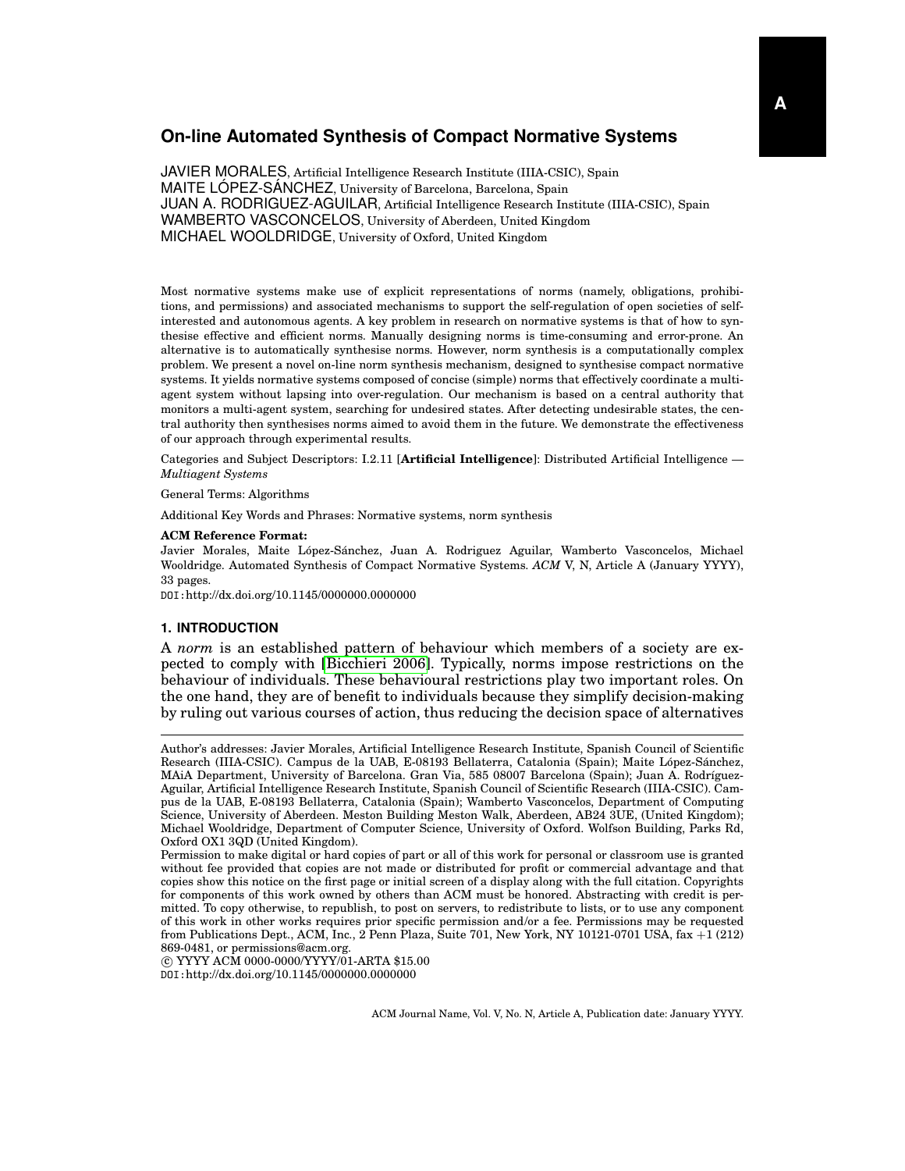JAVIER MORALES, Artificial Intelligence Research Institute (IIIA-CSIC), Spain MAITE LOPEZ-SANCHEZ, University of Barcelona, Barcelona, Spain JUAN A. RODRIGUEZ-AGUILAR, Artificial Intelligence Research Institute (IIIA-CSIC), Spain WAMBERTO VASCONCELOS, University of Aberdeen, United Kingdom MICHAEL WOOLDRIDGE, University of Oxford, United Kingdom

Most normative systems make use of explicit representations of norms (namely, obligations, prohibitions, and permissions) and associated mechanisms to support the self-regulation of open societies of selfinterested and autonomous agents. A key problem in research on normative systems is that of how to synthesise effective and efficient norms. Manually designing norms is time-consuming and error-prone. An alternative is to automatically synthesise norms. However, norm synthesis is a computationally complex problem. We present a novel on-line norm synthesis mechanism, designed to synthesise compact normative systems. It yields normative systems composed of concise (simple) norms that effectively coordinate a multiagent system without lapsing into over-regulation. Our mechanism is based on a central authority that monitors a multi-agent system, searching for undesired states. After detecting undesirable states, the central authority then synthesises norms aimed to avoid them in the future. We demonstrate the effectiveness of our approach through experimental results.

Categories and Subject Descriptors: I.2.11 [**Artificial Intelligence**]: Distributed Artificial Intelligence — *Multiagent Systems*

General Terms: Algorithms

Additional Key Words and Phrases: Normative systems, norm synthesis

### **ACM Reference Format:**

Javier Morales, Maite López-Sánchez, Juan A. Rodriguez Aguilar, Wamberto Vasconcelos, Michael Wooldridge. Automated Synthesis of Compact Normative Systems. *ACM* V, N, Article A (January YYYY), 33 pages.

DOI:http://dx.doi.org/10.1145/0000000.0000000

### **1. INTRODUCTION**

A *norm* is an established pattern of behaviour which members of a society are expected to comply with [\[Bicchieri 2006\]](#page-31-0). Typically, norms impose restrictions on the behaviour of individuals. These behavioural restrictions play two important roles. On the one hand, they are of benefit to individuals because they simplify decision-making by ruling out various courses of action, thus reducing the decision space of alternatives

 c YYYY ACM 0000-0000/YYYY/01-ARTA \$15.00 DOI:http://dx.doi.org/10.1145/0000000.0000000

Author's addresses: Javier Morales, Artificial Intelligence Research Institute, Spanish Council of Scientific Research (IIIA-CSIC). Campus de la UAB, E-08193 Bellaterra, Catalonia (Spain); Maite López-Sánchez, MAIA Department, University of Barcelona. Gran Via, 585 08007 Barcelona (Spain); Juan A. Rodríguez-Aguilar, Artificial Intelligence Research Institute, Spanish Council of Scientific Research (IIIA-CSIC). Campus de la UAB, E-08193 Bellaterra, Catalonia (Spain); Wamberto Vasconcelos, Department of Computing Science, University of Aberdeen. Meston Building Meston Walk, Aberdeen, AB24 3UE, (United Kingdom); Michael Wooldridge, Department of Computer Science, University of Oxford. Wolfson Building, Parks Rd, Oxford OX1 3QD (United Kingdom).

Permission to make digital or hard copies of part or all of this work for personal or classroom use is granted without fee provided that copies are not made or distributed for profit or commercial advantage and that copies show this notice on the first page or initial screen of a display along with the full citation. Copyrights for components of this work owned by others than ACM must be honored. Abstracting with credit is permitted. To copy otherwise, to republish, to post on servers, to redistribute to lists, or to use any component of this work in other works requires prior specific permission and/or a fee. Permissions may be requested from Publications Dept., ACM, Inc., 2 Penn Plaza, Suite 701, New York, NY 10121-0701 USA, fax +1 (212) 869-0481, or permissions@acm.org.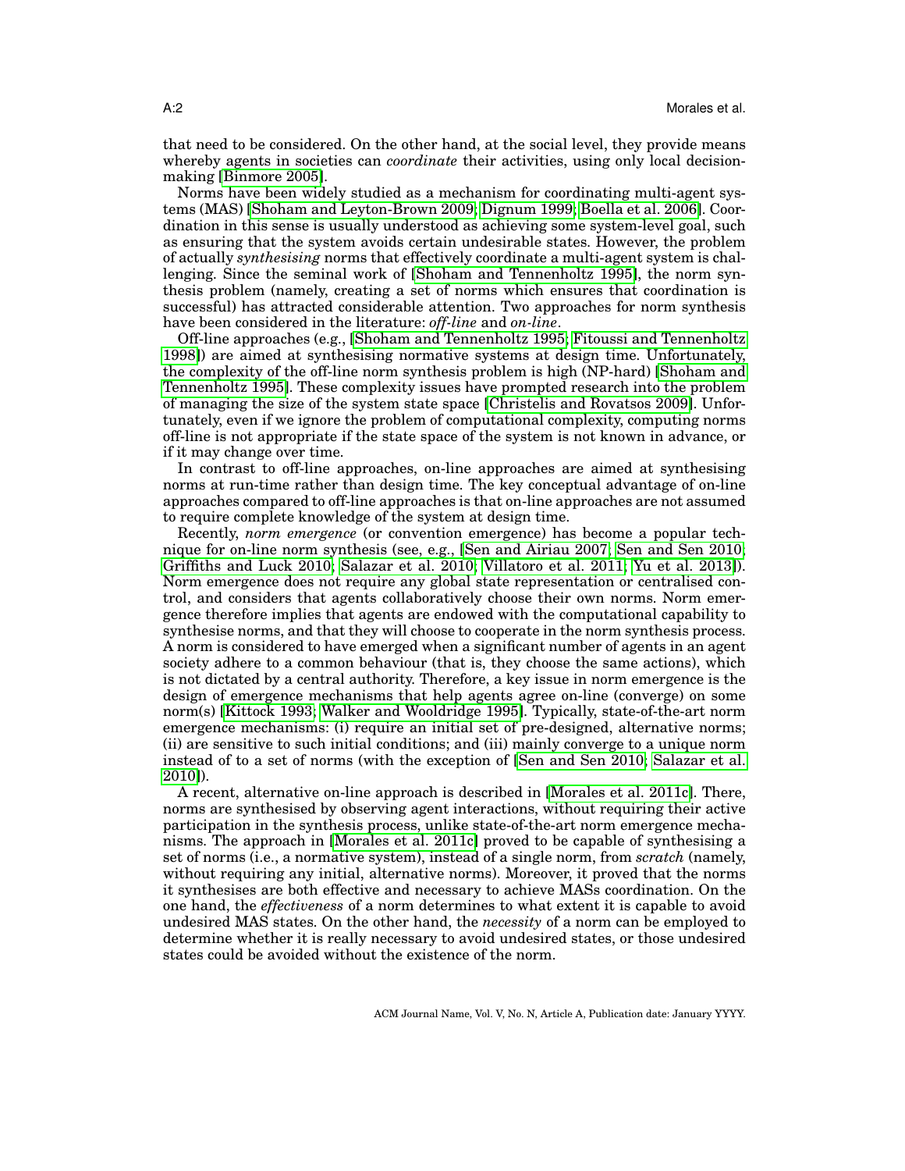that need to be considered. On the other hand, at the social level, they provide means whereby agents in societies can *coordinate* their activities, using only local decisionmaking [\[Binmore 2005\]](#page-31-1).

Norms have been widely studied as a mechanism for coordinating multi-agent systems (MAS) [\[Shoham and Leyton-Brown 2009;](#page-32-0) [Dignum 1999;](#page-31-2) [Boella et al. 2006\]](#page-31-3). Coordination in this sense is usually understood as achieving some system-level goal, such as ensuring that the system avoids certain undesirable states. However, the problem of actually *synthesising* norms that effectively coordinate a multi-agent system is challenging. Since the seminal work of [\[Shoham and Tennenholtz 1995\]](#page-32-1), the norm synthesis problem (namely, creating a set of norms which ensures that coordination is successful) has attracted considerable attention. Two approaches for norm synthesis have been considered in the literature: *off-line* and *on-line*.

Off-line approaches (e.g., [\[Shoham and Tennenholtz 1995;](#page-32-1) [Fitoussi and Tennenholtz](#page-31-4) [1998\]](#page-31-4)) are aimed at synthesising normative systems at design time. Unfortunately, the complexity of the off-line norm synthesis problem is high (NP-hard) [\[Shoham and](#page-32-1) [Tennenholtz 1995\]](#page-32-1). These complexity issues have prompted research into the problem of managing the size of the system state space [\[Christelis and Rovatsos 2009\]](#page-31-5). Unfortunately, even if we ignore the problem of computational complexity, computing norms off-line is not appropriate if the state space of the system is not known in advance, or if it may change over time.

In contrast to off-line approaches, on-line approaches are aimed at synthesising norms at run-time rather than design time. The key conceptual advantage of on-line approaches compared to off-line approaches is that on-line approaches are not assumed to require complete knowledge of the system at design time.

Recently, *norm emergence* (or convention emergence) has become a popular technique for on-line norm synthesis (see, e.g., [\[Sen and Airiau 2007;](#page-32-2) [Sen and Sen 2010;](#page-32-3) [Griffiths and Luck 2010;](#page-32-4) [Salazar et al. 2010;](#page-32-5) [Villatoro et al. 2011;](#page-32-6) [Yu et al. 2013\]](#page-32-7)). Norm emergence does not require any global state representation or centralised control, and considers that agents collaboratively choose their own norms. Norm emergence therefore implies that agents are endowed with the computational capability to synthesise norms, and that they will choose to cooperate in the norm synthesis process. A norm is considered to have emerged when a significant number of agents in an agent society adhere to a common behaviour (that is, they choose the same actions), which is not dictated by a central authority. Therefore, a key issue in norm emergence is the design of emergence mechanisms that help agents agree on-line (converge) on some norm(s) [\[Kittock 1993;](#page-32-8) [Walker and Wooldridge 1995\]](#page-32-9). Typically, state-of-the-art norm emergence mechanisms: (i) require an initial set of pre-designed, alternative norms; (ii) are sensitive to such initial conditions; and (iii) mainly converge to a unique norm instead of to a set of norms (with the exception of [\[Sen and Sen 2010;](#page-32-3) [Salazar et al.](#page-32-5) [2010\]](#page-32-5)).

A recent, alternative on-line approach is described in [\[Morales et al. 2011c\]](#page-32-10). There, norms are synthesised by observing agent interactions, without requiring their active participation in the synthesis process, unlike state-of-the-art norm emergence mechanisms. The approach in [\[Morales et al. 2011c\]](#page-32-10) proved to be capable of synthesising a set of norms (i.e., a normative system), instead of a single norm, from *scratch* (namely, without requiring any initial, alternative norms). Moreover, it proved that the norms it synthesises are both effective and necessary to achieve MASs coordination. On the one hand, the *effectiveness* of a norm determines to what extent it is capable to avoid undesired MAS states. On the other hand, the *necessity* of a norm can be employed to determine whether it is really necessary to avoid undesired states, or those undesired states could be avoided without the existence of the norm.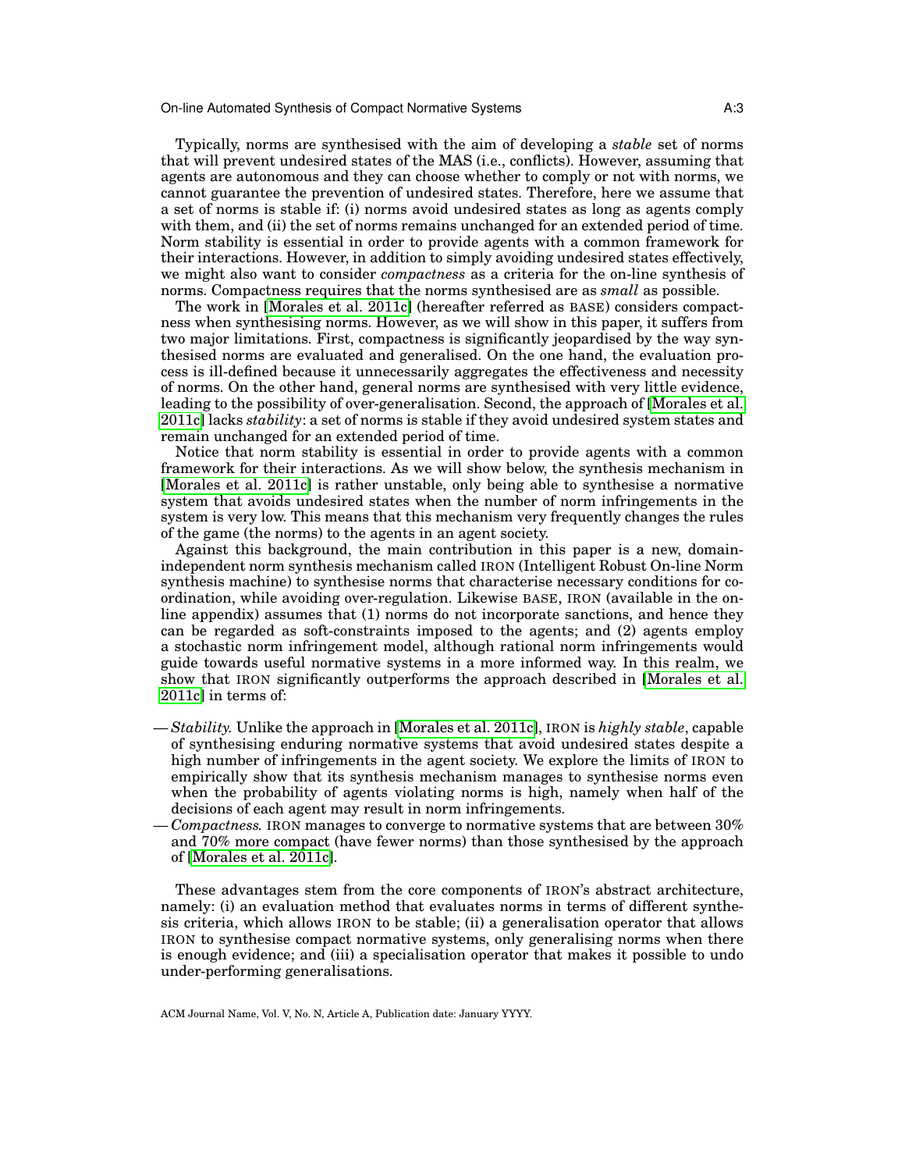Typically, norms are synthesised with the aim of developing a *stable* set of norms that will prevent undesired states of the MAS (i.e., conflicts). However, assuming that agents are autonomous and they can choose whether to comply or not with norms, we cannot guarantee the prevention of undesired states. Therefore, here we assume that a set of norms is stable if: (i) norms avoid undesired states as long as agents comply with them, and (ii) the set of norms remains unchanged for an extended period of time. Norm stability is essential in order to provide agents with a common framework for their interactions. However, in addition to simply avoiding undesired states effectively, we might also want to consider *compactness* as a criteria for the on-line synthesis of norms. Compactness requires that the norms synthesised are as *small* as possible.

The work in [\[Morales et al. 2011c\]](#page-32-10) (hereafter referred as BASE) considers compactness when synthesising norms. However, as we will show in this paper, it suffers from two major limitations. First, compactness is significantly jeopardised by the way synthesised norms are evaluated and generalised. On the one hand, the evaluation process is ill-defined because it unnecessarily aggregates the effectiveness and necessity of norms. On the other hand, general norms are synthesised with very little evidence, leading to the possibility of over-generalisation. Second, the approach of [\[Morales et al.](#page-32-10) [2011c\]](#page-32-10) lacks *stability*: a set of norms is stable if they avoid undesired system states and remain unchanged for an extended period of time.

Notice that norm stability is essential in order to provide agents with a common framework for their interactions. As we will show below, the synthesis mechanism in [\[Morales et al. 2011c\]](#page-32-10) is rather unstable, only being able to synthesise a normative system that avoids undesired states when the number of norm infringements in the system is very low. This means that this mechanism very frequently changes the rules of the game (the norms) to the agents in an agent society.

Against this background, the main contribution in this paper is a new, domainindependent norm synthesis mechanism called IRON (Intelligent Robust On-line Norm synthesis machine) to synthesise norms that characterise necessary conditions for coordination, while avoiding over-regulation. Likewise BASE, IRON (available in the online appendix) assumes that (1) norms do not incorporate sanctions, and hence they can be regarded as soft-constraints imposed to the agents; and (2) agents employ a stochastic norm infringement model, although rational norm infringements would guide towards useful normative systems in a more informed way. In this realm, we show that IRON significantly outperforms the approach described in [\[Morales et al.](#page-32-10) [2011c\]](#page-32-10) in terms of:

- *Stability.* Unlike the approach in [\[Morales et al. 2011c\]](#page-32-10), IRON is *highly stable*, capable of synthesising enduring normative systems that avoid undesired states despite a high number of infringements in the agent society. We explore the limits of IRON to empirically show that its synthesis mechanism manages to synthesise norms even when the probability of agents violating norms is high, namely when half of the decisions of each agent may result in norm infringements.
- *Compactness.* IRON manages to converge to normative systems that are between 30% and 70% more compact (have fewer norms) than those synthesised by the approach of [\[Morales et al. 2011c\]](#page-32-10).

These advantages stem from the core components of IRON's abstract architecture, namely: (i) an evaluation method that evaluates norms in terms of different synthesis criteria, which allows IRON to be stable; (ii) a generalisation operator that allows IRON to synthesise compact normative systems, only generalising norms when there is enough evidence; and (iii) a specialisation operator that makes it possible to undo under-performing generalisations.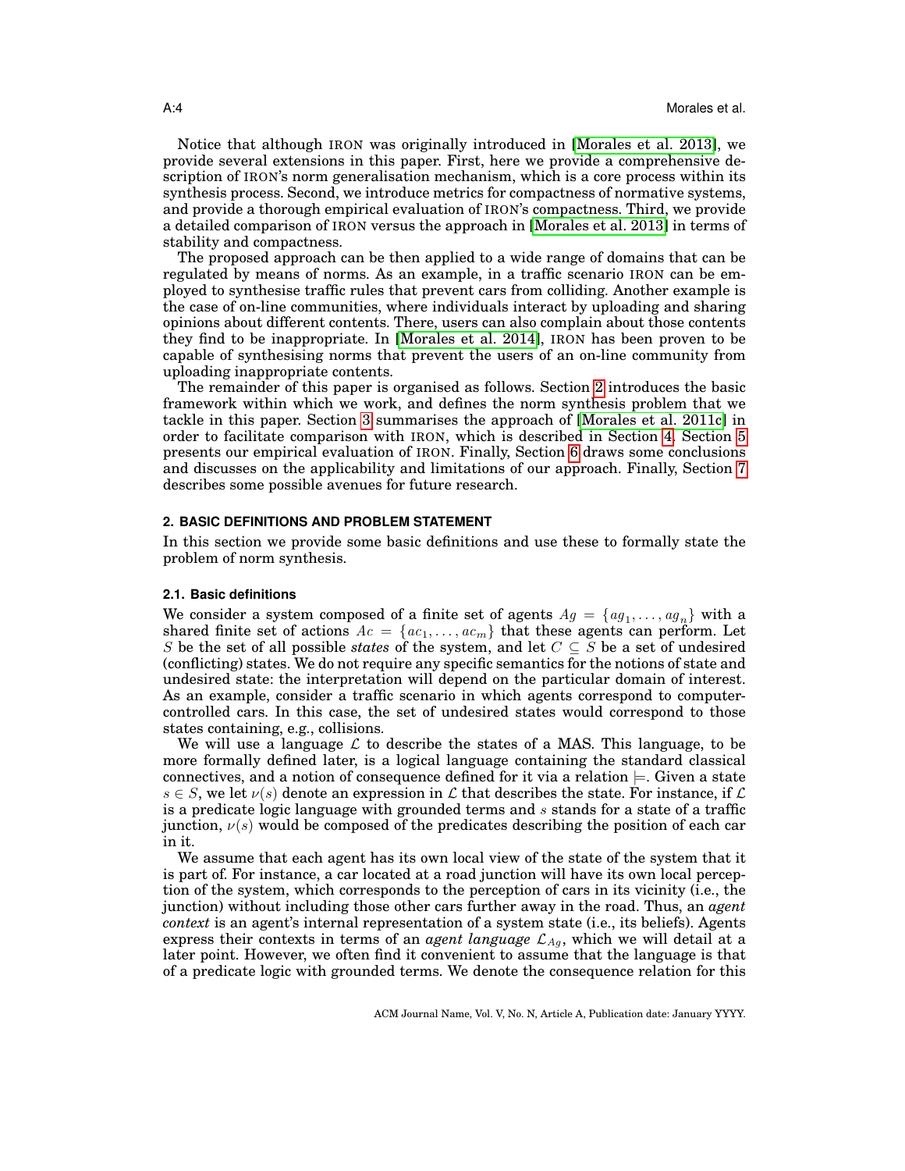Notice that although IRON was originally introduced in [\[Morales et al. 2013\]](#page-32-11), we provide several extensions in this paper. First, here we provide a comprehensive description of IRON's norm generalisation mechanism, which is a core process within its synthesis process. Second, we introduce metrics for compactness of normative systems, and provide a thorough empirical evaluation of IRON's compactness. Third, we provide a detailed comparison of IRON versus the approach in [\[Morales et al. 2013\]](#page-32-11) in terms of stability and compactness.

The proposed approach can be then applied to a wide range of domains that can be regulated by means of norms. As an example, in a traffic scenario IRON can be employed to synthesise traffic rules that prevent cars from colliding. Another example is the case of on-line communities, where individuals interact by uploading and sharing opinions about different contents. There, users can also complain about those contents they find to be inappropriate. In [\[Morales et al. 2014\]](#page-32-12), IRON has been proven to be capable of synthesising norms that prevent the users of an on-line community from uploading inappropriate contents.

The remainder of this paper is organised as follows. Section [2](#page-3-0) introduces the basic framework within which we work, and defines the norm synthesis problem that we tackle in this paper. Section [3](#page-7-0) summarises the approach of [\[Morales et al. 2011c\]](#page-32-10) in order to facilitate comparison with IRON, which is described in Section [4.](#page-9-0) Section [5](#page-22-0) presents our empirical evaluation of IRON. Finally, Section [6](#page-29-0) draws some conclusions and discusses on the applicability and limitations of our approach. Finally, Section [7](#page-30-0) describes some possible avenues for future research.

### <span id="page-3-0"></span>**2. BASIC DEFINITIONS AND PROBLEM STATEMENT**

In this section we provide some basic definitions and use these to formally state the problem of norm synthesis.

### **2.1. Basic definitions**

We consider a system composed of a finite set of agents  $Ag = \{ag_1, \ldots, ag_n\}$  with a shared finite set of actions  $Ac = \{ac_1, \ldots, ac_m\}$  that these agents can perform. Let S be the set of all possible *states* of the system, and let  $C \subseteq S$  be a set of undesired (conflicting) states. We do not require any specific semantics for the notions of state and undesired state: the interpretation will depend on the particular domain of interest. As an example, consider a traffic scenario in which agents correspond to computercontrolled cars. In this case, the set of undesired states would correspond to those states containing, e.g., collisions.

We will use a language  $\mathcal L$  to describe the states of a MAS. This language, to be more formally defined later, is a logical language containing the standard classical connectives, and a notion of consequence defined for it via a relation  $\models$ . Given a state  $s \in S$ , we let  $\nu(s)$  denote an expression in L that describes the state. For instance, if L is a predicate logic language with grounded terms and  $s$  stands for a state of a traffic junction,  $\nu(s)$  would be composed of the predicates describing the position of each car in it.

We assume that each agent has its own local view of the state of the system that it is part of. For instance, a car located at a road junction will have its own local perception of the system, which corresponds to the perception of cars in its vicinity (i.e., the junction) without including those other cars further away in the road. Thus, an *agent context* is an agent's internal representation of a system state (i.e., its beliefs). Agents express their contexts in terms of an *agent language*  $\mathcal{L}_{Aq}$ , which we will detail at a later point. However, we often find it convenient to assume that the language is that of a predicate logic with grounded terms. We denote the consequence relation for this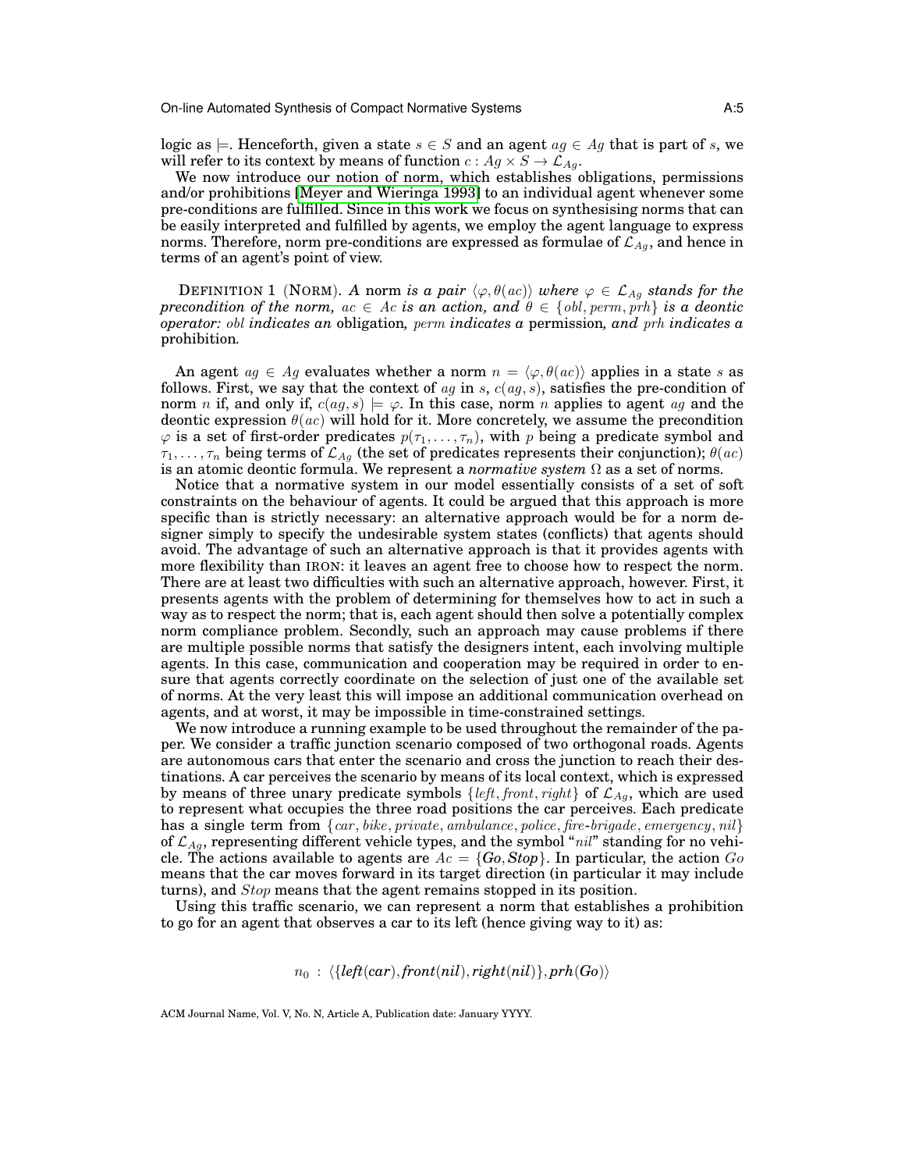logic as  $\models$ . Henceforth, given a state  $s \in S$  and an agent  $ag \in Ag$  that is part of s, we will refer to its context by means of function  $c : Ag \times S \rightarrow \mathcal{L}_{Ag}$ .

We now introduce our notion of norm, which establishes obligations, permissions and/or prohibitions [\[Meyer and Wieringa 1993\]](#page-32-13) to an individual agent whenever some pre-conditions are fulfilled. Since in this work we focus on synthesising norms that can be easily interpreted and fulfilled by agents, we employ the agent language to express norms. Therefore, norm pre-conditions are expressed as formulae of  $\mathcal{L}_{Ag}$ , and hence in terms of an agent's point of view.

<span id="page-4-0"></span>**DEFINITION 1** (NORM). A norm is a pair  $\langle \varphi, \theta(ac) \rangle$  where  $\varphi \in \mathcal{L}_{Ag}$  stands for the *precondition of the norm,*  $ac \in Ac$  *is an action, and*  $\theta \in \{obl, perm, prh\}$  *is a deontic operator:* obl *indicates an* obligation*,* perm *indicates a* permission*, and* prh *indicates a* prohibition*.*

An agent  $ag \in Ag$  evaluates whether a norm  $n = \langle \varphi, \theta(ac) \rangle$  applies in a state s as follows. First, we say that the context of ag in s,  $c(ag, s)$ , satisfies the pre-condition of norm n if, and only if,  $c(ag, s) \models \varphi$ . In this case, norm n applies to agent ag and the deontic expression  $\theta(ac)$  will hold for it. More concretely, we assume the precondition  $\varphi$  is a set of first-order predicates  $p(\tau_1, \ldots, \tau_n)$ , with p being a predicate symbol and  $\tau_1, \ldots, \tau_n$  being terms of  $\mathcal{L}_{Ag}$  (the set of predicates represents their conjunction);  $\theta(ac)$ is an atomic deontic formula. We represent a *normative system* Ω as a set of norms.

Notice that a normative system in our model essentially consists of a set of soft constraints on the behaviour of agents. It could be argued that this approach is more specific than is strictly necessary: an alternative approach would be for a norm designer simply to specify the undesirable system states (conflicts) that agents should avoid. The advantage of such an alternative approach is that it provides agents with more flexibility than IRON: it leaves an agent free to choose how to respect the norm. There are at least two difficulties with such an alternative approach, however. First, it presents agents with the problem of determining for themselves how to act in such a way as to respect the norm; that is, each agent should then solve a potentially complex norm compliance problem. Secondly, such an approach may cause problems if there are multiple possible norms that satisfy the designers intent, each involving multiple agents. In this case, communication and cooperation may be required in order to ensure that agents correctly coordinate on the selection of just one of the available set of norms. At the very least this will impose an additional communication overhead on agents, and at worst, it may be impossible in time-constrained settings.

We now introduce a running example to be used throughout the remainder of the paper. We consider a traffic junction scenario composed of two orthogonal roads. Agents are autonomous cars that enter the scenario and cross the junction to reach their destinations. A car perceives the scenario by means of its local context, which is expressed by means of three unary predicate symbols  $\{left, front, right\}$  of  $\mathcal{L}_{Ag}$ , which are used to represent what occupies the three road positions the car perceives. Each predicate has a single term from  $\{car, bike, private, amplitude, policy, fire-bridge, emergency, nil\}$ of  $\mathcal{L}_{Ag}$ , representing different vehicle types, and the symbol "nil" standing for no vehicle. The actions available to agents are  $Ac = \{Go, Stop\}$ . In particular, the action  $Go$ means that the car moves forward in its target direction (in particular it may include turns), and Stop means that the agent remains stopped in its position.

Using this traffic scenario, we can represent a norm that establishes a prohibition to go for an agent that observes a car to its left (hence giving way to it) as:

$$
n_0: \langle \{left(car\right), front(nil), right(nil)\}, prh(Go) \rangle
$$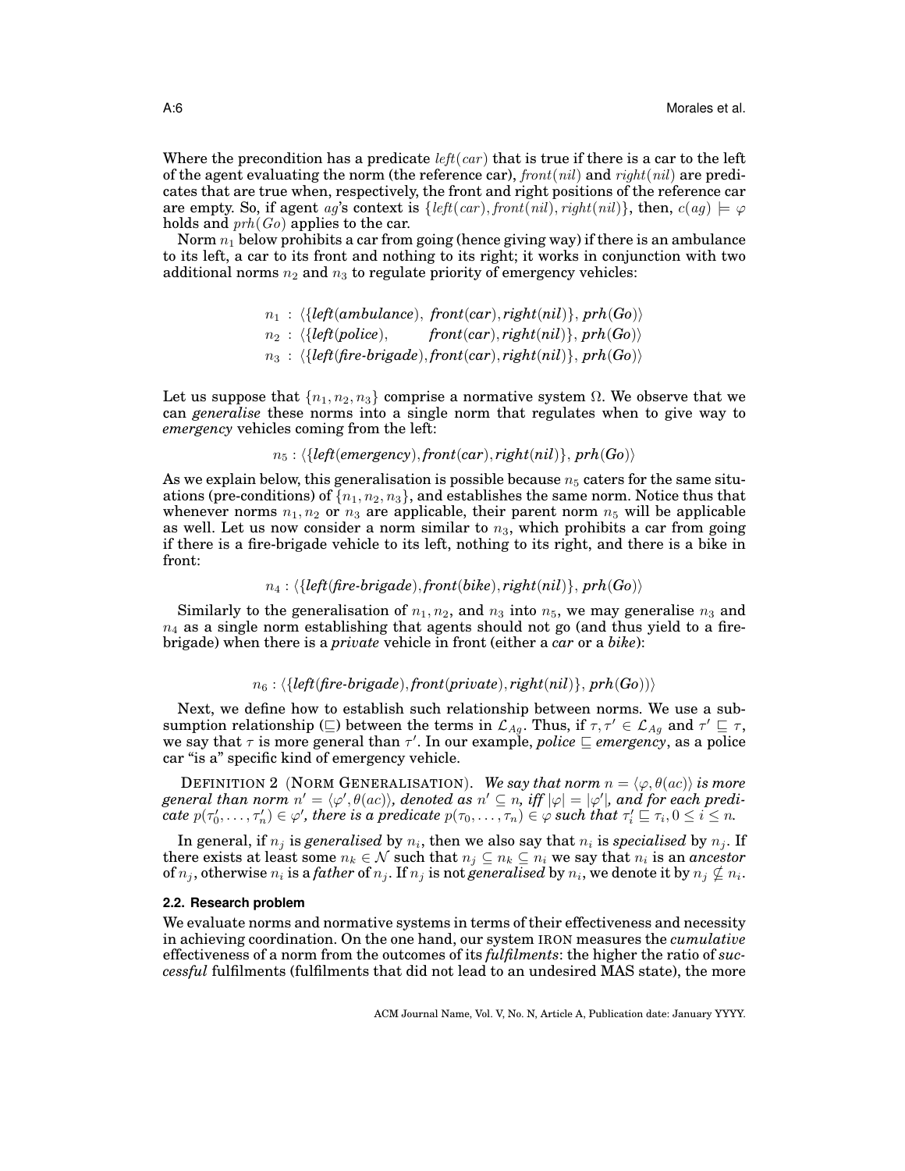Where the precondition has a predicate left(car) that is true if there is a car to the left of the agent evaluating the norm (the reference car),  $front(nil)$  and  $right(nil)$  are predicates that are true when, respectively, the front and right positions of the reference car are empty. So, if agent ag's context is  $\{left( left(car) , front(nil) , right(nil) \}$ , then,  $c(ag) \models \varphi$ holds and  $prh(Go)$  applies to the car.

Norm  $n_1$  below prohibits a car from going (hence giving way) if there is an ambulance to its left, a car to its front and nothing to its right; it works in conjunction with two additional norms  $n_2$  and  $n_3$  to regulate priority of emergency vehicles:

```
n_1 : \{left{left(ambulance\right), front(car), right(nil)\}, prh(Go)\}n_2 : \langle \{left( 0 \right) \rangle front(car), right(nil)}, prh(Go)<sup>{o</sup>)</sub>
n_3: \langle \{ \textit{left}(\textit{fire-brigade}), \textit{front}(\textit{car}), \textit{right}(\textit{nil}) \}, \textit{prh}(\textit{Go}) \rangle
```
Let us suppose that  $\{n_1, n_2, n_3\}$  comprise a normative system  $\Omega$ . We observe that we can *generalise* these norms into a single norm that regulates when to give way to *emergency* vehicles coming from the left:

```
n_5: \langle \{left( (emergency), front(car), right(nil)}, prh(Go))
```
As we explain below, this generalisation is possible because  $n_5$  caters for the same situations (pre-conditions) of  $\{n_1, n_2, n_3\}$ , and establishes the same norm. Notice thus that whenever norms  $n_1, n_2$  or  $n_3$  are applicable, their parent norm  $n_5$  will be applicable as well. Let us now consider a norm similar to  $n_3$ , which prohibits a car from going if there is a fire-brigade vehicle to its left, nothing to its right, and there is a bike in front:

 $n_4$ :  $\langle \{left$ *fre-brigade* $),$  *front*(*bike* $)$ , *right*(*nil* $)$ }, *prh*(*Go*))

Similarly to the generalisation of  $n_1, n_2$ , and  $n_3$  into  $n_5$ , we may generalise  $n_3$  and  $n_4$  as a single norm establishing that agents should not go (and thus yield to a firebrigade) when there is a *private* vehicle in front (either a *car* or a *bike*):

 $n_6$ :  $\{left{left($  $free\text{-}bridge\text{)},$   $front(private\text{)}, right(nil)\text{}, \text{prh}(Go)\text{)}$ 

Next, we define how to establish such relationship between norms. We use a subsumption relationship ( $\subseteq$ ) between the terms in  $\mathcal{L}_{Ag}$ . Thus, if  $\tau, \tau' \in \mathcal{L}_{Ag}$  and  $\tau' \subseteq \tau$ , we say that  $\tau$  is more general than  $\tau'$ . In our example, *police*  $\sqsubseteq$  *emergency*, as a police car "is a" specific kind of emergency vehicle.

DEFINITION 2 (NORM GENERALISATION). *We say that norm*  $n = \langle \varphi, \theta(ac) \rangle$  *is more*  $general~than~norm~n'=\langle \varphi', \theta(ac)\rangle,~denoted~as~n'\subseteq n,~iff|\varphi|=|\varphi'|,~and~for~each~predi \textit{cate}\ p(\tau_0',\ldots,\tau_n') \in \varphi',\ \textit{there}\ \textit{is a predicate}\ p(\tau_0,\ldots,\tau_n) \in \varphi\ \textit{such}\ \textit{that}\ \tau_i' \sqsubseteq \tau_i, 0 \leq i \leq n.$ 

In general, if  $n_j$  is *generalised* by  $n_i$ , then we also say that  $n_i$  is *specialised* by  $n_j$ . If there exists at least some  $n_k \in \mathcal{N}$  such that  $n_j \subseteq n_k \subseteq n_i$  we say that  $n_i$  is an *ancestor* of  $n_j$ , otherwise  $n_i$  is a *father* of  $n_j$ . If  $n_j$  is not *generalised* by  $n_i$ , we denote it by  $n_j \nsubseteq n_i$ .

### **2.2. Research problem**

We evaluate norms and normative systems in terms of their effectiveness and necessity in achieving coordination. On the one hand, our system IRON measures the *cumulative* effectiveness of a norm from the outcomes of its *fulfilments*: the higher the ratio of *successful* fulfilments (fulfilments that did not lead to an undesired MAS state), the more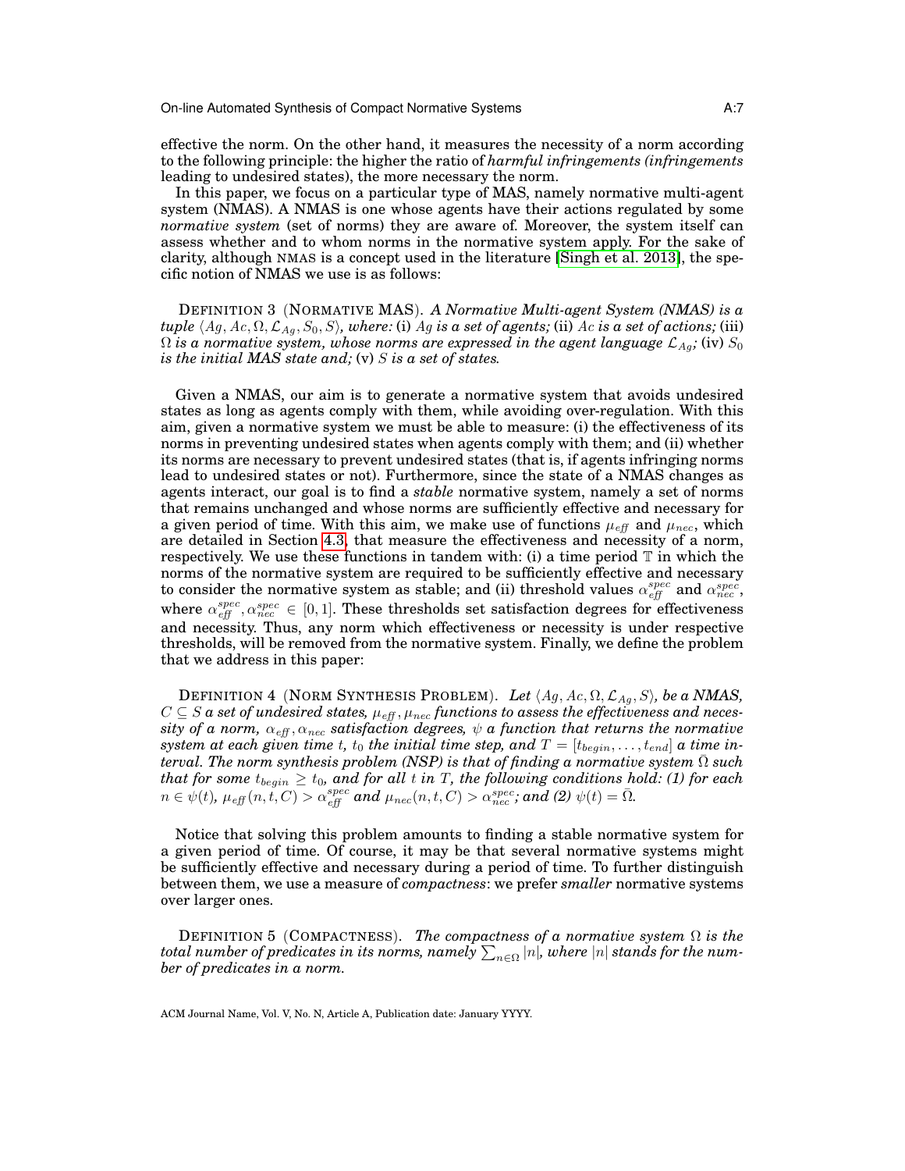effective the norm. On the other hand, it measures the necessity of a norm according to the following principle: the higher the ratio of *harmful infringements (infringements* leading to undesired states), the more necessary the norm.

In this paper, we focus on a particular type of MAS, namely normative multi-agent system (NMAS). A NMAS is one whose agents have their actions regulated by some *normative system* (set of norms) they are aware of. Moreover, the system itself can assess whether and to whom norms in the normative system apply. For the sake of clarity, although NMAS is a concept used in the literature [\[Singh et al. 2013\]](#page-32-14), the specific notion of NMAS we use is as follows:

DEFINITION 3 (NORMATIVE MAS). *A Normative Multi-agent System (NMAS) is a tuple*  $\langle Ag, Ac, \Omega, \mathcal{L}_{Ag}, S_0, S \rangle$ *, where:* (i) Ag *is a set of agents;* (ii) Ac *is a set of actions;* (iii)  $\Omega$  *is a normative system, whose norms are expressed in the agent language*  $\mathcal{L}_{Ag}$ ; (iv)  $S_0$ *is the initial MAS state and;* (v) S *is a set of states.*

Given a NMAS, our aim is to generate a normative system that avoids undesired states as long as agents comply with them, while avoiding over-regulation. With this aim, given a normative system we must be able to measure: (i) the effectiveness of its norms in preventing undesired states when agents comply with them; and (ii) whether its norms are necessary to prevent undesired states (that is, if agents infringing norms lead to undesired states or not). Furthermore, since the state of a NMAS changes as agents interact, our goal is to find a *stable* normative system, namely a set of norms that remains unchanged and whose norms are sufficiently effective and necessary for a given period of time. With this aim, we make use of functions  $\mu_{\text{eff}}$  and  $\mu_{\text{nec}}$ , which are detailed in Section [4.3,](#page-11-0) that measure the effectiveness and necessity of a norm, respectively. We use these functions in tandem with: (i) a time period  $\mathbb T$  in which the norms of the normative system are required to be sufficiently effective and necessary to consider the normative system as stable; and (ii) threshold values  $\alpha_{\text{eff}}^{spec}$  and  $\alpha_{\text{rec}}^{spec}$ , where  $\alpha_{\text{eff}}^{spec}$ ,  $\alpha_{\text{rec}}^{spec} \in [0, 1]$ . These thresholds set satisfaction degrees for effectiveness and necessity. Thus, any norm which effectiveness or necessity is under respective thresholds, will be removed from the normative system. Finally, we define the problem that we address in this paper:

<span id="page-6-0"></span>DEFINITION 4 (NORM SYNTHESIS PROBLEM). Let  $\langle Ag, Ac, \Omega, \mathcal{L}_{Aq}, S \rangle$ , be a *NMAS*,  $C \subseteq S$   $\bm{a}$  set of undesired states,  $\mu_{\text{eff}}$  ,  $\mu_{\text{nec}}$  functions to assess the effectiveness and neces $sity$  of a norm,  $\alpha_{\it eff}, \alpha_{\it nec}$  satisfaction degrees,  $\psi$  a function that returns the normative *system at each given time t,*  $t_0$  *the initial time step, and*  $T = [t_{begin}, \ldots, t_{end}]$  *a time interval. The norm synthesis problem (NSP) is that of finding a normative system*  $\overline{Ω}$  *such*  $t$ hat for some  $t_{begin} \geq t_0$ , and for all  $t$  in  $T$ , the following conditions hold: (1) for each  $n \in \psi(t)$ ,  $\mu_{\textit{eff}}(n, t, C) > \alpha_{\textit{eff}}^{spec}$  and  $\mu_{\textit{nec}}(n, t, C) > \alpha_{\textit{nec}}^{spec}$ ; and (2)  $\psi(t) = \bar{\Omega}$ .

Notice that solving this problem amounts to finding a stable normative system for a given period of time. Of course, it may be that several normative systems might be sufficiently effective and necessary during a period of time. To further distinguish between them, we use a measure of *compactness*: we prefer *smaller* normative systems over larger ones.

<span id="page-6-1"></span>DEFINITION 5 (COMPACTNESS). *The compactness of a normative system* Ω *is the*  $_{total}$   $_{number}$  of predicates in its norms,  $_{namely}$   $\sum_{n\in\Omega}|n|$ , where  $|n|$  stands for the num*ber of predicates in a norm.*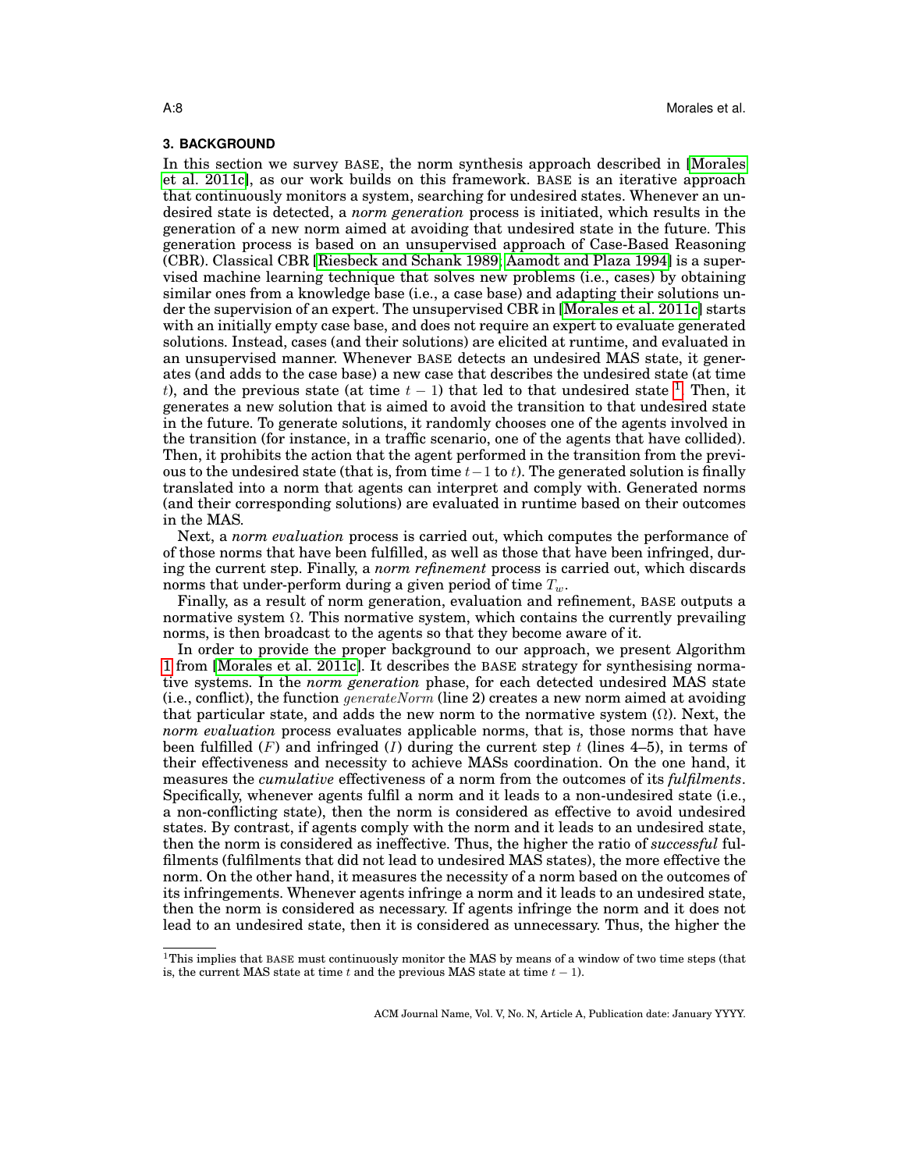## <span id="page-7-0"></span>**3. BACKGROUND**

In this section we survey BASE, the norm synthesis approach described in [\[Morales](#page-32-10) [et al. 2011c\]](#page-32-10), as our work builds on this framework. BASE is an iterative approach that continuously monitors a system, searching for undesired states. Whenever an undesired state is detected, a *norm generation* process is initiated, which results in the generation of a new norm aimed at avoiding that undesired state in the future. This generation process is based on an unsupervised approach of Case-Based Reasoning (CBR). Classical CBR [\[Riesbeck and Schank 1989;](#page-32-15) [Aamodt and Plaza 1994\]](#page-31-6) is a supervised machine learning technique that solves new problems (i.e., cases) by obtaining similar ones from a knowledge base (i.e., a case base) and adapting their solutions under the supervision of an expert. The unsupervised CBR in [\[Morales et al. 2011c\]](#page-32-10) starts with an initially empty case base, and does not require an expert to evaluate generated solutions. Instead, cases (and their solutions) are elicited at runtime, and evaluated in an unsupervised manner. Whenever BASE detects an undesired MAS state, it generates (and adds to the case base) a new case that describes the undesired state (at time t), and the previous state (at time  $t - 1$  $t - 1$ ) that led to that undesired state <sup>1</sup>. Then, it generates a new solution that is aimed to avoid the transition to that undesired state in the future. To generate solutions, it randomly chooses one of the agents involved in the transition (for instance, in a traffic scenario, one of the agents that have collided). Then, it prohibits the action that the agent performed in the transition from the previous to the undesired state (that is, from time  $t-1$  to t). The generated solution is finally translated into a norm that agents can interpret and comply with. Generated norms (and their corresponding solutions) are evaluated in runtime based on their outcomes in the MAS.

Next, a *norm evaluation* process is carried out, which computes the performance of of those norms that have been fulfilled, as well as those that have been infringed, during the current step. Finally, a *norm refinement* process is carried out, which discards norms that under-perform during a given period of time  $T_w$ .

Finally, as a result of norm generation, evaluation and refinement, BASE outputs a normative system  $\Omega$ . This normative system, which contains the currently prevailing norms, is then broadcast to the agents so that they become aware of it.

In order to provide the proper background to our approach, we present Algorithm [1](#page-8-0) from [\[Morales et al. 2011c\]](#page-32-10). It describes the BASE strategy for synthesising normative systems. In the *norm generation* phase, for each detected undesired MAS state (i.e., conflict), the function *generateNorm* (line 2) creates a new norm aimed at avoiding that particular state, and adds the new norm to the normative system  $(\Omega)$ . Next, the *norm evaluation* process evaluates applicable norms, that is, those norms that have been fulfilled  $(F)$  and infringed  $(I)$  during the current step t (lines 4–5), in terms of their effectiveness and necessity to achieve MASs coordination. On the one hand, it measures the *cumulative* effectiveness of a norm from the outcomes of its *fulfilments*. Specifically, whenever agents fulfil a norm and it leads to a non-undesired state (i.e., a non-conflicting state), then the norm is considered as effective to avoid undesired states. By contrast, if agents comply with the norm and it leads to an undesired state, then the norm is considered as ineffective. Thus, the higher the ratio of *successful* fulfilments (fulfilments that did not lead to undesired MAS states), the more effective the norm. On the other hand, it measures the necessity of a norm based on the outcomes of its infringements. Whenever agents infringe a norm and it leads to an undesired state, then the norm is considered as necessary. If agents infringe the norm and it does not lead to an undesired state, then it is considered as unnecessary. Thus, the higher the

<span id="page-7-1"></span> $1$ This implies that BASE must continuously monitor the MAS by means of a window of two time steps (that is, the current MAS state at time t and the previous MAS state at time  $t - 1$ ).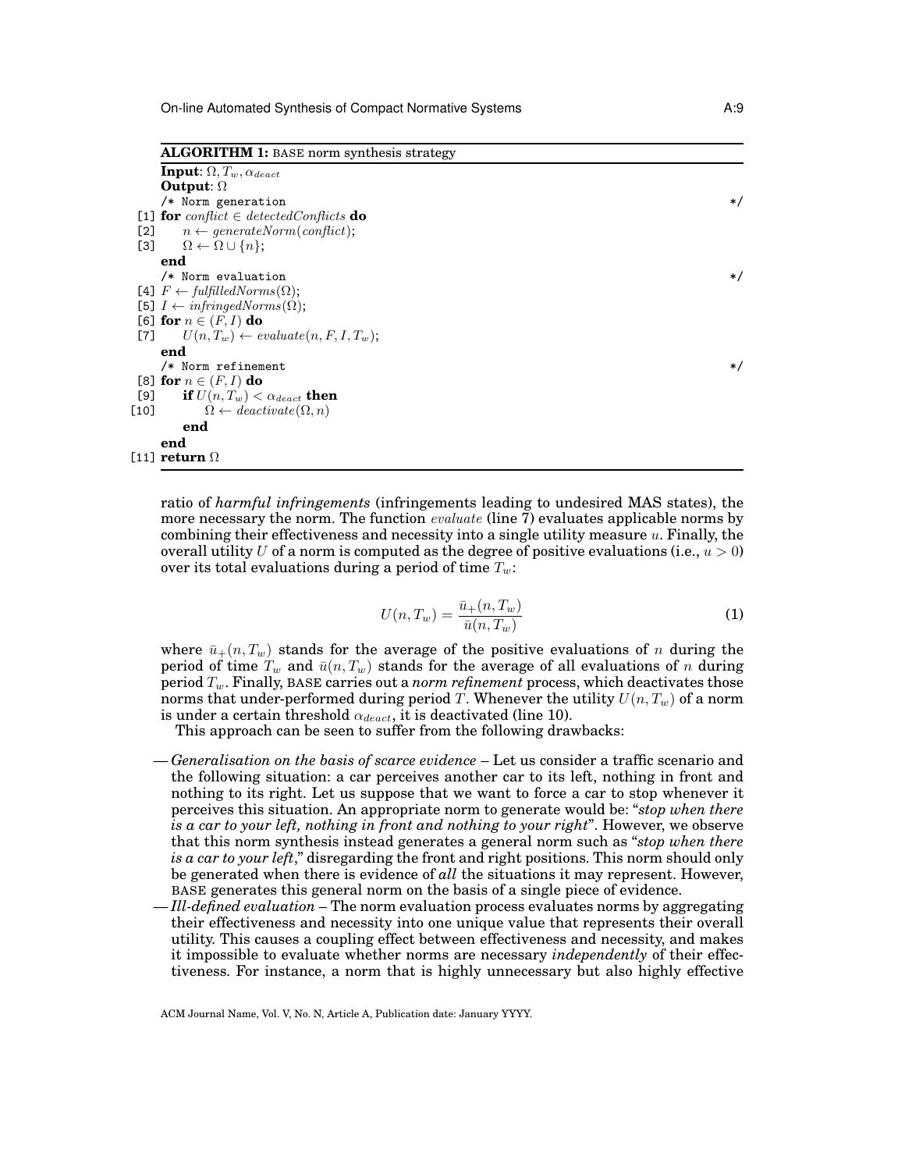**ALGORITHM 1:** BASE norm synthesis strategy

| <b>Input:</b> $\Omega, T_w, \alpha_{deact}$               |         |
|-----------------------------------------------------------|---------|
| Output: $\Omega$                                          |         |
| /* Norm generation                                        | $\ast/$ |
| [1] for conflict $\in$ detected Conflicts do              |         |
| $n \leftarrow generateNorm(conflict);$<br>[2]             |         |
| [3]<br>$\Omega \leftarrow \Omega \cup \{n\};$             |         |
| end                                                       |         |
| /* Norm evaluation                                        | $\ast/$ |
| [4] $F \leftarrow \text{fulfilledNorms}(\Omega);$         |         |
| [5] $I \leftarrow \text{infringedNorms}(\Omega)$ ;        |         |
| [6] for $n \in (F, I)$ do                                 |         |
| [7] $U(n, T_w) \leftarrow evaluate(n, F, I, T_w);$        |         |
| end                                                       |         |
| /* Norm refinement                                        | $\ast/$ |
| [8] for $n \in (F, I)$ do                                 |         |
| [9] if $U(n,T_w) < \alpha_{deact}$ then                   |         |
| $\Omega \leftarrow \text{deactiveate}(\Omega, n)$<br>[10] |         |
| end                                                       |         |
| end                                                       |         |
| [11] return $\Omega$                                      |         |

<span id="page-8-0"></span>ratio of *harmful infringements* (infringements leading to undesired MAS states), the more necessary the norm. The function *evaluate* (line 7) evaluates applicable norms by combining their effectiveness and necessity into a single utility measure u. Finally, the overall utility U of a norm is computed as the degree of positive evaluations (i.e.,  $u > 0$ ) over its total evaluations during a period of time  $T_w$ :

$$
U(n,T_w) = \frac{\bar{u}_+(n,T_w)}{\bar{u}(n,T_w)}
$$
\n<sup>(1)</sup>

where  $\bar{u}_+(n, T_w)$  stands for the average of the positive evaluations of n during the period of time  $T_w$  and  $\bar{u}(n, T_w)$  stands for the average of all evaluations of n during period Tw. Finally, BASE carries out a *norm refinement* process, which deactivates those norms that under-performed during period T. Whenever the utility  $U(n, T_w)$  of a norm is under a certain threshold  $\alpha_{deact}$ , it is deactivated (line 10).

This approach can be seen to suffer from the following drawbacks:

- *Generalisation on the basis of scarce evidence* Let us consider a traffic scenario and the following situation: a car perceives another car to its left, nothing in front and nothing to its right. Let us suppose that we want to force a car to stop whenever it perceives this situation. An appropriate norm to generate would be: "*stop when there is a car to your left, nothing in front and nothing to your right*". However, we observe that this norm synthesis instead generates a general norm such as "*stop when there is a car to your left*," disregarding the front and right positions. This norm should only be generated when there is evidence of *all* the situations it may represent. However, BASE generates this general norm on the basis of a single piece of evidence.
- *Ill-defined evaluation* The norm evaluation process evaluates norms by aggregating their effectiveness and necessity into one unique value that represents their overall utility. This causes a coupling effect between effectiveness and necessity, and makes it impossible to evaluate whether norms are necessary *independently* of their effectiveness. For instance, a norm that is highly unnecessary but also highly effective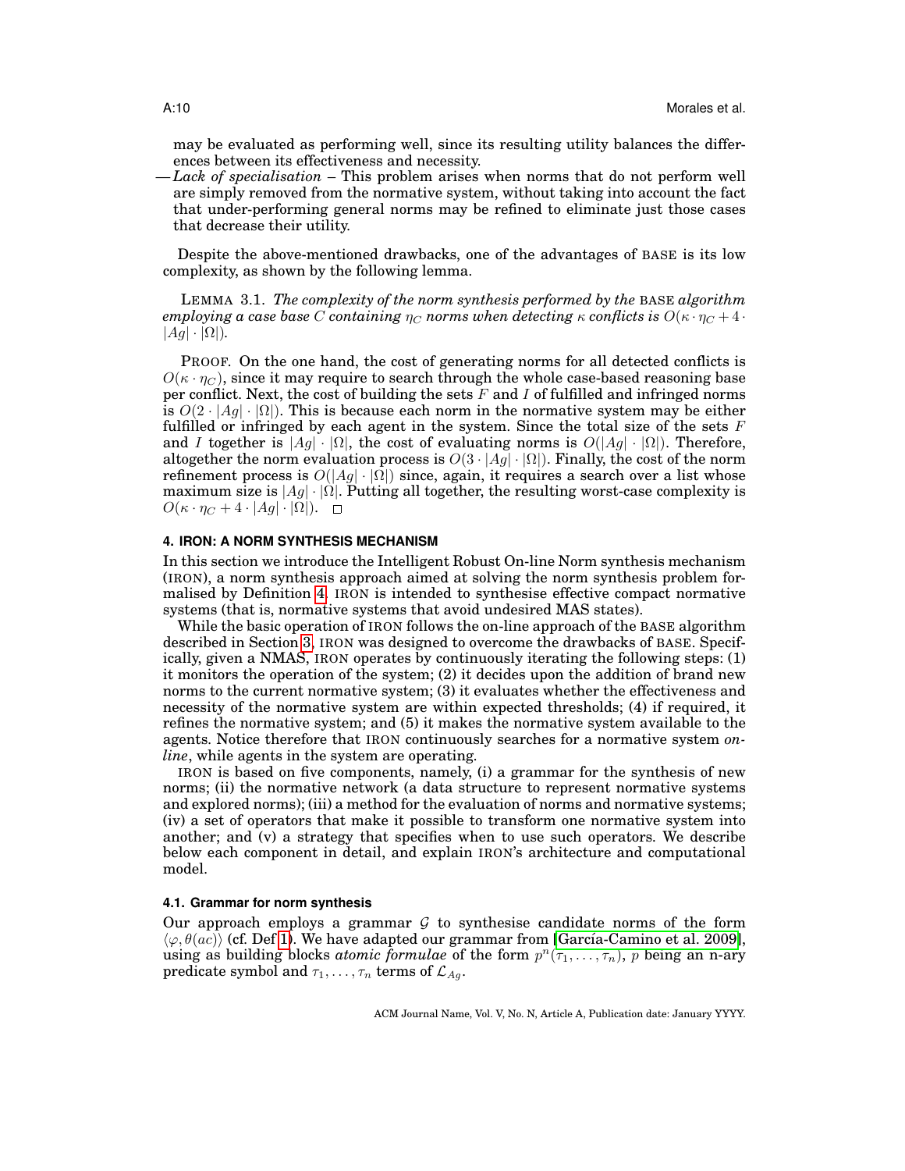may be evaluated as performing well, since its resulting utility balances the differences between its effectiveness and necessity.

— *Lack of specialisation* – This problem arises when norms that do not perform well are simply removed from the normative system, without taking into account the fact that under-performing general norms may be refined to eliminate just those cases that decrease their utility.

Despite the above-mentioned drawbacks, one of the advantages of BASE is its low complexity, as shown by the following lemma.

LEMMA 3.1. *The complexity of the norm synthesis performed by the* BASE *algorithm employing a case base* C *containing*  $\eta_C$  *norms when detecting*  $\kappa$  *conflicts is*  $O(\kappa \cdot \eta_C + 4 \cdot \tau_C)$  $|Ag| \cdot |\Omega|$ ).

PROOF. On the one hand, the cost of generating norms for all detected conflicts is  $O(\kappa \cdot \eta_C)$ , since it may require to search through the whole case-based reasoning base per conflict. Next, the cost of building the sets  $F$  and  $I$  of fulfilled and infringed norms is  $O(2 \cdot |Ag| \cdot |\Omega|)$ . This is because each norm in the normative system may be either fulfilled or infringed by each agent in the system. Since the total size of the sets  $F$ and I together is  $|Ag| \cdot |\Omega|$ , the cost of evaluating norms is  $O(|Ag| \cdot |\Omega|)$ . Therefore, altogether the norm evaluation process is  $O(3 \cdot |Ag| \cdot |\Omega|)$ . Finally, the cost of the norm refinement process is  $O(|Aq| \cdot |\Omega|)$  since, again, it requires a search over a list whose maximum size is  $|Ag| \cdot |\Omega|$ . Putting all together, the resulting worst-case complexity is  $O(\kappa \cdot \eta_C + 4 \cdot |Ag| \cdot |\Omega|)$ .  $\Box$ 

## <span id="page-9-0"></span>**4. IRON: A NORM SYNTHESIS MECHANISM**

In this section we introduce the Intelligent Robust On-line Norm synthesis mechanism (IRON), a norm synthesis approach aimed at solving the norm synthesis problem formalised by Definition [4.](#page-6-0) IRON is intended to synthesise effective compact normative systems (that is, normative systems that avoid undesired MAS states).

While the basic operation of IRON follows the on-line approach of the BASE algorithm described in Section [3,](#page-7-0) IRON was designed to overcome the drawbacks of BASE. Specifically, given a NMAS, IRON operates by continuously iterating the following steps: (1) it monitors the operation of the system; (2) it decides upon the addition of brand new norms to the current normative system; (3) it evaluates whether the effectiveness and necessity of the normative system are within expected thresholds; (4) if required, it refines the normative system; and (5) it makes the normative system available to the agents. Notice therefore that IRON continuously searches for a normative system *online*, while agents in the system are operating.

IRON is based on five components, namely, (i) a grammar for the synthesis of new norms; (ii) the normative network (a data structure to represent normative systems and explored norms); (iii) a method for the evaluation of norms and normative systems; (iv) a set of operators that make it possible to transform one normative system into another; and (v) a strategy that specifies when to use such operators. We describe below each component in detail, and explain IRON's architecture and computational model.

### <span id="page-9-1"></span>**4.1. Grammar for norm synthesis**

Our approach employs a grammar  $G$  to synthesise candidate norms of the form  $\langle \varphi, \theta(ac) \rangle$  (cf. Def [1\)](#page-4-0). We have adapted our grammar from [García-Camino et al. 2009], using as building blocks *atomic formulae* of the form  $p^n(\tau_1, \ldots, \tau_n)$ , p being an n-ary predicate symbol and  $\tau_1, \ldots, \tau_n$  terms of  $\mathcal{L}_{Ag}$ .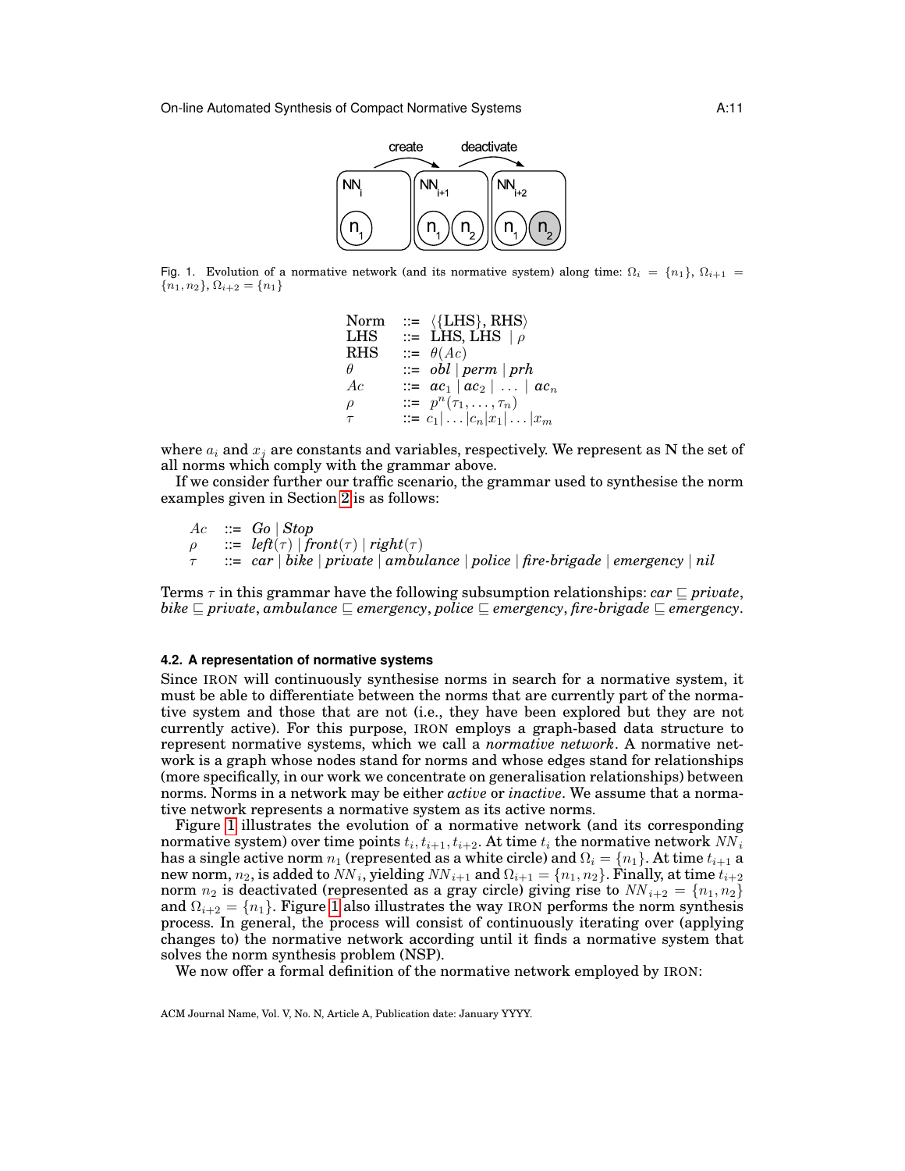

<span id="page-10-0"></span>Fig. 1. Evolution of a normative network (and its normative system) along time:  $\Omega_i = \{n_1\}, \Omega_{i+1} =$  ${n_1, n_2}, \Omega_{i+2} = {n_1}$ 

```
Norm ::= \langle{LHS}, RHS}<br>LHS ::= LHS, LHS \downarrow 0
LHS ::= LHS, LHS |\rho<br>RHS ::= \theta(Ac)\mathrel{::=} \theta(Ac)\theta ::= obl | perm | prh
Ac ::= ac_1 | ac_2 | ... | ac_n\rho ::= p^n(\tau_1, \ldots, \tau_n)\tau ::= c_1| ... |c_n|x_1| ... |x_m
```
where  $a_i$  and  $x_j$  are constants and variables, respectively. We represent as N the set of all norms which comply with the grammar above.

If we consider further our traffic scenario, the grammar used to synthesise the norm examples given in Section [2](#page-3-0) is as follows:

 $Ac$  ::=  $Go | Stop$  $\rho$  ::= *left*( $\tau$ ) | *front*( $\tau$ ) | *right*( $\tau$ ) τ ::= *car* | *bike* | *private* | *ambulance* | *police* | *fire-brigade* | *emergency* | *nil*

Terms  $\tau$  in this grammar have the following subsumption relationships: *car*  $\sqsubseteq$  *private*, *bike*  $\subseteq$  *private*, *ambulance*  $\subseteq$  *emergency*, *police*  $\subseteq$  *emergency*, *fire-brigade*  $\subseteq$  *emergency*.

## **4.2. A representation of normative systems**

Since IRON will continuously synthesise norms in search for a normative system, it must be able to differentiate between the norms that are currently part of the normative system and those that are not (i.e., they have been explored but they are not currently active). For this purpose, IRON employs a graph-based data structure to represent normative systems, which we call a *normative network*. A normative network is a graph whose nodes stand for norms and whose edges stand for relationships (more specifically, in our work we concentrate on generalisation relationships) between norms. Norms in a network may be either *active* or *inactive*. We assume that a normative network represents a normative system as its active norms.

Figure [1](#page-10-0) illustrates the evolution of a normative network (and its corresponding normative system) over time points  $t_i, t_{i+1}, t_{i+2}.$  At time  $t_i$  the normative network  $N\!N_i$ has a single active norm  $n_1$  (represented as a white circle) and  $\Omega_i = \{n_1\}$ . At time  $t_{i+1}$  a new norm,  $n_2$ , is added to  $NN_i$ , yielding  $NN_{i+1}$  and  $\Omega_{i+1}=\{n_1,n_2\}.$  Finally, at time  $t_{i+2}$ norm  $n_2$  is deactivated (represented as a gray circle) giving rise to  $NN_{i+2} = \{n_1, n_2\}$ and  $\Omega_{i+2} = \{n_1\}$ . Figure [1](#page-10-0) also illustrates the way IRON performs the norm synthesis process. In general, the process will consist of continuously iterating over (applying changes to) the normative network according until it finds a normative system that solves the norm synthesis problem (NSP).

We now offer a formal definition of the normative network employed by IRON: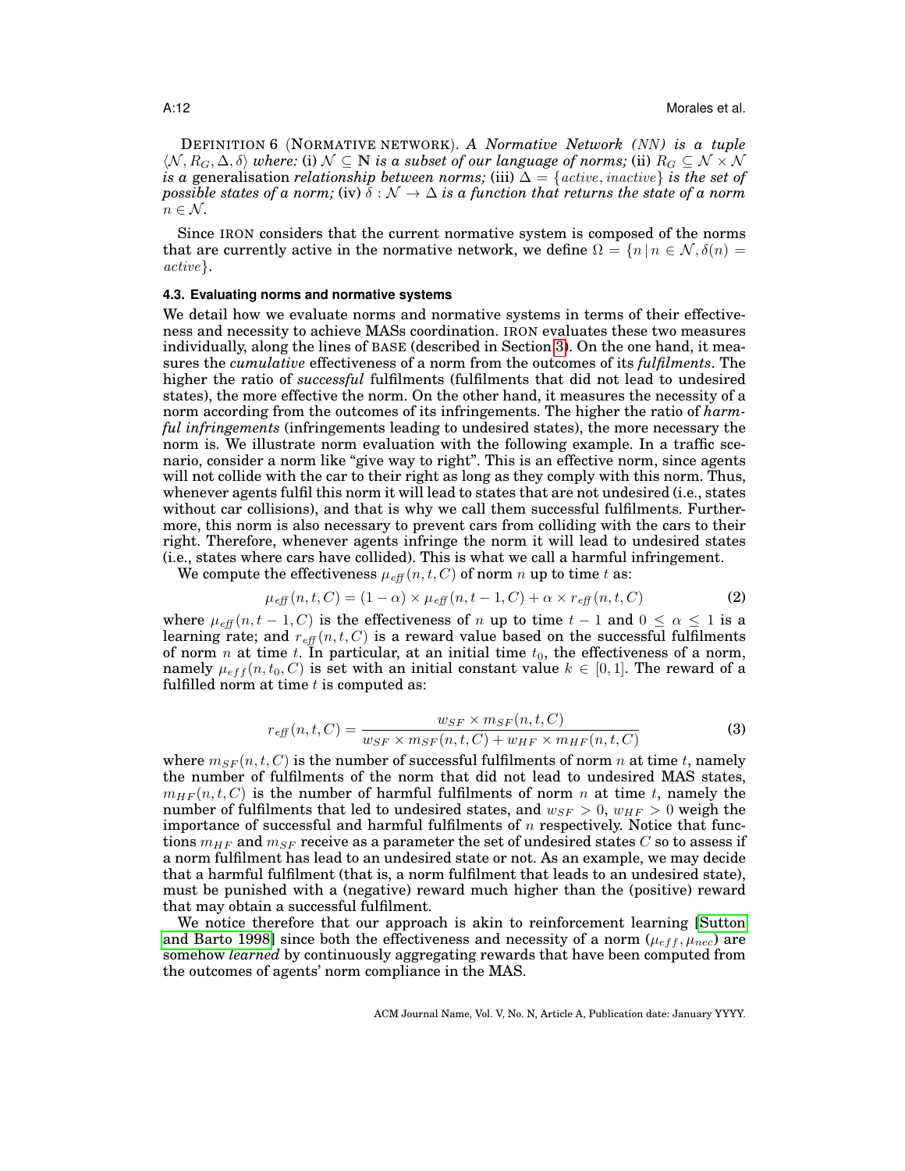DEFINITION 6 (NORMATIVE NETWORK). *A Normative Network (NN)* is a tuple  $\langle \mathcal{N}, R_G, \Delta, \delta \rangle$  *where:* (i)  $\mathcal{N} \subseteq \mathbb{N}$  *is a subset of our language of norms;* (ii)  $R_G \subseteq \mathcal{N} \times \mathcal{N}$ *is a* generalisation *relationship between norms;* (iii)  $\Delta = \{active, inactive\}$  *is the set of possible states of a norm;* (iv)  $\delta : \mathcal{N} \to \Delta$  *is a function that returns the state of a norm*  $n \in \mathcal{N}$ .

Since IRON considers that the current normative system is composed of the norms that are currently active in the normative network, we define  $\Omega = \{n | n \in \mathcal{N}, \delta(n) = \emptyset\}$ active}.

### <span id="page-11-0"></span>**4.3. Evaluating norms and normative systems**

We detail how we evaluate norms and normative systems in terms of their effectiveness and necessity to achieve MASs coordination. IRON evaluates these two measures individually, along the lines of BASE (described in Section [3\)](#page-7-0). On the one hand, it measures the *cumulative* effectiveness of a norm from the outcomes of its *fulfilments*. The higher the ratio of *successful* fulfilments (fulfilments that did not lead to undesired states), the more effective the norm. On the other hand, it measures the necessity of a norm according from the outcomes of its infringements. The higher the ratio of *harmful infringements* (infringements leading to undesired states), the more necessary the norm is. We illustrate norm evaluation with the following example. In a traffic scenario, consider a norm like "give way to right". This is an effective norm, since agents will not collide with the car to their right as long as they comply with this norm. Thus, whenever agents fulfil this norm it will lead to states that are not undesired (i.e., states without car collisions), and that is why we call them successful fulfilments. Furthermore, this norm is also necessary to prevent cars from colliding with the cars to their right. Therefore, whenever agents infringe the norm it will lead to undesired states (i.e., states where cars have collided). This is what we call a harmful infringement.

We compute the effectiveness  $\mu_{\text{eff}}(n, t, C)$  of norm n up to time t as:

<span id="page-11-1"></span>
$$
\mu_{\text{eff}}(n, t, C) = (1 - \alpha) \times \mu_{\text{eff}}(n, t - 1, C) + \alpha \times r_{\text{eff}}(n, t, C) \tag{2}
$$

where  $\mu_{eff}(n, t-1, C)$  is the effectiveness of n up to time  $t-1$  and  $0 \leq \alpha \leq 1$  is a learning rate; and  $r_{\text{eff}}(n, t, C)$  is a reward value based on the successful fulfilments of norm *n* at time *t*. In particular, at an initial time  $t_0$ , the effectiveness of a norm, namely  $\mu_{eff}(n, t_0, C)$  is set with an initial constant value  $k \in [0, 1]$ . The reward of a fulfilled norm at time  $t$  is computed as:

$$
r_{\text{eff}}(n, t, C) = \frac{w_{SF} \times m_{SF}(n, t, C)}{w_{SF} \times m_{SF}(n, t, C) + w_{HF} \times m_{HF}(n, t, C)}
$$
(3)

where  $m_{SF}(n, t, C)$  is the number of successful fulfilments of norm n at time t, namely the number of fulfilments of the norm that did not lead to undesired MAS states,  $m_{HF}(n, t, C)$  is the number of harmful fulfilments of norm n at time t, namely the number of fulfilments that led to undesired states, and  $w_{SF} > 0$ ,  $w_{HF} > 0$  weigh the importance of successful and harmful fulfilments of  $n$  respectively. Notice that functions  $m_{HF}$  and  $m_{SF}$  receive as a parameter the set of undesired states C so to assess if a norm fulfilment has lead to an undesired state or not. As an example, we may decide that a harmful fulfilment (that is, a norm fulfilment that leads to an undesired state), must be punished with a (negative) reward much higher than the (positive) reward that may obtain a successful fulfilment.

We notice therefore that our approach is akin to reinforcement learning [\[Sutton](#page-32-16) [and Barto 1998\]](#page-32-16) since both the effectiveness and necessity of a norm  $(\mu_{eff}, \mu_{rec})$  are somehow *learned* by continuously aggregating rewards that have been computed from the outcomes of agents' norm compliance in the MAS.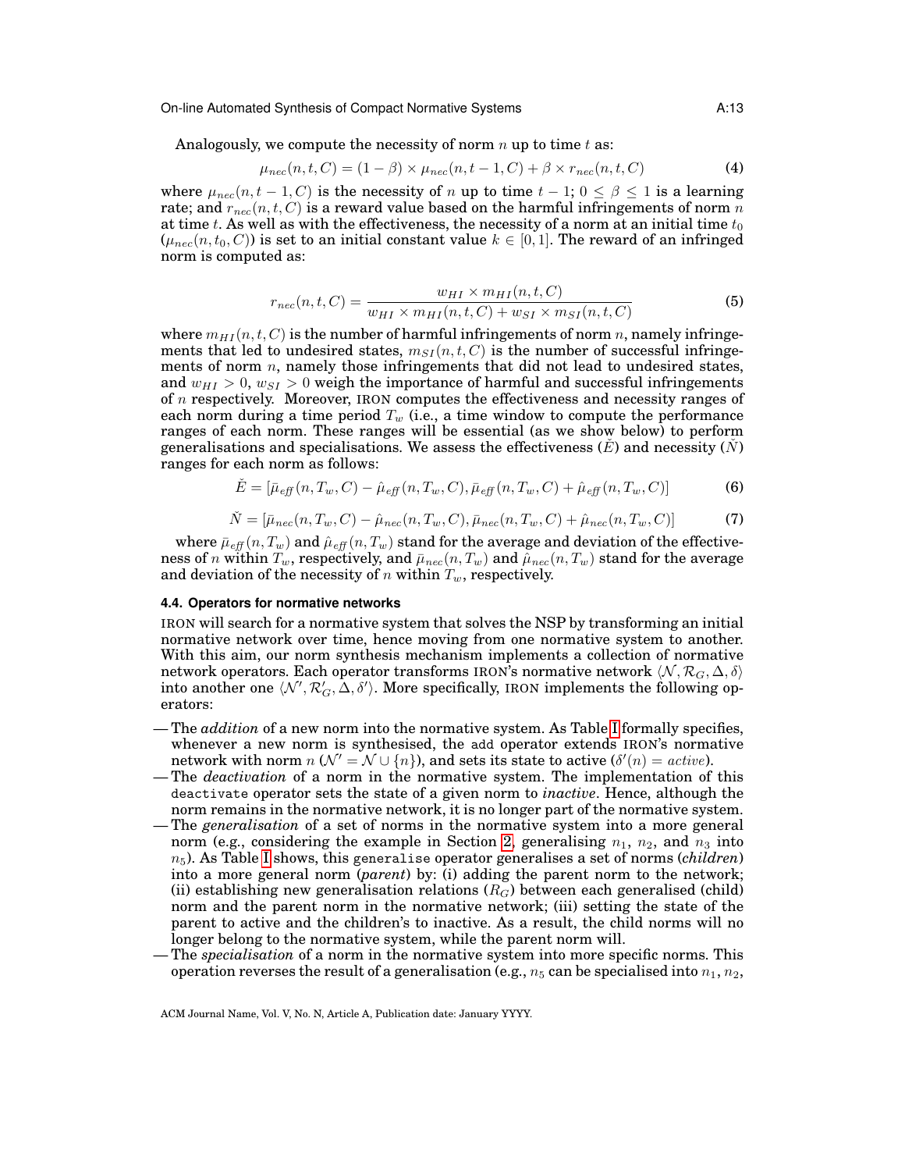Analogously, we compute the necessity of norm  $n$  up to time  $t$  as:

$$
\mu_{nec}(n, t, C) = (1 - \beta) \times \mu_{nec}(n, t - 1, C) + \beta \times r_{nec}(n, t, C)
$$
\n(4)

where  $\mu_{\text{nec}}(n, t-1, C)$  is the necessity of n up to time  $t-1$ ;  $0 \le \beta \le 1$  is a learning rate; and  $r_{\text{nec}}(n, t, C)$  is a reward value based on the harmful infringements of norm n at time t. As well as with the effectiveness, the necessity of a norm at an initial time  $t_0$  $(\mu_{nec}(n, t_0, C))$  is set to an initial constant value  $k \in [0, 1]$ . The reward of an infringed norm is computed as:

<span id="page-12-0"></span>
$$
r_{nec}(n, t, C) = \frac{w_{HI} \times m_{HI}(n, t, C)}{w_{HI} \times m_{HI}(n, t, C) + w_{SI} \times m_{SI}(n, t, C)}
$$
(5)

where  $m_{HI}(n, t, C)$  is the number of harmful infringements of norm n, namely infringements that led to undesired states,  $m_{SI}(n, t, C)$  is the number of successful infringements of norm  $n$ , namely those infringements that did not lead to undesired states, and  $w_{HI} > 0$ ,  $w_{SI} > 0$  weigh the importance of harmful and successful infringements of n respectively. Moreover, IRON computes the effectiveness and necessity ranges of each norm during a time period  $T_w$  (i.e., a time window to compute the performance ranges of each norm. These ranges will be essential (as we show below) to perform generalisations and specialisations. We assess the effectiveness  $(E)$  and necessity  $(N)$ ranges for each norm as follows:

<span id="page-12-1"></span>
$$
\check{E} = [\bar{\mu}_{\text{eff}}(n, T_w, C) - \hat{\mu}_{\text{eff}}(n, T_w, C), \bar{\mu}_{\text{eff}}(n, T_w, C) + \hat{\mu}_{\text{eff}}(n, T_w, C)] \tag{6}
$$

<span id="page-12-2"></span>
$$
\check{N} = \left[\bar{\mu}_{nec}(n, T_w, C) - \hat{\mu}_{nec}(n, T_w, C), \bar{\mu}_{nec}(n, T_w, C) + \hat{\mu}_{nec}(n, T_w, C)\right]
$$
\n(7)

where  $\bar{\mu}_{eff}(n, T_w)$  and  $\hat{\mu}_{eff}(n, T_w)$  stand for the average and deviation of the effectiveness of n within  $T_w$ , respectively, and  $\bar{\mu}_{nec}(n, T_w)$  and  $\hat{\mu}_{nec}(n, T_w)$  stand for the average and deviation of the necessity of n within  $T_w$ , respectively.

## <span id="page-12-3"></span>**4.4. Operators for normative networks**

IRON will search for a normative system that solves the NSP by transforming an initial normative network over time, hence moving from one normative system to another. With this aim, our norm synthesis mechanism implements a collection of normative network operators. Each operator transforms IRON's normative network  $\langle N, \mathcal{R}_G, \Delta, \delta \rangle$ into another one  $\langle \mathcal{N}', \mathcal{R}'_G, \bar{\Delta}, \delta' \rangle.$  More specifically, IRON implements the following operators:

- The *addition* of a new norm into the normative system. As Table [I](#page-13-0) formally specifies, whenever a new norm is synthesised, the add operator extends IRON's normative network with norm  $n(N' = N \cup \{n\})$ , and sets its state to active  $(\delta'(n) = active)$ .
- The *deactivation* of a norm in the normative system. The implementation of this deactivate operator sets the state of a given norm to *inactive*. Hence, although the norm remains in the normative network, it is no longer part of the normative system.
- The *generalisation* of a set of norms in the normative system into a more general norm (e.g., considering the example in Section [2,](#page-3-0) generalising  $n_1$ ,  $n_2$ , and  $n_3$  into  $n_5$ ). As Table [I](#page-13-0) shows, this generalise operator generalises a set of norms *(children)* into a more general norm (*parent*) by: (i) adding the parent norm to the network; (ii) establishing new generalisation relations  $(R_G)$  between each generalised (child) norm and the parent norm in the normative network; (iii) setting the state of the parent to active and the children's to inactive. As a result, the child norms will no longer belong to the normative system, while the parent norm will.
- The *specialisation* of a norm in the normative system into more specific norms. This operation reverses the result of a generalisation (e.g.,  $n_5$  can be specialised into  $n_1, n_2$ ,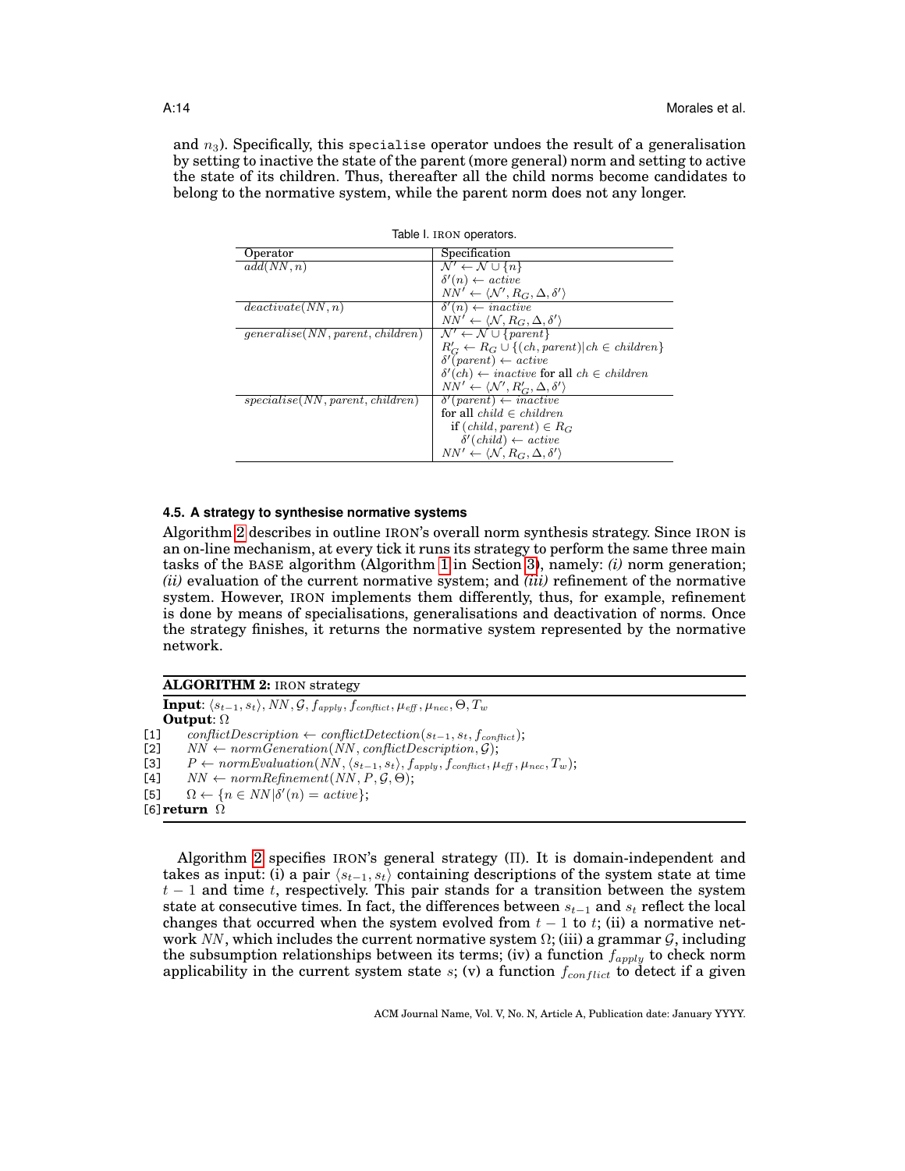and  $n_3$ ). Specifically, this specialise operator undoes the result of a generalisation by setting to inactive the state of the parent (more general) norm and setting to active the state of its children. Thus, thereafter all the child norms become candidates to belong to the normative system, while the parent norm does not any longer.

| Operator                         | Specification                                                        |  |  |  |
|----------------------------------|----------------------------------------------------------------------|--|--|--|
| add(NN, n)                       | $\mathcal{N}' \leftarrow \mathcal{N} \cup \{n\}$                     |  |  |  |
|                                  | $\delta'(n) \leftarrow active$                                       |  |  |  |
|                                  | $NN' \leftarrow \langle \mathcal{N}', R_G, \Delta, \delta' \rangle$  |  |  |  |
| deactiveate(NN, n)               | $\delta'(n) \leftarrow inactive$                                     |  |  |  |
|                                  | $NN' \leftarrow \langle \mathcal{N}, R_G, \Delta, \delta' \rangle$   |  |  |  |
| generalise(NN, parent, children) | $\mathcal{N}' \leftarrow \mathcal{N} \cup \{parent\}$                |  |  |  |
|                                  | $R'_C \leftarrow R_G \cup \{(ch, parent)   ch \in children\}$        |  |  |  |
|                                  | $\delta'$ (parent) $\leftarrow$ active                               |  |  |  |
|                                  | $\delta'(ch) \leftarrow inactive$ for all $ch \in children$          |  |  |  |
|                                  | $NN' \leftarrow \langle \mathcal{N}', R'_G, \Delta, \delta' \rangle$ |  |  |  |
| specialise(NN, parent, children) | $\delta'(parent) \leftarrow inactive$                                |  |  |  |
|                                  | for all $child \in children$                                         |  |  |  |
|                                  | if $(child, parent) \in R_G$                                         |  |  |  |
|                                  | $\delta'$ (child) $\leftarrow$ active                                |  |  |  |
|                                  | $NN' \leftarrow \langle \mathcal{N}, R_G, \Delta, \delta' \rangle$   |  |  |  |

<span id="page-13-0"></span>

|  |  | Table I. IRON operators. |
|--|--|--------------------------|
|--|--|--------------------------|

### <span id="page-13-2"></span>**4.5. A strategy to synthesise normative systems**

Algorithm [2](#page-13-1) describes in outline IRON's overall norm synthesis strategy. Since IRON is an on-line mechanism, at every tick it runs its strategy to perform the same three main tasks of the BASE algorithm (Algorithm [1](#page-8-0) in Section [3\)](#page-7-0), namely: *(i)* norm generation; *(ii)* evaluation of the current normative system; and *(iii)* refinement of the normative system. However, IRON implements them differently, thus, for example, refinement is done by means of specialisations, generalisations and deactivation of norms. Once the strategy finishes, it returns the normative system represented by the normative network.

| <b>ALGORITHM 2: IRON strategy</b> |  |  |  |
|-----------------------------------|--|--|--|
|-----------------------------------|--|--|--|

 $\textbf{Input:}~\langle s_{t-1}, s_t\rangle, NN, \mathcal{G}, f_{apply}, f_{conflict}, \mu_{\mathit{eff}}, \mu_{\mathit{nec}}, \Theta, T_w$ **Output**: Ω [1] conflictDescription ← conflictDetection( $s_{t-1}, s_t, f_{conflict}$ );<br>[2]  $NN \leftarrow normGeneration(NN, conflictDescription, G);$  $NN \leftarrow normGeneration(NN, conflictDescription, G);$ [3]  $P \leftarrow normEvaluation(NN, \langle s_{t-1}, s_t \rangle, f_{apply}, f_{conflict}, \mu_{eff}, \mu_{nec}, T_w);$ [4]  $NN \leftarrow normRefinement(NN, P, \mathcal{G}, \Theta);$ [5]  $\Omega \leftarrow \{n \in NN | \delta'(n) = active \};$ [6]**return** Ω

<span id="page-13-1"></span>Algorithm [2](#page-13-1) specifies IRON's general strategy (Π). It is domain-independent and takes as input: (i) a pair  $\langle s_{t-1}, s_t \rangle$  containing descriptions of the system state at time  $t - 1$  and time t, respectively. This pair stands for a transition between the system state at consecutive times. In fact, the differences between  $s_{t-1}$  and  $s_t$  reflect the local changes that occurred when the system evolved from  $t - 1$  to  $t$ ; (ii) a normative network NN, which includes the current normative system  $\Omega$ ; (iii) a grammar  $\mathcal{G}$ , including the subsumption relationships between its terms; (iv) a function  $f_{apply}$  to check norm applicability in the current system state s; (v) a function  $f_{conflict}$  to detect if a given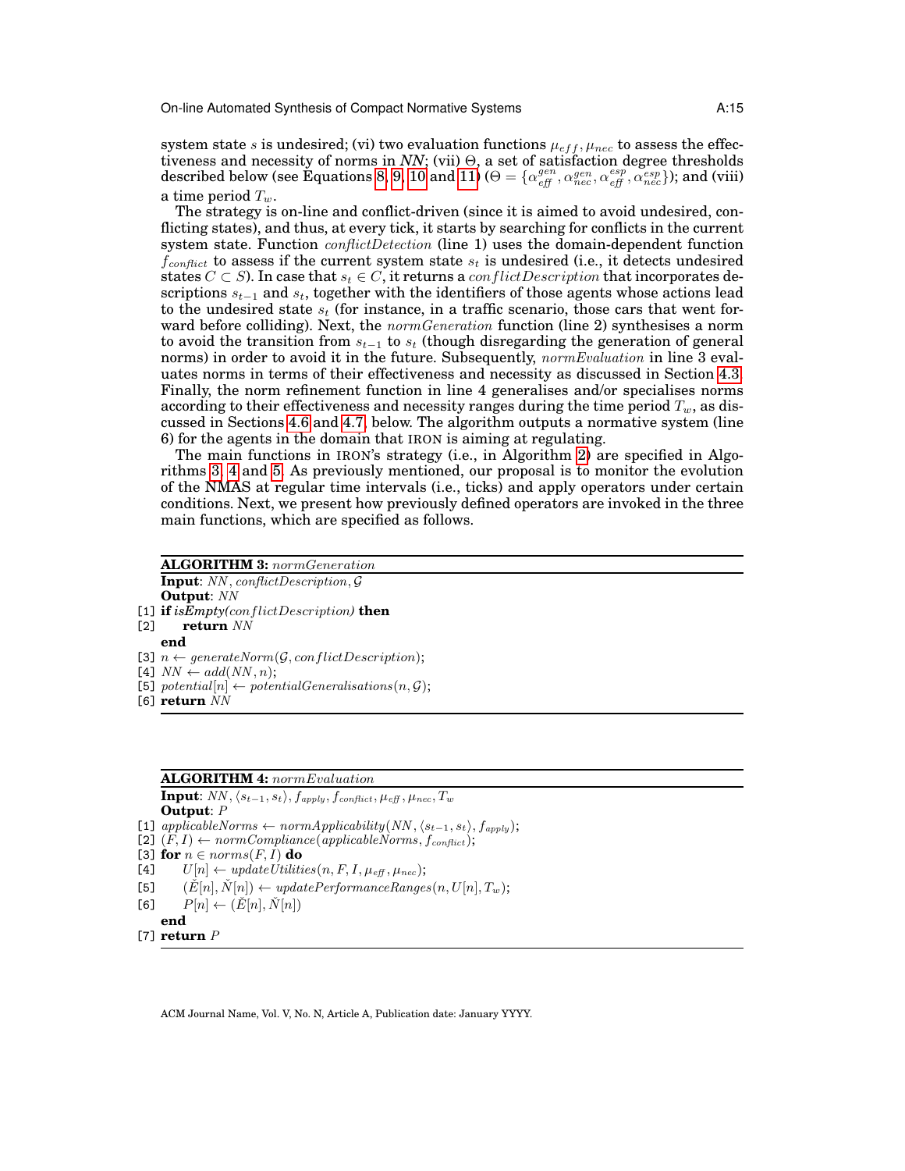system state s is undesired; (vi) two evaluation functions  $\mu_{eff}, \mu_{nec}$  to assess the effectiveness and necessity of norms in *NN*; (vii) Θ, a set of satisfaction degree thresholds  $\rm described~below~(see~\check{Equations}~8, 9, 10~and~11)$  $\rm described~below~(see~\check{Equations}~8, 9, 10~and~11)$  $\rm described~below~(see~\check{Equations}~8, 9, 10~and~11)$  $\rm described~below~(see~\check{Equations}~8, 9, 10~and~11)$   $(\Theta=\{\alpha_{eff}^{gen},\alpha_{nec}^{gen},\alpha_{eff}^{esp},\alpha_{nec}^{esp});$  and (viii) a time period  $T_w$ .

The strategy is on-line and conflict-driven (since it is aimed to avoid undesired, conflicting states), and thus, at every tick, it starts by searching for conflicts in the current system state. Function *conflictDetection* (line 1) uses the domain-dependent function  $f_{conflict}$  to assess if the current system state  $s_t$  is undesired (i.e., it detects undesired states  $C \subset S$ ). In case that  $s_t \in C$ , it returns a *conflictDescription* that incorporates descriptions  $s_{t-1}$  and  $s_t$ , together with the identifiers of those agents whose actions lead to the undesired state  $s_t$  (for instance, in a traffic scenario, those cars that went forward before colliding). Next, the *normGeneration* function (line 2) synthesises a norm to avoid the transition from  $s_{t-1}$  to  $s_t$  (though disregarding the generation of general norms) in order to avoid it in the future. Subsequently, *normEvaluation* in line 3 evaluates norms in terms of their effectiveness and necessity as discussed in Section [4.3.](#page-11-0) Finally, the norm refinement function in line 4 generalises and/or specialises norms according to their effectiveness and necessity ranges during the time period  $T_w$ , as discussed in Sections [4.6](#page-17-2) and [4.7,](#page-19-1) below. The algorithm outputs a normative system (line 6) for the agents in the domain that IRON is aiming at regulating.

The main functions in IRON's strategy (i.e., in Algorithm [2\)](#page-13-1) are specified in Algorithms [3,](#page-14-0) [4](#page-14-1) and [5.](#page-15-0) As previously mentioned, our proposal is to monitor the evolution of the NMAS at regular time intervals (i.e., ticks) and apply operators under certain conditions. Next, we present how previously defined operators are invoked in the three main functions, which are specified as follows.

## **ALGORITHM 3:** normGeneration **Input**: NN , conflictDescription, G **Output**: NN

 $[1]$  **if** *isEmpty(conflictDescription)* **then**<br> $[2]$  **return**  $NN$ 

return NN

- **end**
- [3]  $n \leftarrow generateNorm(\mathcal{G}, conflictDescription);$
- [4]  $NN \leftarrow add(NN, n);$
- [5] potential $[n] \leftarrow potentialGeneralisations(n, \mathcal{G});$
- <span id="page-14-0"></span>[6] **return** NN

## **ALGORITHM 4:** normEvaluation

**Input**:  $NN$ ,  $\langle s_{t-1}, s_t \rangle$ ,  $f_{apply}$ ,  $f_{conflict}$ ,  $\mu_{eff}$ ,  $\mu_{nec}$ ,  $T_w$ **Output**: P [1] applicableNorms ← normApplicability(NN,  $\langle s_{t-1}, s_t \rangle$ ,  $f_{apply}$ ); [2]  $(F, I) \leftarrow normCompliance(\text{applied} \text{bl} \text{c} \text{or} \text{m} \text{c}, f_{conflict});$ [3] **for**  $n \in norms(F, I)$  **do**<br>[4]  $U[n] \leftarrow updateUtiliti$  $U[n] \leftarrow updateUtilities(n, F, I, \mu_{\text{eff}}, \mu_{\text{rec}});$ [5]  $(\check{E}[n], \check{N}[n]) \leftarrow updatePerformanceRange(s(n, U[n], T_w);$  $[6]$   $P[n] \leftarrow (\check{E}[n], \check{N}[n])$ **end**

<span id="page-14-1"></span>[7] **return** P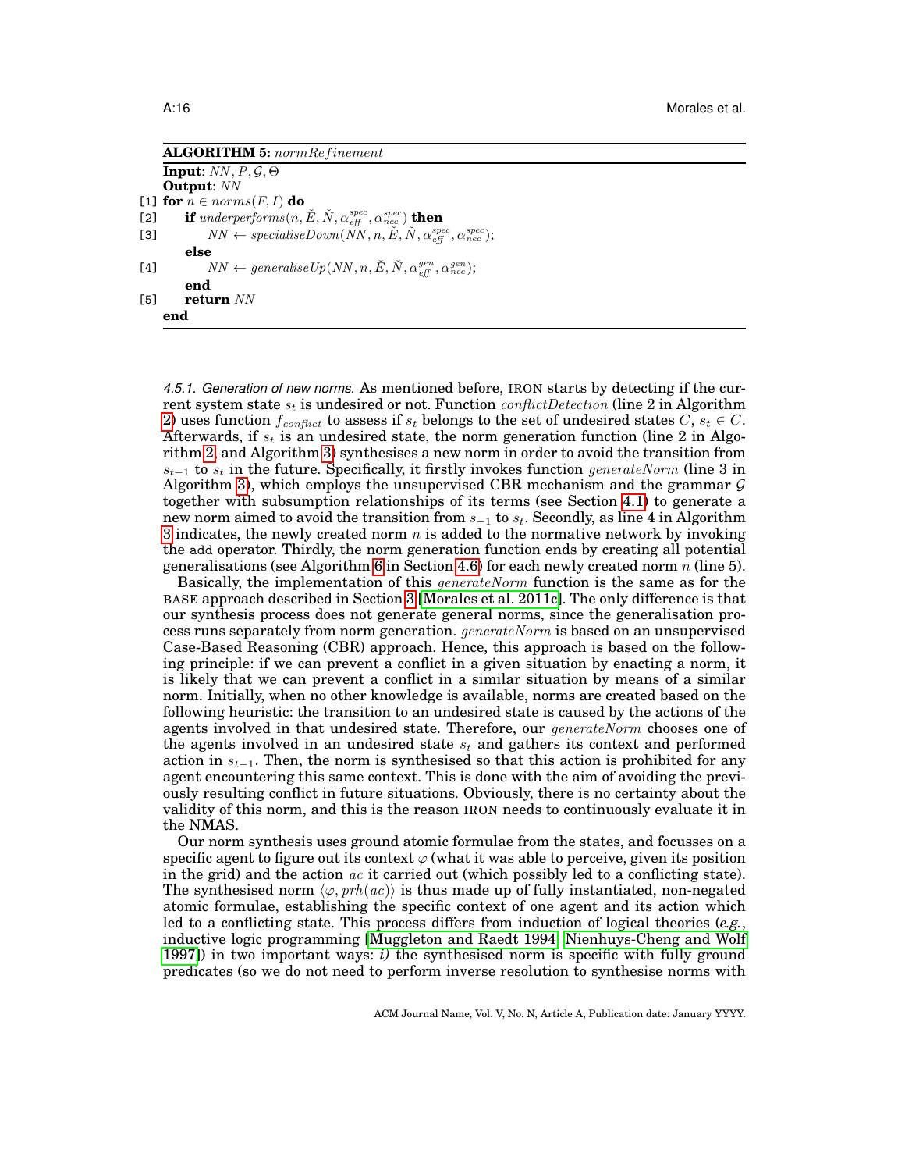| <b>ALGORITHM 5:</b> normRefinement                                                                                                           |
|----------------------------------------------------------------------------------------------------------------------------------------------|
| <b>Input:</b> $NN, P, G, \Theta$                                                                                                             |
| <b>Output:</b> NN                                                                                                                            |
| [1] for $n \in norms(F, I)$ do                                                                                                               |
| if underperforms $(n,\check{E},\check{N},\alpha_{\it eff}^{\it spec},\alpha_{\it nec}^{\it spec})$ then<br>$[2]$                             |
| $NN \leftarrow specialiseDown(NN, n, \check{E}, \check{N}, \alpha_{\text{eff}}^{spec}, \alpha_{\text{nec}}^{spec});$<br>[3]                  |
| else                                                                                                                                         |
| $NN \leftarrow \text{generaliseUp}(NN, n, \tilde{E}, \tilde{N}, \alpha_{\text{eff}}^{\text{gen}}, \alpha_{\text{nec}}^{\text{gen}});$<br>[4] |
| end                                                                                                                                          |
| [5]<br>return NN                                                                                                                             |
| end                                                                                                                                          |

<span id="page-15-0"></span>*4.5.1. Generation of new norms.* As mentioned before, IRON starts by detecting if the current system state  $s_t$  is undesired or not. Function *conflictDetection* (line 2 in Algorithm [2\)](#page-13-1) uses function  $f_{conflict}$  to assess if  $s_t$  belongs to the set of undesired states C,  $s_t \in C$ . Afterwards, if  $s_t$  is an undesired state, the norm generation function (line 2 in Algorithm [2,](#page-13-1) and Algorithm [3\)](#page-14-0) synthesises a new norm in order to avoid the transition from  $s_{t-1}$  to  $s_t$  in the future. Specifically, it firstly invokes function generateNorm (line 3 in Algorithm [3\)](#page-14-0), which employs the unsupervised CBR mechanism and the grammar  $\mathcal G$ together with subsumption relationships of its terms (see Section [4.1\)](#page-9-1) to generate a new norm aimed to avoid the transition from  $s_{-1}$  to  $s_t$ . Secondly, as line 4 in Algorithm [3](#page-14-0) indicates, the newly created norm  $n$  is added to the normative network by invoking the add operator. Thirdly, the norm generation function ends by creating all potential generalisations (see Algorithm [6](#page-18-0) in Section [4.6\)](#page-17-2) for each newly created norm  $n$  (line 5).

Basically, the implementation of this *generateNorm* function is the same as for the BASE approach described in Section [3](#page-7-0) [\[Morales et al. 2011c\]](#page-32-10). The only difference is that our synthesis process does not generate general norms, since the generalisation process runs separately from norm generation. generateNorm is based on an unsupervised Case-Based Reasoning (CBR) approach. Hence, this approach is based on the following principle: if we can prevent a conflict in a given situation by enacting a norm, it is likely that we can prevent a conflict in a similar situation by means of a similar norm. Initially, when no other knowledge is available, norms are created based on the following heuristic: the transition to an undesired state is caused by the actions of the agents involved in that undesired state. Therefore, our  $\mathit{generateNorm}$  chooses one of the agents involved in an undesired state  $s_t$  and gathers its context and performed action in  $s_{t-1}$ . Then, the norm is synthesised so that this action is prohibited for any agent encountering this same context. This is done with the aim of avoiding the previously resulting conflict in future situations. Obviously, there is no certainty about the validity of this norm, and this is the reason IRON needs to continuously evaluate it in the NMAS.

Our norm synthesis uses ground atomic formulae from the states, and focusses on a specific agent to figure out its context  $\varphi$  (what it was able to perceive, given its position in the grid) and the action  $ac$  it carried out (which possibly led to a conflicting state). The synthesised norm  $\langle \varphi, \text{prh}(ac) \rangle$  is thus made up of fully instantiated, non-negated atomic formulae, establishing the specific context of one agent and its action which led to a conflicting state. This process differs from induction of logical theories (*e.g.*, inductive logic programming [\[Muggleton and Raedt 1994;](#page-32-17) [Nienhuys-Cheng and Wolf](#page-32-18) [1997\]](#page-32-18)) in two important ways: *i)* the synthesised norm is specific with fully ground predicates (so we do not need to perform inverse resolution to synthesise norms with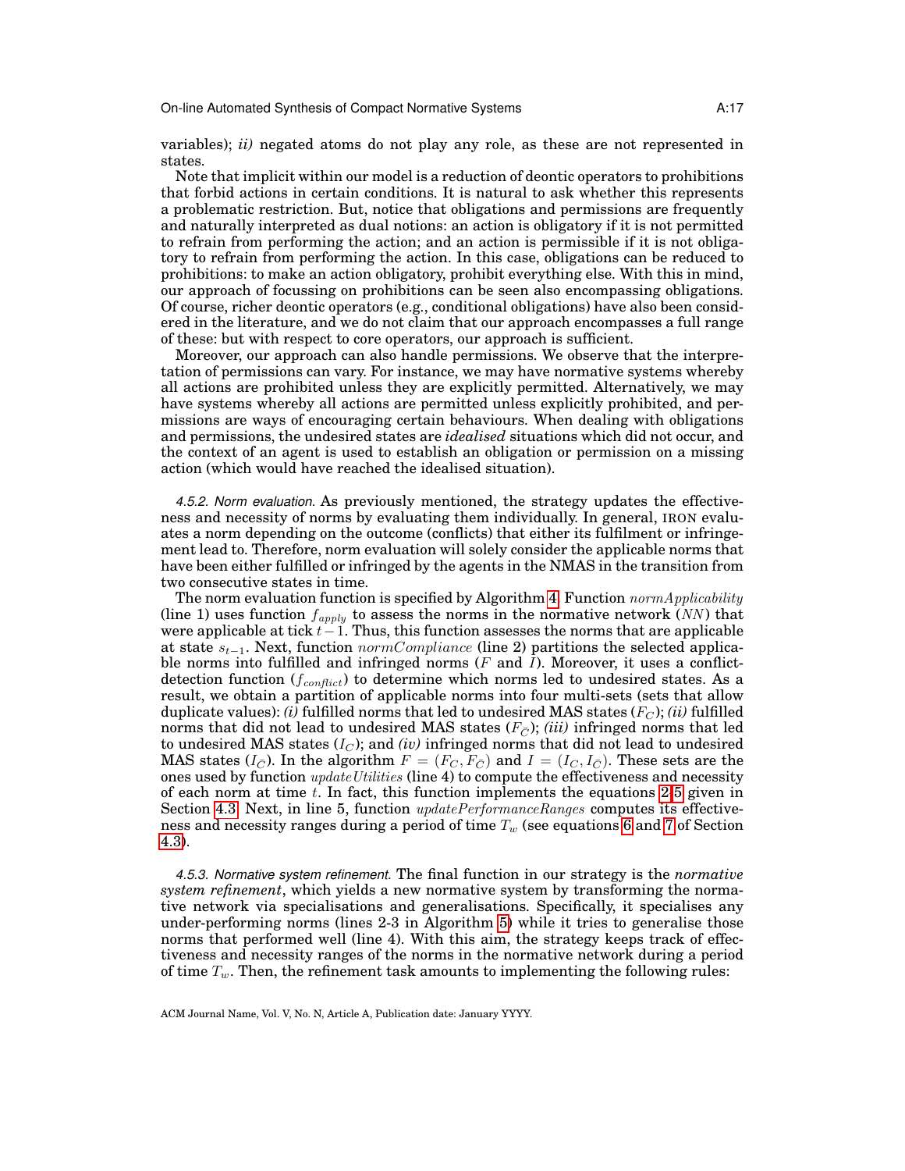variables); *ii)* negated atoms do not play any role, as these are not represented in states.

Note that implicit within our model is a reduction of deontic operators to prohibitions that forbid actions in certain conditions. It is natural to ask whether this represents a problematic restriction. But, notice that obligations and permissions are frequently and naturally interpreted as dual notions: an action is obligatory if it is not permitted to refrain from performing the action; and an action is permissible if it is not obligatory to refrain from performing the action. In this case, obligations can be reduced to prohibitions: to make an action obligatory, prohibit everything else. With this in mind, our approach of focussing on prohibitions can be seen also encompassing obligations. Of course, richer deontic operators (e.g., conditional obligations) have also been considered in the literature, and we do not claim that our approach encompasses a full range of these: but with respect to core operators, our approach is sufficient.

Moreover, our approach can also handle permissions. We observe that the interpretation of permissions can vary. For instance, we may have normative systems whereby all actions are prohibited unless they are explicitly permitted. Alternatively, we may have systems whereby all actions are permitted unless explicitly prohibited, and permissions are ways of encouraging certain behaviours. When dealing with obligations and permissions, the undesired states are *idealised* situations which did not occur, and the context of an agent is used to establish an obligation or permission on a missing action (which would have reached the idealised situation).

*4.5.2. Norm evaluation.* As previously mentioned, the strategy updates the effectiveness and necessity of norms by evaluating them individually. In general, IRON evaluates a norm depending on the outcome (conflicts) that either its fulfilment or infringement lead to. Therefore, norm evaluation will solely consider the applicable norms that have been either fulfilled or infringed by the agents in the NMAS in the transition from two consecutive states in time.

The norm evaluation function is specified by Algorithm [4.](#page-14-1) Function  $normApplicability$ (line 1) uses function  $f_{apply}$  to assess the norms in the normative network (NN) that were applicable at tick  $t-1$ . Thus, this function assesses the norms that are applicable at state  $s_{t-1}$ . Next, function *normCompliance* (line 2) partitions the selected applicable norms into fulfilled and infringed norms  $(F \text{ and } I)$ . Moreover, it uses a conflictdetection function ( $f_{conflict}$ ) to determine which norms led to undesired states. As a result, we obtain a partition of applicable norms into four multi-sets (sets that allow duplicate values): *(i)* fulfilled norms that led to undesired MAS states  $(F_C)$ ; *(ii)* fulfilled norms that did not lead to undesired MAS states  $(F_C)$ ; *(iii)* infringed norms that led to undesired MAS states  $(I_C)$ ; and  $(iv)$  infringed norms that did not lead to undesired MAS states  $(I_{\bar{C}})$ . In the algorithm  $F = (F_C, F_{\bar{C}})$  and  $I = (I_C, I_{\bar{C}})$ . These sets are the ones used by function *update Utilities* (line 4) to compute the effectiveness and necessity of each norm at time  $t$ . In fact, this function implements the equations [2](#page-11-1)[-5](#page-12-0) given in Section [4.3.](#page-11-0) Next, in line 5, function  $updatePerformanceRange$  computes its effectiveness and necessity ranges during a period of time  $T_w$  (see equations [6](#page-12-1) and [7](#page-12-2) of Section [4.3\)](#page-11-0).

*4.5.3. Normative system refinement.* The final function in our strategy is the *normative system refinement*, which yields a new normative system by transforming the normative network via specialisations and generalisations. Specifically, it specialises any under-performing norms (lines 2-3 in Algorithm [5\)](#page-15-0) while it tries to generalise those norms that performed well (line 4). With this aim, the strategy keeps track of effectiveness and necessity ranges of the norms in the normative network during a period of time  $T_w$ . Then, the refinement task amounts to implementing the following rules: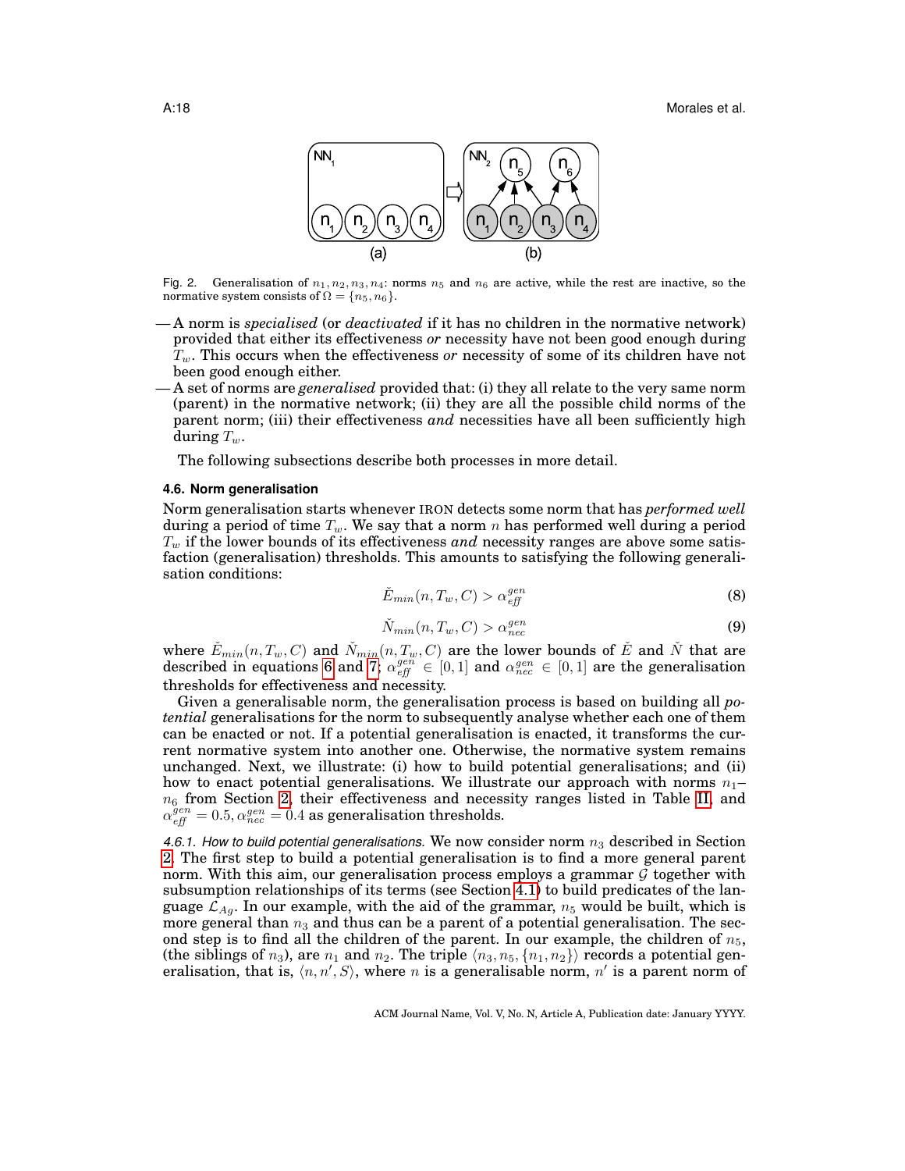

<span id="page-17-3"></span>Fig. 2. Generalisation of  $n_1, n_2, n_3, n_4$ : norms  $n_5$  and  $n_6$  are active, while the rest are inactive, so the normative system consists of  $\Omega = \{n_5, n_6\}.$ 

- A norm is *specialised* (or *deactivated* if it has no children in the normative network) provided that either its effectiveness *or* necessity have not been good enough during Tw. This occurs when the effectiveness *or* necessity of some of its children have not been good enough either.
- A set of norms are *generalised* provided that: (i) they all relate to the very same norm (parent) in the normative network; (ii) they are all the possible child norms of the parent norm; (iii) their effectiveness *and* necessities have all been sufficiently high during  $T_w$ .

The following subsections describe both processes in more detail.

#### <span id="page-17-2"></span>**4.6. Norm generalisation**

Norm generalisation starts whenever IRON detects some norm that has *performed well* during a period of time  $T_w$ . We say that a norm n has performed well during a period  $T_w$  if the lower bounds of its effectiveness *and* necessity ranges are above some satisfaction (generalisation) thresholds. This amounts to satisfying the following generalisation conditions:

<span id="page-17-0"></span>
$$
\check{E}_{min}(n, T_w, C) > \alpha_{\text{eff}}^{gen} \tag{8}
$$

<span id="page-17-1"></span>
$$
\check{N}_{min}(n, T_w, C) > \alpha_{nec}^{gen} \tag{9}
$$

where  $\check{E}_{min}(n,T_w,C)$  and  $\check{N}_{min}(n,T_w,C)$  are the lower bounds of  $\check{E}$  and  $\check{N}$  that are described in equations [6](#page-12-1) and [7;](#page-12-2)  $\alpha_{eff}^{gen} \in [0,1]$  and  $\alpha_{nec}^{gen} \in [0,1]$  are the generalisation thresholds for effectiveness and necessity.

Given a generalisable norm, the generalisation process is based on building all *potential* generalisations for the norm to subsequently analyse whether each one of them can be enacted or not. If a potential generalisation is enacted, it transforms the current normative system into another one. Otherwise, the normative system remains unchanged. Next, we illustrate: (i) how to build potential generalisations; and (ii) how to enact potential generalisations. We illustrate our approach with norms  $n_1$  $n<sub>6</sub>$  from Section [2,](#page-3-0) their effectiveness and necessity ranges listed in Table [II,](#page-18-1) and  $\alpha_{\it eff}^{\it gen} = 0.5, \alpha_{\it nec}^{\it gen} = 0.4$  as generalisation thresholds.

4.6.1. How to build potential generalisations. We now consider norm  $n_3$  described in Section [2.](#page-3-0) The first step to build a potential generalisation is to find a more general parent norm. With this aim, our generalisation process employs a grammar  $\mathcal G$  together with subsumption relationships of its terms (see Section [4.1\)](#page-9-1) to build predicates of the language  $\mathcal{L}_{Ag}$ . In our example, with the aid of the grammar,  $n_5$  would be built, which is more general than  $n_3$  and thus can be a parent of a potential generalisation. The second step is to find all the children of the parent. In our example, the children of  $n_5$ , (the siblings of  $n_3$ ), are  $n_1$  and  $n_2$ . The triple  $\langle n_3, n_5, \{n_1, n_2\}\rangle$  records a potential generalisation, that is,  $\langle n, n', S \rangle$ , where n is a generalisable norm, n' is a parent norm of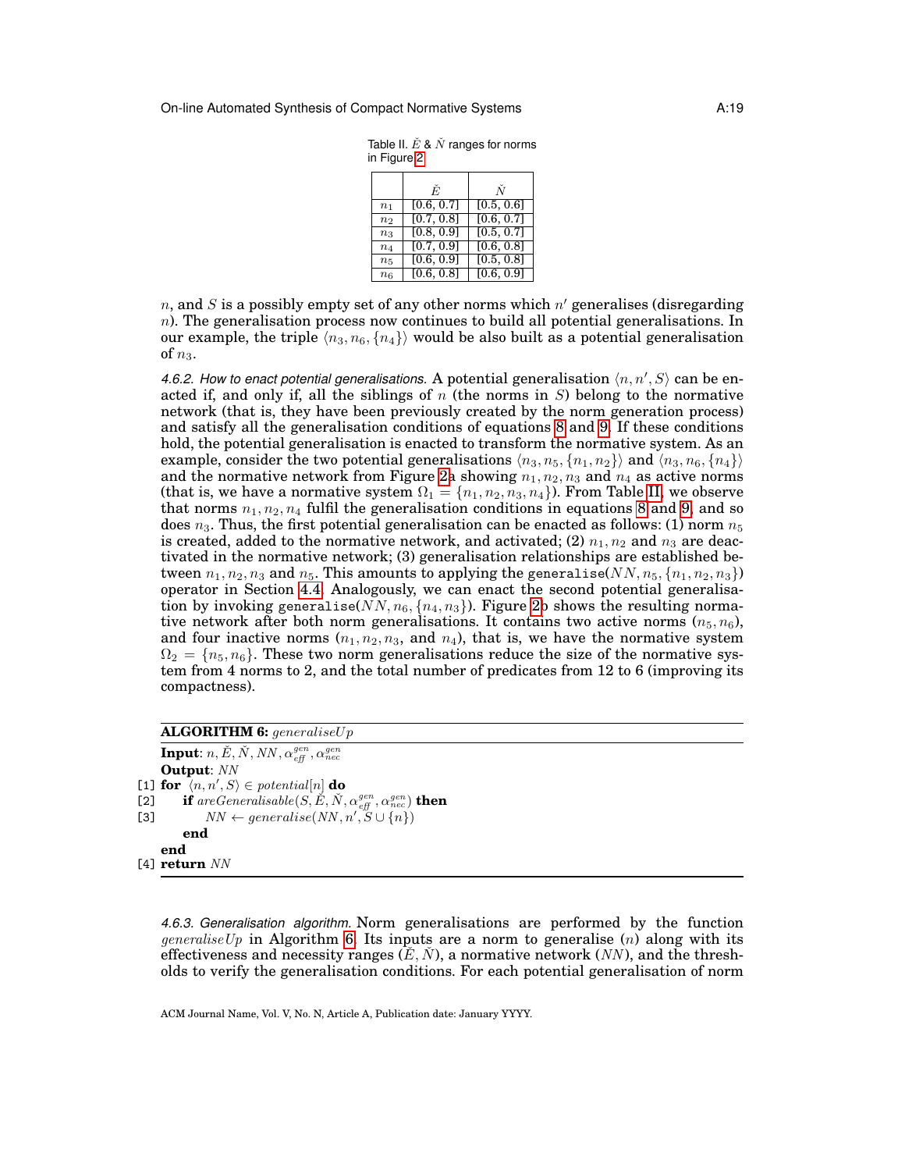<span id="page-18-1"></span>

| Table II. $E \& N$ ranges for norms |  |  |
|-------------------------------------|--|--|
| in Figure 2                         |  |  |

|                | Ė.         | Ň          |
|----------------|------------|------------|
| n <sub>1</sub> | [0.6, 0.7] | [0.5, 0.6] |
| n <sub>2</sub> | [0.7, 0.8] | [0.6, 0.7] |
| n <sub>3</sub> | [0.8, 0.9] | [0.5, 0.7] |
| $n_4$          | [0.7, 0.9] | [0.6, 0.8] |
| $n_5$          | [0.6, 0.9] | [0.5, 0.8] |
| n <sub>6</sub> | [0.6, 0.8] | [0.6, 0.9] |

n, and S is a possibly empty set of any other norms which  $n'$  generalises (disregarding n). The generalisation process now continues to build all potential generalisations. In our example, the triple  $\langle n_3, n_6, \{n_4\}\rangle$  would be also built as a potential generalisation of  $n_3$ .

4.6.2. How to enact potential generalisations. A potential generalisation  $\langle n, n', S \rangle$  can be enacted if, and only if, all the siblings of  $n$  (the norms in  $S$ ) belong to the normative network (that is, they have been previously created by the norm generation process) and satisfy all the generalisation conditions of equations [8](#page-17-0) and [9.](#page-17-1) If these conditions hold, the potential generalisation is enacted to transform the normative system. As an example, consider the two potential generalisations  $\langle n_3, n_5, \{n_1, n_2\}\rangle$  and  $\langle n_3, n_6, \{n_4\}\rangle$ and the normative network from Figure [2a](#page-17-3) showing  $n_1, n_2, n_3$  and  $n_4$  as active norms (that is, we have a normative system  $\Omega_1=\{n_1,n_2,n_3,n_4\}$ ). From Table [II,](#page-18-1) we observe that norms  $n_1, n_2, n_4$  fulfil the generalisation conditions in equations [8](#page-17-0) and [9,](#page-17-1) and so does  $n_3$ . Thus, the first potential generalisation can be enacted as follows: (1) norm  $n_5$ is created, added to the normative network, and activated; (2)  $n_1, n_2$  and  $n_3$  are deactivated in the normative network; (3) generalisation relationships are established between  $n_1, n_2, n_3$  and  $n_5$ . This amounts to applying the generalise(NN,  $n_5, \{n_1, n_2, n_3\}$ ) operator in Section [4.4.](#page-12-3) Analogously, we can enact the second potential generalisation by invoking generalise( $NN, n_6, \{n_4, n_3\}$ ). Figure [2b](#page-17-3) shows the resulting normative network after both norm generalisations. It contains two active norms  $(n_5, n_6)$ , and four inactive norms  $(n_1, n_2, n_3, \text{ and } n_4)$ , that is, we have the normative system  $\Omega_2 = \{n_5, n_6\}$ . These two norm generalisations reduce the size of the normative system from 4 norms to 2, and the total number of predicates from 12 to 6 (improving its compactness).

### **ALGORITHM 6:** generaliseUp

 $\textbf{Input:} \: n, \check{E}, \check{N}, \mathit{NN}, \alpha_{\mathit{eff}}^{\mathit{gen}}, \alpha_{\mathit{nec}}^{\mathit{gen}}$ **Output**: NN  $\boxed{\mathbf{1} \quad \mathbf{for} \quad \langle n, n', S \rangle \in \mathit{potential}[n] \mathbf{d}\mathbf{o}}$ [2] **if** are Generalisable  $(S, \check{E}, \check{N}, \alpha_{\text{eff}}^{gen}, \alpha_{\text{nec}}^{gen})$  **then** [3]  $NN \leftarrow generalise(NN, n', S \cup \{n\})$ **end end** [4] **return** NN

<span id="page-18-0"></span>*4.6.3. Generalisation algorithm.* Norm generalisations are performed by the function generaliseUp in Algorithm [6.](#page-18-0) Its inputs are a norm to generalise (n) along with its effectiveness and necessity ranges  $(E, N)$ , a normative network  $(NN)$ , and the thresholds to verify the generalisation conditions. For each potential generalisation of norm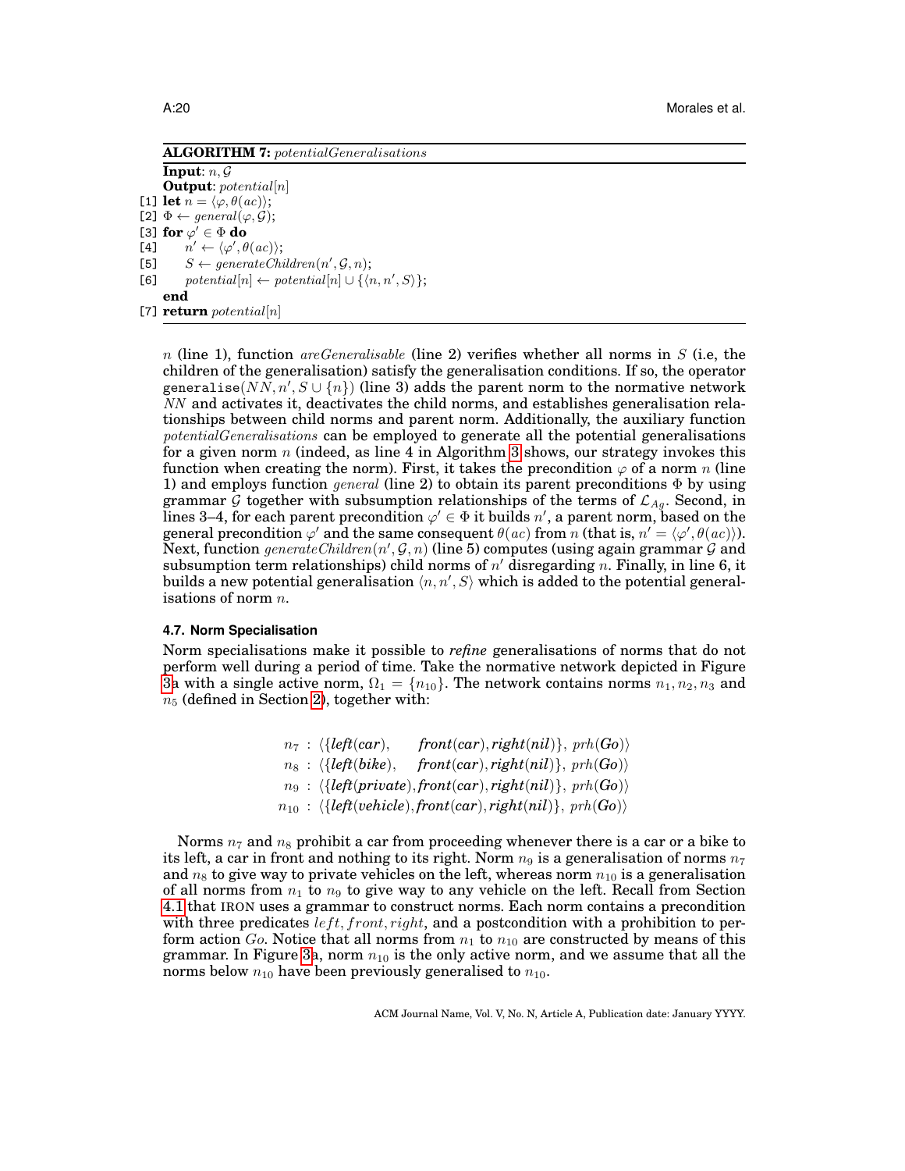**ALGORITHM 7:** potentialGeneralisations

**Input**:  $n, G$ **Output**: potential[n] [1] **let**  $n = \langle \varphi, \theta(ac) \rangle$ ; [2]  $\Phi \leftarrow general(\varphi, \mathcal{G});$ [3] **for**  $\varphi' \in \Phi$  **do**  $[4]$  $\prime \leftarrow {\langle \varphi', \theta(ac) \rangle};$ [5]  $S \leftarrow generateChildren(n', \mathcal{G}, n);$ [6]  $potential[n] \leftarrow potential[n] \cup \{\langle n, n', S \rangle\};$ **end**

 $[7]$  **return** potential[n]

n (line 1), function *areGeneralisable* (line 2) verifies whether all norms in S (i.e., the children of the generalisation) satisfy the generalisation conditions. If so, the operator generalise $(N\bar N, n', S\cup \{n\})$  (line 3) adds the parent norm to the normative network NN and activates it, deactivates the child norms, and establishes generalisation relationships between child norms and parent norm. Additionally, the auxiliary function potentialGeneralisations can be employed to generate all the potential generalisations for a given norm n (indeed, as line 4 in Algorithm [3](#page-14-0) shows, our strategy invokes this function when creating the norm). First, it takes the precondition  $\varphi$  of a norm n (line 1) and employs function general (line 2) to obtain its parent preconditions  $\Phi$  by using grammar G together with subsumption relationships of the terms of  $\mathcal{L}_{A_q}$ . Second, in lines 3–4, for each parent precondition  $\varphi' \in \Phi$  it builds  $n'$ , a parent norm, based on the general precondition  $\varphi'$  and the same consequent  $\theta(ac)$  from n (that is,  $n' = \langle \varphi', \theta(ac) \rangle$ ). Next, function  $\mathit{generateChildren}(n', \mathcal{G}, n)$  (line 5) computes (using again grammar  $\mathcal G$  and subsumption term relationships) child norms of  $n'$  disregarding n. Finally, in line 6, it builds a new potential generalisation  $\langle n, n', S \rangle$  which is added to the potential generalisations of norm  $n$ .

### <span id="page-19-1"></span>**4.7. Norm Specialisation**

Norm specialisations make it possible to *refine* generalisations of norms that do not perform well during a period of time. Take the normative network depicted in Figure [3a](#page-20-1) with a single active norm,  $\Omega_1 = \{n_{10}\}\$ . The network contains norms  $n_1, n_2, n_3$  and  $n_5$  (defined in Section [2\)](#page-3-0), together with:

> <span id="page-19-0"></span> $n_7$  :  $\{left{left(car\right), \; right(car), right(nil)\}, \; prh(Go)\}$  $n_8$  :  $\{left{left(blike\right), \quad front(car), right(nil)\}, \text{prh}(Go)\}$  $n_9$  :  $\langle \{left(\text{left}(private), \text{front}(car), \text{right}(nil)\}, \text{prh}(Go) \rangle \rangle$  $n_{10}$  :  $\langle \{left ( v \in \text{hicle} \}, \text{front}(car), \text{right}(nil) \}, \text{prh}(Go) \rangle$

Norms  $n_7$  and  $n_8$  prohibit a car from proceeding whenever there is a car or a bike to its left, a car in front and nothing to its right. Norm  $n<sub>9</sub>$  is a generalisation of norms  $n<sub>7</sub>$ and  $n_8$  to give way to private vehicles on the left, whereas norm  $n_{10}$  is a generalisation of all norms from  $n_1$  to  $n_9$  to give way to any vehicle on the left. Recall from Section [4.1](#page-9-1) that IRON uses a grammar to construct norms. Each norm contains a precondition with three predicates  $left, front, right,$  and a postcondition with a prohibition to perform action  $Go$ . Notice that all norms from  $n_1$  to  $n_{10}$  are constructed by means of this grammar. In Figure [3a](#page-20-1), norm  $n_{10}$  is the only active norm, and we assume that all the norms below  $n_{10}$  have been previously generalised to  $n_{10}$ .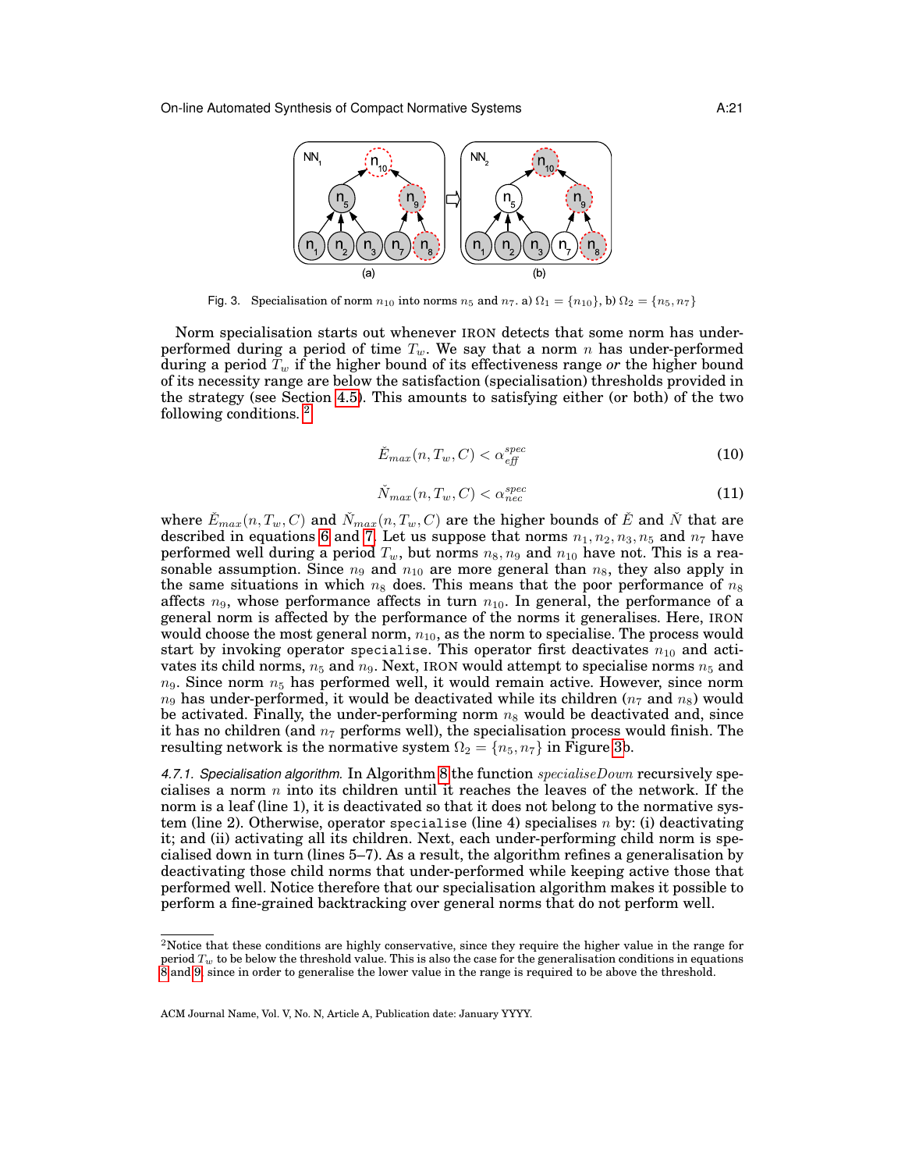

<span id="page-20-1"></span>Fig. 3. Specialisation of norm  $n_{10}$  into norms  $n_5$  and  $n_7$ . a)  $\Omega_1 = \{n_{10}\}\$ , b)  $\Omega_2 = \{n_5, n_7\}$ 

Norm specialisation starts out whenever IRON detects that some norm has underperformed during a period of time  $T_w$ . We say that a norm n has under-performed during a period  $\overline{T}_w$  if the higher bound of its effectiveness range *or* the higher bound of its necessity range are below the satisfaction (specialisation) thresholds provided in the strategy (see Section [4.5\)](#page-13-2). This amounts to satisfying either (or both) of the two following conditions. [2](#page-20-2)

$$
\check{E}_{max}(n, T_w, C) < \alpha_{\it eff}^{\it spec} \tag{10}
$$

<span id="page-20-0"></span>
$$
\check{N}_{max}(n, T_w, C) < \alpha_{nec}^{spec} \tag{11}
$$

where  $\check{E}_{max}(n,T_w,C)$  and  $\check{N}_{max}(n,T_w,C)$  are the higher bounds of  $\check{E}$  and  $\check{N}$  that are described in equations [6](#page-12-1) and [7.](#page-12-2) Let us suppose that norms  $n_1, n_2, n_3, n_5$  and  $n_7$  have performed well during a period  $T_w$ , but norms  $n_8$ ,  $n_9$  and  $n_{10}$  have not. This is a reasonable assumption. Since  $n_9$  and  $n_{10}$  are more general than  $n_8$ , they also apply in the same situations in which  $n_8$  does. This means that the poor performance of  $n_8$ affects  $n_9$ , whose performance affects in turn  $n_{10}$ . In general, the performance of a general norm is affected by the performance of the norms it generalises. Here, IRON would choose the most general norm,  $n_{10}$ , as the norm to specialise. The process would start by invoking operator specialise. This operator first deactivates  $n_{10}$  and activates its child norms,  $n_5$  and  $n_9$ . Next, IRON would attempt to specialise norms  $n_5$  and  $n_9$ . Since norm  $n_5$  has performed well, it would remain active. However, since norm  $n_9$  has under-performed, it would be deactivated while its children ( $n_7$  and  $n_8$ ) would be activated. Finally, the under-performing norm  $n_8$  would be deactivated and, since it has no children (and  $n<sub>7</sub>$  performs well), the specialisation process would finish. The resulting network is the normative system  $\Omega_2 = \{n_5, n_7\}$  in Figure [3b](#page-20-1).

4.7.1. Specialisation algorithm. In Algorithm [8](#page-21-0) the function specialise Down recursively specialises a norm  $n$  into its children until it reaches the leaves of the network. If the norm is a leaf (line 1), it is deactivated so that it does not belong to the normative system (line 2). Otherwise, operator specialise (line 4) specialises n by: (i) deactivating it; and (ii) activating all its children. Next, each under-performing child norm is specialised down in turn (lines 5–7). As a result, the algorithm refines a generalisation by deactivating those child norms that under-performed while keeping active those that performed well. Notice therefore that our specialisation algorithm makes it possible to perform a fine-grained backtracking over general norms that do not perform well.

<span id="page-20-2"></span><sup>&</sup>lt;sup>2</sup>Notice that these conditions are highly conservative, since they require the higher value in the range for period  $T_w$  to be below the threshold value. This is also the case for the generalisation conditions in equations [8](#page-17-0) and [9,](#page-17-1) since in order to generalise the lower value in the range is required to be above the threshold.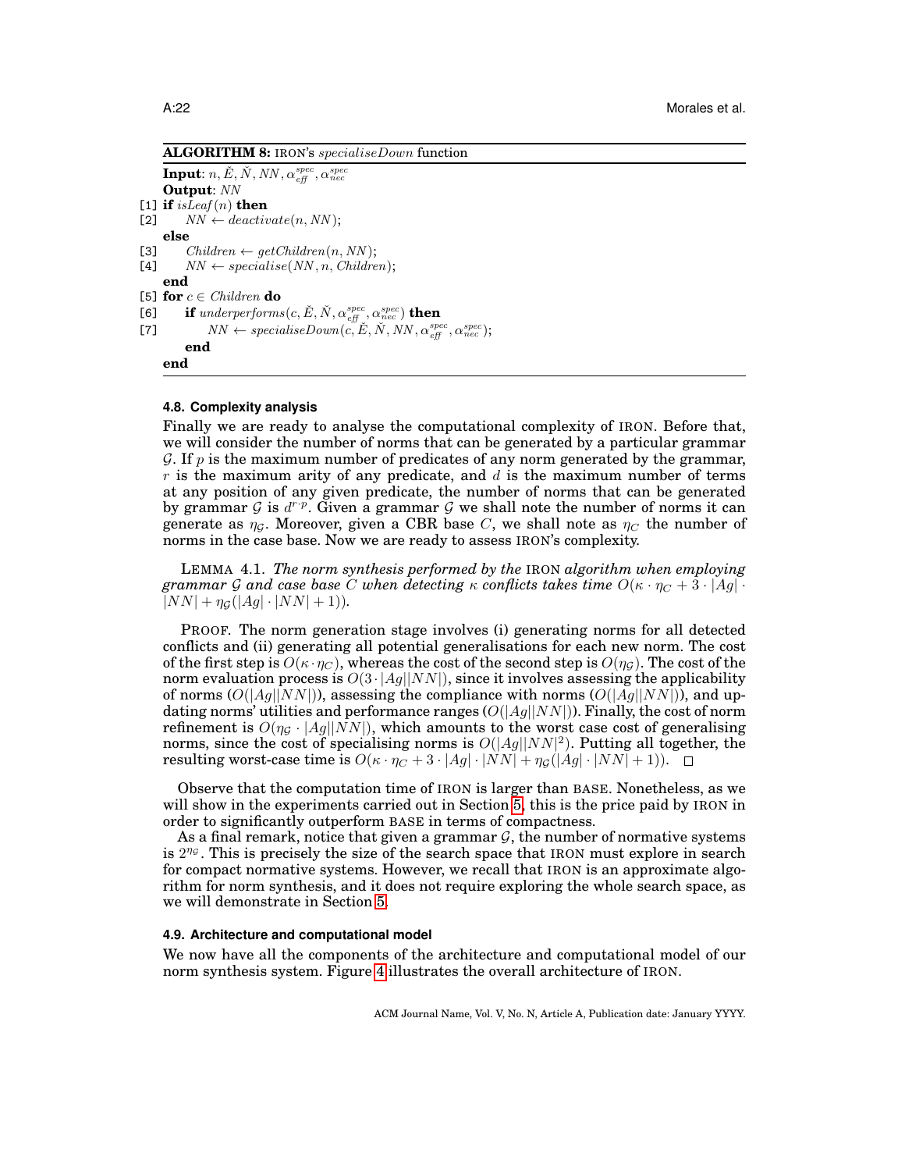**ALGORITHM 8:** IRON's specialiseDown function

 $\textbf{Input:}~n,\check{E},\check{N},\mathit{NN},\alpha_{\mathit{eff}}^{\mathit{spec}},\alpha_{\mathit{nec}}^{\mathit{spec}}$ **Output**: NN [1] **if** isLeaf(n) **then**<br>[2]  $NN \leftarrow$  deactive  $NN \leftarrow deactiveate(n, NN);$ **else** [3] Children  $\leftarrow$  getChildren(n, NN);<br>[4] NN  $\leftarrow$  specialise(NN, n, Children  $NN \leftarrow specialise(NN, n, Children);$ **end** [5] **for**  $c \in Children$  **do** [6] **if** underperforms  $(c, \check{E}, \check{N}, \alpha_{\text{eff}}^{\text{spec}}, \alpha_{\text{nec}}^{\text{spec}})$  **then** [7]  $NN \leftarrow specialiseDown(\vec{c}, \check{E}, \check{N}, NN, \alpha_{\text{eff}}^{\text{spec}}, \alpha_{\text{nec}}^{\text{spec}});$ **end end**

## <span id="page-21-0"></span>**4.8. Complexity analysis**

Finally we are ready to analyse the computational complexity of IRON. Before that, we will consider the number of norms that can be generated by a particular grammar  $\mathcal G$ . If p is the maximum number of predicates of any norm generated by the grammar, r is the maximum arity of any predicate, and  $d$  is the maximum number of terms at any position of any given predicate, the number of norms that can be generated by grammar G is  $d^{r.p}$ . Given a grammar G we shall note the number of norms it can generate as  $\eta_{\mathcal{G}}$ . Moreover, given a CBR base C, we shall note as  $\eta_{\mathcal{C}}$  the number of norms in the case base. Now we are ready to assess IRON's complexity.

LEMMA 4.1. *The norm synthesis performed by the* IRON *algorithm when employing grammar* G and case base C when detecting  $\kappa$  conflicts takes time  $O(\kappa \cdot \eta_C + 3 \cdot |Ag| \cdot \kappa)$  $|NN| + \eta_G(|Ag| \cdot |NN| + 1)$ ).

PROOF. The norm generation stage involves (i) generating norms for all detected conflicts and (ii) generating all potential generalisations for each new norm. The cost of the first step is  $O(\kappa \cdot \eta_C)$ , whereas the cost of the second step is  $O(\eta_C)$ . The cost of the norm evaluation process is  $O(3 \cdot |Ag||NN|)$ , since it involves assessing the applicability of norms  $(O(|Ag||NN|))$ , assessing the compliance with norms  $(O(|Ag||NN|))$ , and updating norms' utilities and performance ranges  $(O(|Ag||NN|))$ . Finally, the cost of norm refinement is  $O(\eta_G \cdot |Ag||NN|)$ , which amounts to the worst case cost of generalising norms, since the cost of specialising norms is  $O(|Ag||NN|^2)$ . Putting all together, the resulting worst-case time is  $O(\kappa \cdot \eta_C + 3 \cdot |Ag| \cdot |NN| + \eta_G(|Ag| \cdot |NN| + 1)).$ 

Observe that the computation time of IRON is larger than BASE. Nonetheless, as we will show in the experiments carried out in Section [5,](#page-22-0) this is the price paid by IRON in order to significantly outperform BASE in terms of compactness.

As a final remark, notice that given a grammar  $G$ , the number of normative systems is  $2^{\eta_{\mathcal{G}}}$ . This is precisely the size of the search space that IRON must explore in search for compact normative systems. However, we recall that IRON is an approximate algorithm for norm synthesis, and it does not require exploring the whole search space, as we will demonstrate in Section [5.](#page-22-0)

#### **4.9. Architecture and computational model**

We now have all the components of the architecture and computational model of our norm synthesis system. Figure [4](#page-22-1) illustrates the overall architecture of IRON.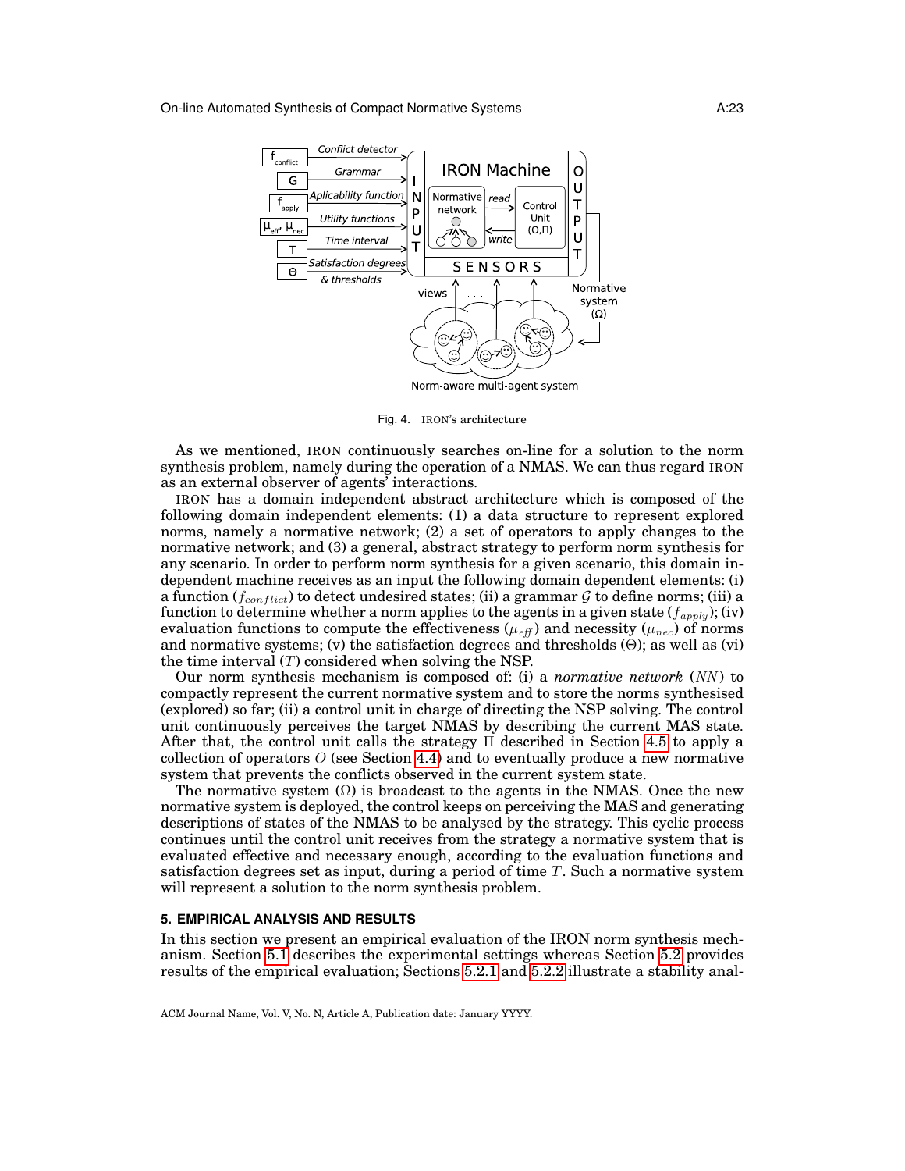

<span id="page-22-1"></span>Fig. 4. IRON's architecture

As we mentioned, IRON continuously searches on-line for a solution to the norm synthesis problem, namely during the operation of a NMAS. We can thus regard IRON as an external observer of agents' interactions.

IRON has a domain independent abstract architecture which is composed of the following domain independent elements: (1) a data structure to represent explored norms, namely a normative network; (2) a set of operators to apply changes to the normative network; and (3) a general, abstract strategy to perform norm synthesis for any scenario. In order to perform norm synthesis for a given scenario, this domain independent machine receives as an input the following domain dependent elements: (i) a function ( $f_{conflict}$ ) to detect undesired states; (ii) a grammar G to define norms; (iii) a function to determine whether a norm applies to the agents in a given state  $(f_{apply});$  (iv) evaluation functions to compute the effectiveness ( $\mu_{eff}$ ) and necessity ( $\mu_{nec}$ ) of norms and normative systems; (v) the satisfaction degrees and thresholds  $(\Theta)$ ; as well as (vi) the time interval  $(T)$  considered when solving the NSP.

Our norm synthesis mechanism is composed of: (i) a *normative network* (NN ) to compactly represent the current normative system and to store the norms synthesised (explored) so far; (ii) a control unit in charge of directing the NSP solving. The control unit continuously perceives the target NMAS by describing the current MAS state. After that, the control unit calls the strategy Π described in Section [4.5](#page-13-2) to apply a collection of operators  $O$  (see Section [4.4\)](#page-12-3) and to eventually produce a new normative system that prevents the conflicts observed in the current system state.

The normative system  $(\Omega)$  is broadcast to the agents in the NMAS. Once the new normative system is deployed, the control keeps on perceiving the MAS and generating descriptions of states of the NMAS to be analysed by the strategy. This cyclic process continues until the control unit receives from the strategy a normative system that is evaluated effective and necessary enough, according to the evaluation functions and satisfaction degrees set as input, during a period of time  $T$ . Such a normative system will represent a solution to the norm synthesis problem.

## <span id="page-22-0"></span>**5. EMPIRICAL ANALYSIS AND RESULTS**

In this section we present an empirical evaluation of the IRON norm synthesis mechanism. Section [5.1](#page-23-0) describes the experimental settings whereas Section [5.2](#page-24-0) provides results of the empirical evaluation; Sections [5.2.1](#page-25-0) and [5.2.2](#page-26-0) illustrate a stability anal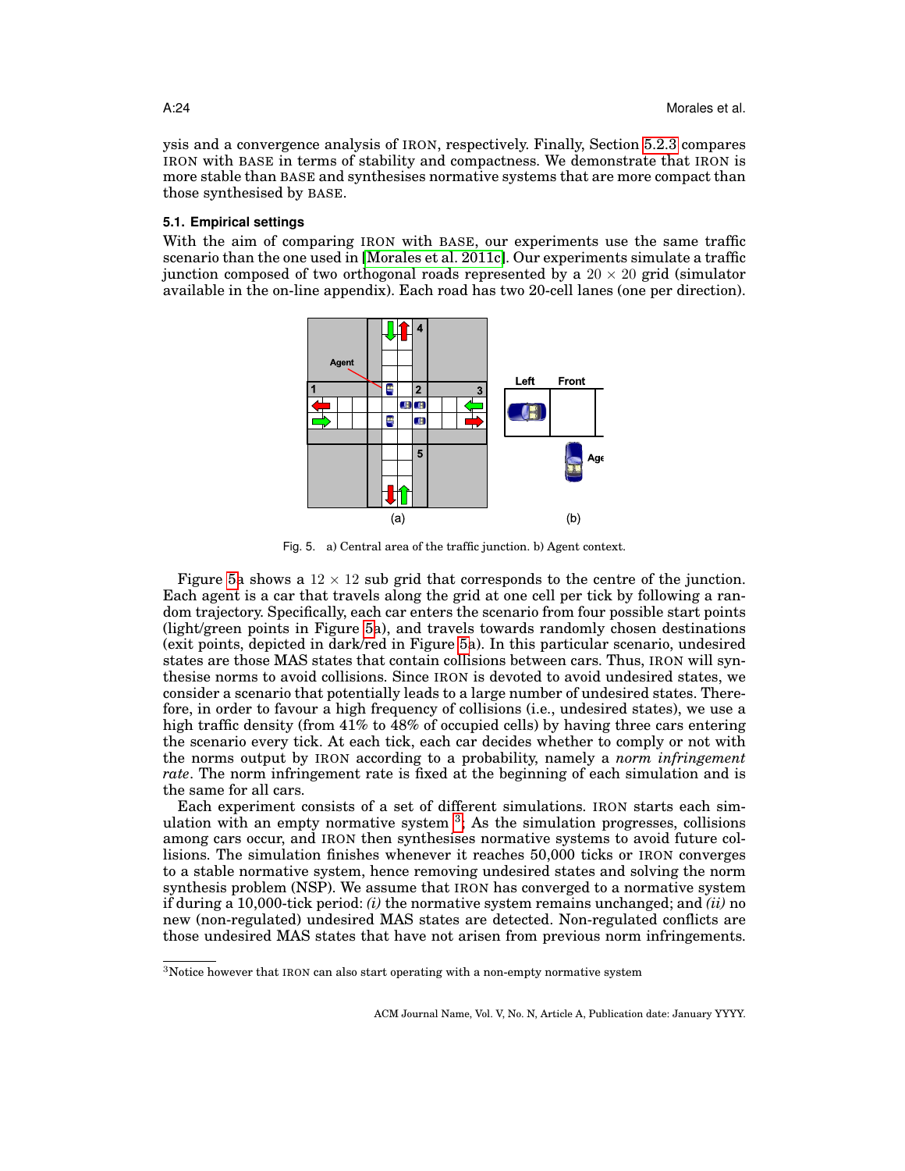ysis and a convergence analysis of IRON, respectively. Finally, Section [5.2.3](#page-27-0) compares IRON with BASE in terms of stability and compactness. We demonstrate that IRON is more stable than BASE and synthesises normative systems that are more compact than those synthesised by BASE.

### <span id="page-23-0"></span>**5.1. Empirical settings**

With the aim of comparing IRON with BASE, our experiments use the same traffic scenario than the one used in [\[Morales et al. 2011c\]](#page-32-10). Our experiments simulate a traffic junction composed of two orthogonal roads represented by a  $20 \times 20$  grid (simulator) available in the on-line appendix). Each road has two 20-cell lanes (one per direction).



<span id="page-23-1"></span>Fig. 5. a) Central area of the traffic junction. b) Agent context.

Figure [5a](#page-23-1) shows a  $12 \times 12$  sub grid that corresponds to the centre of the junction. Each agent is a car that travels along the grid at one cell per tick by following a random trajectory. Specifically, each car enters the scenario from four possible start points (light/green points in Figure [5a](#page-23-1)), and travels towards randomly chosen destinations (exit points, depicted in dark/red in Figure [5a](#page-23-1)). In this particular scenario, undesired states are those MAS states that contain collisions between cars. Thus, IRON will synthesise norms to avoid collisions. Since IRON is devoted to avoid undesired states, we consider a scenario that potentially leads to a large number of undesired states. Therefore, in order to favour a high frequency of collisions (i.e., undesired states), we use a high traffic density (from 41% to 48% of occupied cells) by having three cars entering the scenario every tick. At each tick, each car decides whether to comply or not with the norms output by IRON according to a probability, namely a *norm infringement rate*. The norm infringement rate is fixed at the beginning of each simulation and is the same for all cars.

Each experiment consists of a set of different simulations. IRON starts each simulation with an empty normative system  $3$ ; As the simulation progresses, collisions among cars occur, and IRON then synthesises normative systems to avoid future collisions. The simulation finishes whenever it reaches 50,000 ticks or IRON converges to a stable normative system, hence removing undesired states and solving the norm synthesis problem (NSP). We assume that IRON has converged to a normative system if during a 10,000-tick period: *(i)* the normative system remains unchanged; and *(ii)* no new (non-regulated) undesired MAS states are detected. Non-regulated conflicts are those undesired MAS states that have not arisen from previous norm infringements.

<span id="page-23-2"></span> $3$ Notice however that IRON can also start operating with a non-empty normative system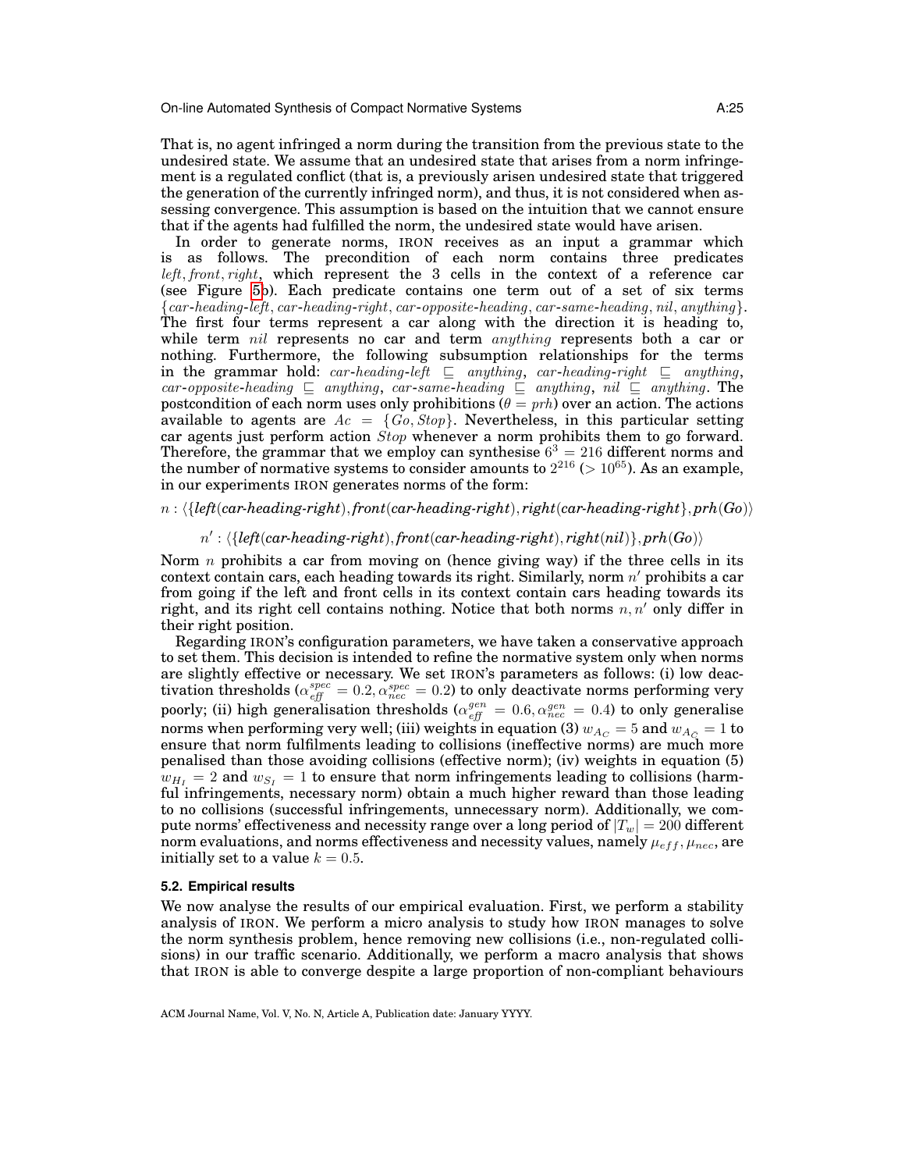That is, no agent infringed a norm during the transition from the previous state to the undesired state. We assume that an undesired state that arises from a norm infringement is a regulated conflict (that is, a previously arisen undesired state that triggered the generation of the currently infringed norm), and thus, it is not considered when assessing convergence. This assumption is based on the intuition that we cannot ensure that if the agents had fulfilled the norm, the undesired state would have arisen.

In order to generate norms, IRON receives as an input a grammar which is as follows. The precondition of each norm contains three predicates left, front, right, which represent the 3 cells in the context of a reference car (see Figure [5b](#page-23-1)). Each predicate contains one term out of a set of six terms {car -heading-left, car -heading-right, car -opposite-heading, car -same-heading, nil, anything}. The first four terms represent a car along with the direction it is heading to, while term nil represents no car and term *anything* represents both a car or nothing. Furthermore, the following subsumption relationships for the terms in the grammar hold: car-heading-left  $\sqsubseteq$  anything, car-heading-right  $\sqsubseteq$  anything, car-opposite-heading  $\sqsubseteq$  anything, car-same-heading  $\sqsubseteq$  anything, nil  $\sqsubseteq$  anything. The postcondition of each norm uses only prohibitions ( $\theta = prh$ ) over an action. The actions available to agents are  $Ac = \{Go, Stop\}$ . Nevertheless, in this particular setting car agents just perform action  $Stop$  whenever a norm prohibits them to go forward. Therefore, the grammar that we employ can synthesise  $6^3 = 216$  different norms and the number of normative systems to consider amounts to  $2^{216}$  ( $> 10^{65}$ ). As an example, in our experiments IRON generates norms of the form:

# n : h{*left*(*car-heading-right*), *front*(*car-heading-right*), *right*(*car-heading-right*}, *prh*(*Go*)i

## $n'$ :  $\langle \{left(car\text{-}heading\text{-}right), \text{front}(car\text{-}heading\text{-}right), \text{right}(ni)\}, \text{prh}(Go) \rangle$

Norm  $n$  prohibits a car from moving on (hence giving way) if the three cells in its context contain cars, each heading towards its right. Similarly, norm  $n'$  prohibits a car from going if the left and front cells in its context contain cars heading towards its right, and its right cell contains nothing. Notice that both norms  $n, n'$  only differ in their right position.

Regarding IRON's configuration parameters, we have taken a conservative approach to set them. This decision is intended to refine the normative system only when norms are slightly effective or necessary. We set IRON's parameters as follows: (i) low deactivation thresholds ( $\alpha_{eff}^{spec} = 0.2$ ,  $\alpha_{rec}^{spec} = 0.2$ ) to only deactivate norms performing very poorly; (ii) high generalisation thresholds ( $\alpha_{eff}^{gen} = 0.6, \alpha_{nec}^{gen} = 0.4$ ) to only generalise norms when performing very well; (iii) weights in equation (3)  $w_{A_C} = 5$  and  $w_{A_C} = 1$  to ensure that norm fulfilments leading to collisions (ineffective norms) are much more penalised than those avoiding collisions (effective norm); (iv) weights in equation (5)  $w_{H_I} = 2$  and  $w_{S_I} = 1$  to ensure that norm infringements leading to collisions (harmful infringements, necessary norm) obtain a much higher reward than those leading to no collisions (successful infringements, unnecessary norm). Additionally, we compute norms' effectiveness and necessity range over a long period of  $|T_w| = 200$  different norm evaluations, and norms effectiveness and necessity values, namely  $\mu_{eff}$ ,  $\mu_{nc}$ , are initially set to a value  $k = 0.5$ .

### <span id="page-24-0"></span>**5.2. Empirical results**

We now analyse the results of our empirical evaluation. First, we perform a stability analysis of IRON. We perform a micro analysis to study how IRON manages to solve the norm synthesis problem, hence removing new collisions (i.e., non-regulated collisions) in our traffic scenario. Additionally, we perform a macro analysis that shows that IRON is able to converge despite a large proportion of non-compliant behaviours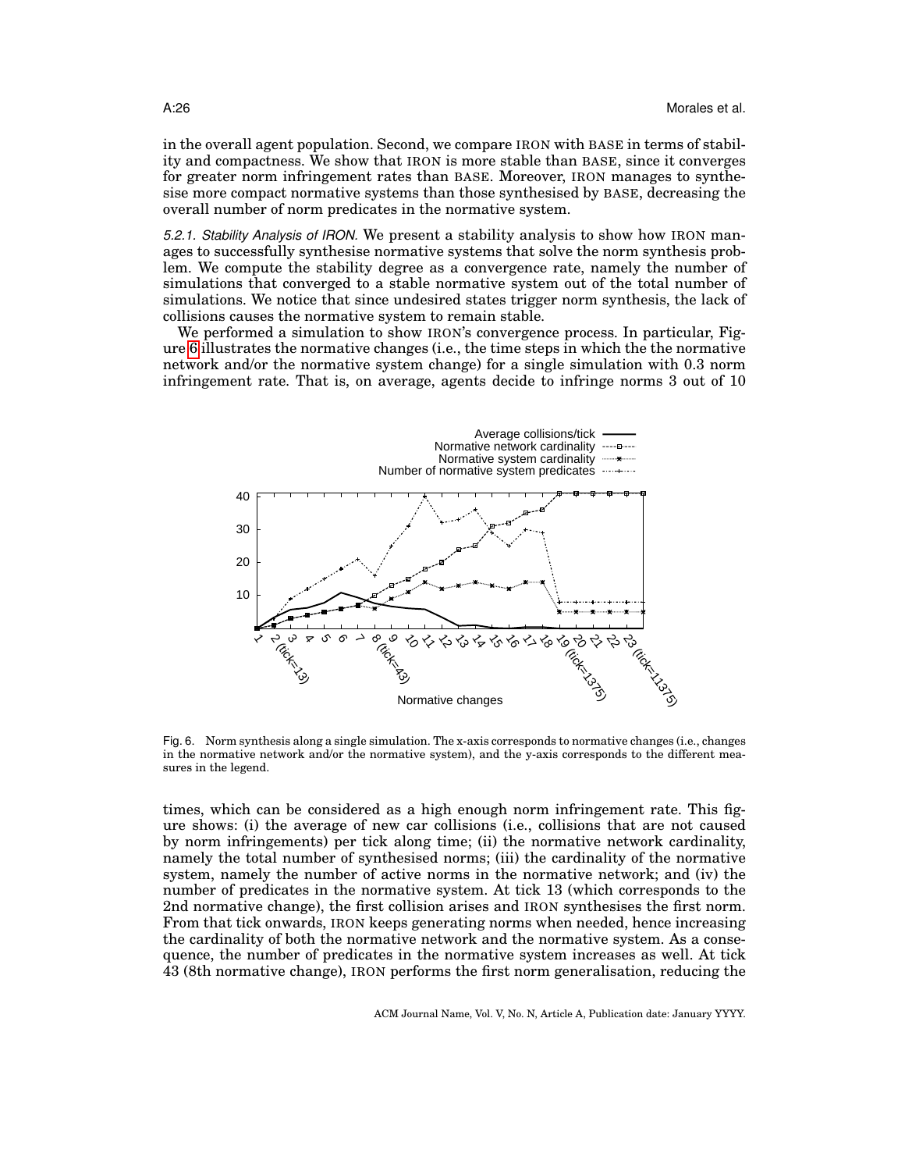in the overall agent population. Second, we compare IRON with BASE in terms of stability and compactness. We show that IRON is more stable than BASE, since it converges for greater norm infringement rates than BASE. Moreover, IRON manages to synthesise more compact normative systems than those synthesised by BASE, decreasing the overall number of norm predicates in the normative system.

<span id="page-25-0"></span>*5.2.1. Stability Analysis of IRON.* We present a stability analysis to show how IRON manages to successfully synthesise normative systems that solve the norm synthesis problem. We compute the stability degree as a convergence rate, namely the number of simulations that converged to a stable normative system out of the total number of simulations. We notice that since undesired states trigger norm synthesis, the lack of collisions causes the normative system to remain stable.

We performed a simulation to show IRON's convergence process. In particular, Figure [6](#page-25-1) illustrates the normative changes (i.e., the time steps in which the the normative network and/or the normative system change) for a single simulation with 0.3 norm infringement rate. That is, on average, agents decide to infringe norms 3 out of 10



<span id="page-25-1"></span>Fig. 6. Norm synthesis along a single simulation. The x-axis corresponds to normative changes (i.e., changes in the normative network and/or the normative system), and the y-axis corresponds to the different measures in the legend.

times, which can be considered as a high enough norm infringement rate. This figure shows: (i) the average of new car collisions (i.e., collisions that are not caused by norm infringements) per tick along time; (ii) the normative network cardinality, namely the total number of synthesised norms; (iii) the cardinality of the normative system, namely the number of active norms in the normative network; and (iv) the number of predicates in the normative system. At tick 13 (which corresponds to the 2nd normative change), the first collision arises and IRON synthesises the first norm. From that tick onwards, IRON keeps generating norms when needed, hence increasing the cardinality of both the normative network and the normative system. As a consequence, the number of predicates in the normative system increases as well. At tick 43 (8th normative change), IRON performs the first norm generalisation, reducing the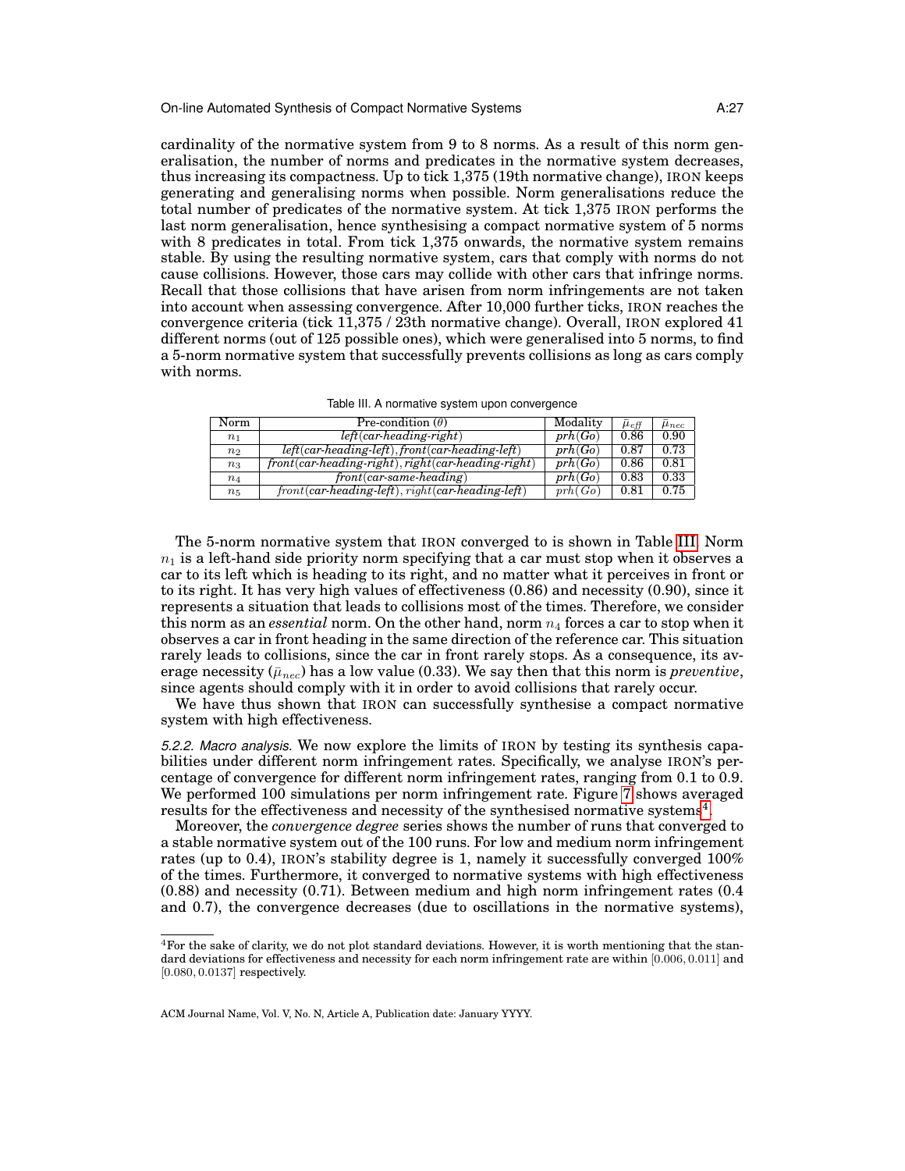cardinality of the normative system from 9 to 8 norms. As a result of this norm generalisation, the number of norms and predicates in the normative system decreases, thus increasing its compactness. Up to tick 1,375 (19th normative change), IRON keeps generating and generalising norms when possible. Norm generalisations reduce the total number of predicates of the normative system. At tick 1,375 IRON performs the last norm generalisation, hence synthesising a compact normative system of 5 norms with 8 predicates in total. From tick 1,375 onwards, the normative system remains stable. By using the resulting normative system, cars that comply with norms do not cause collisions. However, those cars may collide with other cars that infringe norms. Recall that those collisions that have arisen from norm infringements are not taken into account when assessing convergence. After 10,000 further ticks, IRON reaches the convergence criteria (tick 11,375 / 23th normative change). Overall, IRON explored 41 different norms (out of 125 possible ones), which were generalised into 5 norms, to find a 5-norm normative system that successfully prevents collisions as long as cars comply with norms.

<span id="page-26-1"></span>

| Table III. A normative system upon convergence |  |  |  |  |
|------------------------------------------------|--|--|--|--|
|------------------------------------------------|--|--|--|--|

| Norm           | Pre-condition $(\theta)$                                         | Modality | $\bar{\mu}_{eff}$ | $\mu_{nec}$ |
|----------------|------------------------------------------------------------------|----------|-------------------|-------------|
| n <sub>1</sub> | $left(car$ -heading-right)                                       | prh(Go)  | 0.86              | 0.90        |
| n <sub>2</sub> | $left(car\text{-}heading\text{-}left)$ , front(car-heading-left) | prh(Go)  | 0.87              | 0.73        |
| $n_3$          | $front(car\,heading\,right), right(car\,heading\,right)$         | prh(Go)  | 0.86              | 0.81        |
| $n_4$          | $front(car-sample \cdot heading)$                                | prh(Go)  | 0.83              | 0.33        |
| $n_5$          | $front(car-heading-left)$ , right(car-heading-left)              | prh(Go)  | 0.81              | 0.75        |

The 5-norm normative system that IRON converged to is shown in Table [III.](#page-26-1) Norm  $n_1$  is a left-hand side priority norm specifying that a car must stop when it observes a car to its left which is heading to its right, and no matter what it perceives in front or to its right. It has very high values of effectiveness (0.86) and necessity (0.90), since it represents a situation that leads to collisions most of the times. Therefore, we consider this norm as an *essential* norm. On the other hand, norm  $n_4$  forces a car to stop when it observes a car in front heading in the same direction of the reference car. This situation rarely leads to collisions, since the car in front rarely stops. As a consequence, its average necessity ( $\bar{\mu}_{\text{nec}}$ ) has a low value (0.33). We say then that this norm is *preventive*, since agents should comply with it in order to avoid collisions that rarely occur.

We have thus shown that IRON can successfully synthesise a compact normative system with high effectiveness.

<span id="page-26-0"></span>*5.2.2. Macro analysis.* We now explore the limits of IRON by testing its synthesis capabilities under different norm infringement rates. Specifically, we analyse IRON's percentage of convergence for different norm infringement rates, ranging from 0.1 to 0.9. We performed 100 simulations per norm infringement rate. Figure [7](#page-27-1) shows averaged results for the effectiveness and necessity of the synthesised normative systems<sup>[4](#page-26-2)</sup>.

Moreover, the *convergence degree* series shows the number of runs that converged to a stable normative system out of the 100 runs. For low and medium norm infringement rates (up to 0.4), IRON's stability degree is 1, namely it successfully converged 100% of the times. Furthermore, it converged to normative systems with high effectiveness (0.88) and necessity (0.71). Between medium and high norm infringement rates (0.4 and 0.7), the convergence decreases (due to oscillations in the normative systems),

<span id="page-26-2"></span> $4$ For the sake of clarity, we do not plot standard deviations. However, it is worth mentioning that the standard deviations for effectiveness and necessity for each norm infringement rate are within [0.006, 0.011] and [0.080, 0.0137] respectively.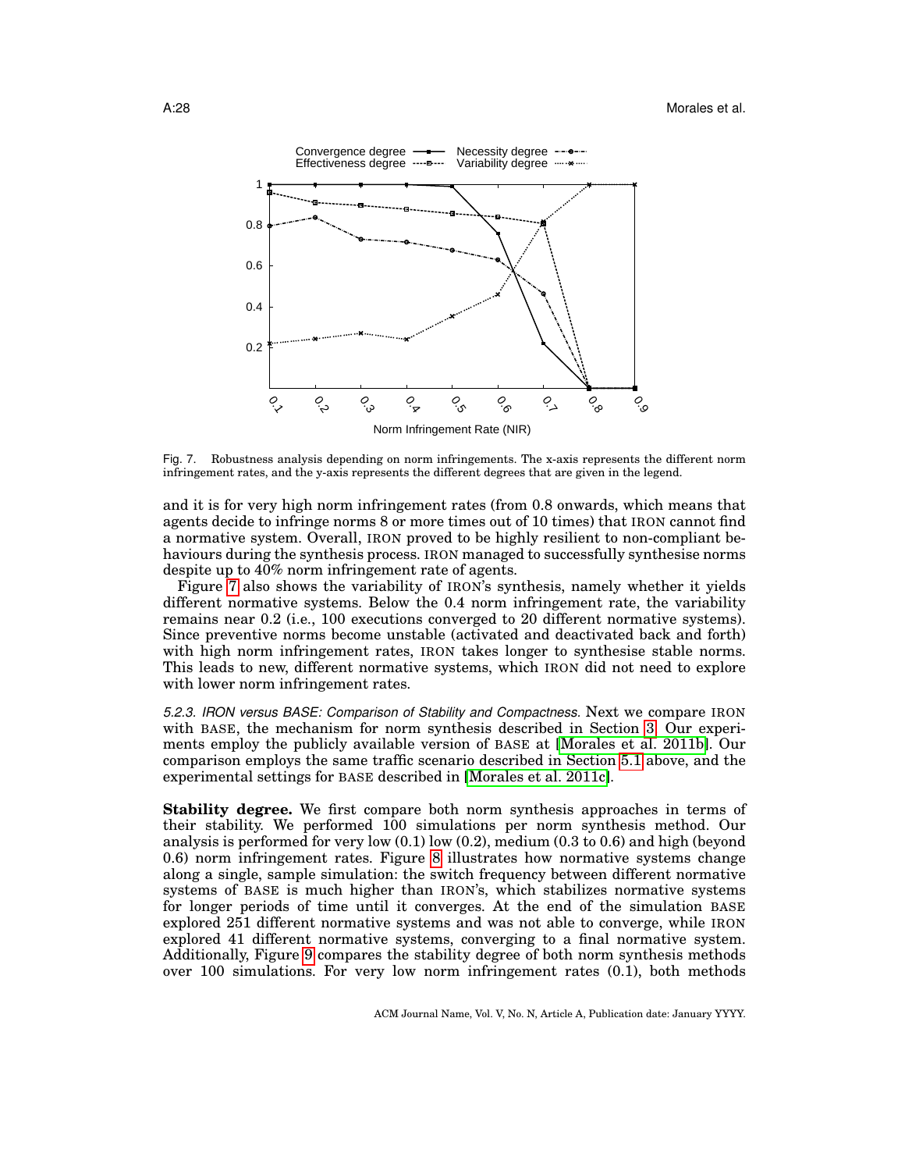### A:28 Morales et al.



<span id="page-27-1"></span>Fig. 7. Robustness analysis depending on norm infringements. The x-axis represents the different norm infringement rates, and the y-axis represents the different degrees that are given in the legend.

and it is for very high norm infringement rates (from 0.8 onwards, which means that agents decide to infringe norms 8 or more times out of 10 times) that IRON cannot find a normative system. Overall, IRON proved to be highly resilient to non-compliant behaviours during the synthesis process. IRON managed to successfully synthesise norms despite up to 40% norm infringement rate of agents.

Figure [7](#page-27-1) also shows the variability of IRON's synthesis, namely whether it yields different normative systems. Below the 0.4 norm infringement rate, the variability remains near 0.2 (i.e., 100 executions converged to 20 different normative systems). Since preventive norms become unstable (activated and deactivated back and forth) with high norm infringement rates, IRON takes longer to synthesise stable norms. This leads to new, different normative systems, which IRON did not need to explore with lower norm infringement rates.

<span id="page-27-0"></span>*5.2.3. IRON versus BASE: Comparison of Stability and Compactness.* Next we compare IRON with BASE, the mechanism for norm synthesis described in Section [3.](#page-7-0) Our experiments employ the publicly available version of BASE at [\[Morales et al. 2011b\]](#page-32-19). Our comparison employs the same traffic scenario described in Section [5.1](#page-23-0) above, and the experimental settings for BASE described in [\[Morales et al. 2011c\]](#page-32-10).

**Stability degree.** We first compare both norm synthesis approaches in terms of their stability. We performed 100 simulations per norm synthesis method. Our analysis is performed for very low  $(0.1)$  low  $(0.2)$ , medium  $(0.3 \text{ to } 0.6)$  and high (beyond 0.6) norm infringement rates. Figure [8](#page-28-0) illustrates how normative systems change along a single, sample simulation: the switch frequency between different normative systems of BASE is much higher than IRON's, which stabilizes normative systems for longer periods of time until it converges. At the end of the simulation BASE explored 251 different normative systems and was not able to converge, while IRON explored 41 different normative systems, converging to a final normative system. Additionally, Figure [9](#page-29-1) compares the stability degree of both norm synthesis methods over 100 simulations. For very low norm infringement rates (0.1), both methods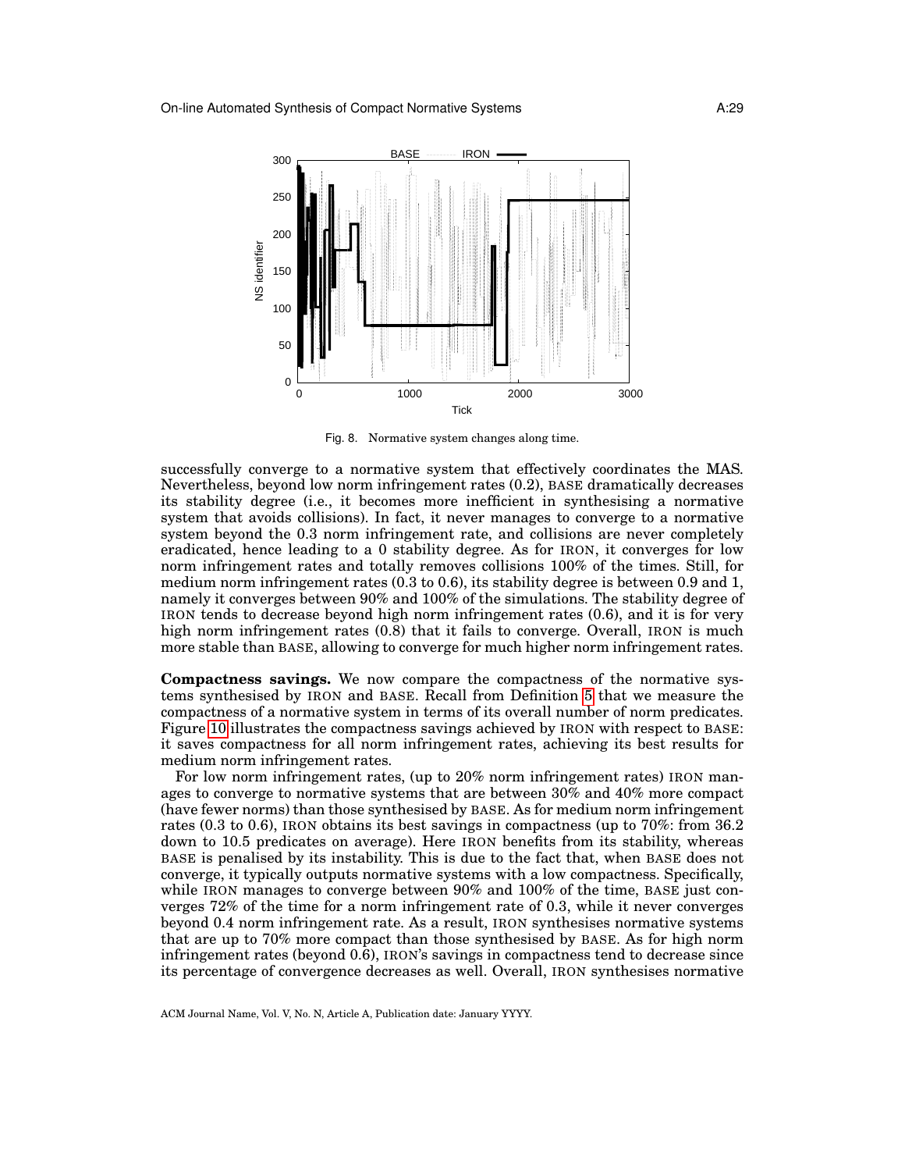

<span id="page-28-0"></span>Fig. 8. Normative system changes along time.

successfully converge to a normative system that effectively coordinates the MAS. Nevertheless, beyond low norm infringement rates (0.2), BASE dramatically decreases its stability degree (i.e., it becomes more inefficient in synthesising a normative system that avoids collisions). In fact, it never manages to converge to a normative system beyond the 0.3 norm infringement rate, and collisions are never completely eradicated, hence leading to a 0 stability degree. As for IRON, it converges for low norm infringement rates and totally removes collisions 100% of the times. Still, for medium norm infringement rates (0.3 to 0.6), its stability degree is between 0.9 and 1, namely it converges between 90% and 100% of the simulations. The stability degree of IRON tends to decrease beyond high norm infringement rates (0.6), and it is for very high norm infringement rates  $(0.8)$  that it fails to converge. Overall, IRON is much more stable than BASE, allowing to converge for much higher norm infringement rates.

**Compactness savings.** We now compare the compactness of the normative systems synthesised by IRON and BASE. Recall from Definition [5](#page-6-1) that we measure the compactness of a normative system in terms of its overall number of norm predicates. Figure [10](#page-29-2) illustrates the compactness savings achieved by IRON with respect to BASE: it saves compactness for all norm infringement rates, achieving its best results for medium norm infringement rates.

For low norm infringement rates, (up to 20% norm infringement rates) IRON manages to converge to normative systems that are between 30% and 40% more compact (have fewer norms) than those synthesised by BASE. As for medium norm infringement rates (0.3 to 0.6), IRON obtains its best savings in compactness (up to 70%: from 36.2 down to 10.5 predicates on average). Here IRON benefits from its stability, whereas BASE is penalised by its instability. This is due to the fact that, when BASE does not converge, it typically outputs normative systems with a low compactness. Specifically, while IRON manages to converge between  $90\%$  and  $100\%$  of the time, BASE just converges 72% of the time for a norm infringement rate of 0.3, while it never converges beyond 0.4 norm infringement rate. As a result, IRON synthesises normative systems that are up to 70% more compact than those synthesised by BASE. As for high norm infringement rates (beyond 0.6), IRON's savings in compactness tend to decrease since its percentage of convergence decreases as well. Overall, IRON synthesises normative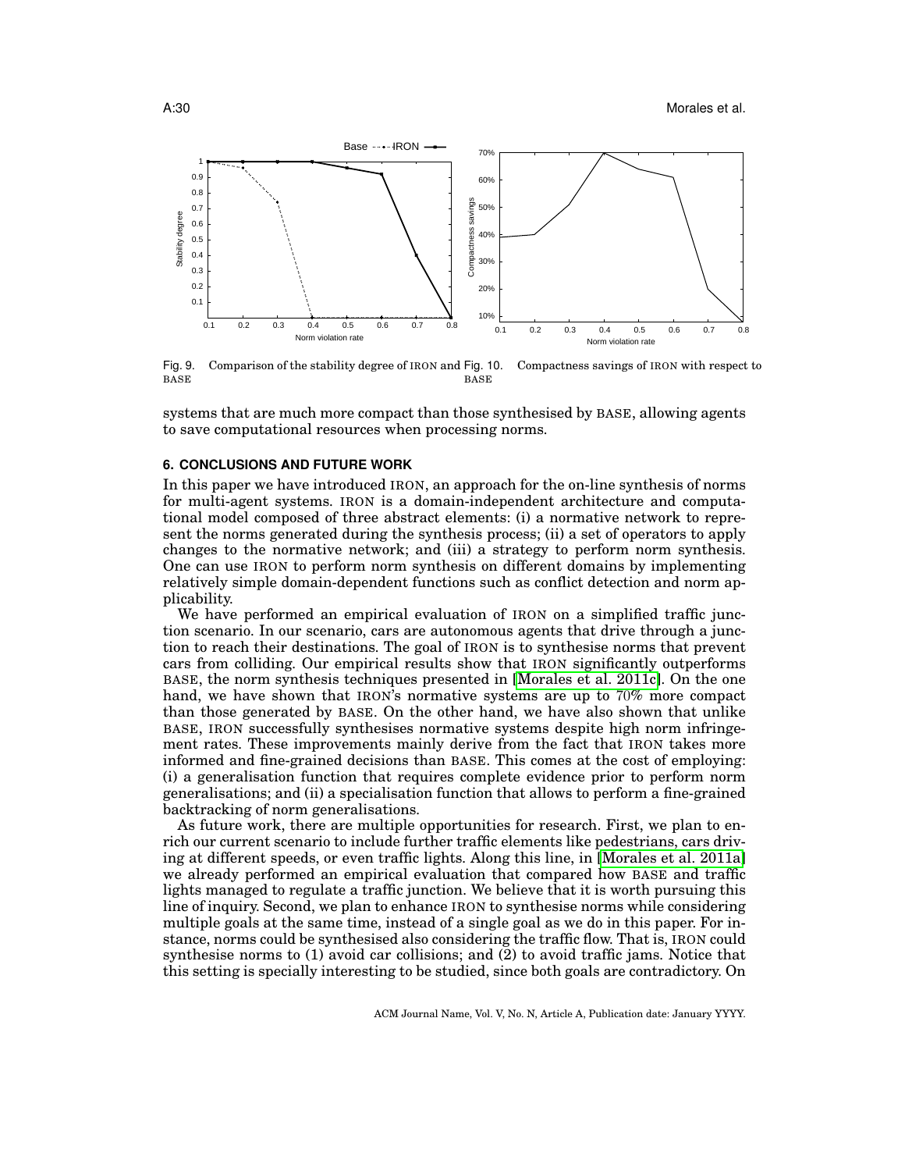

<span id="page-29-2"></span><span id="page-29-1"></span>Fig. 9. Comparison of the stability degree of IRON and Fig. 10. BASE Compactness savings of IRON with respect to BASE

systems that are much more compact than those synthesised by BASE, allowing agents to save computational resources when processing norms.

## <span id="page-29-0"></span>**6. CONCLUSIONS AND FUTURE WORK**

In this paper we have introduced IRON, an approach for the on-line synthesis of norms for multi-agent systems. IRON is a domain-independent architecture and computational model composed of three abstract elements: (i) a normative network to represent the norms generated during the synthesis process; (ii) a set of operators to apply changes to the normative network; and (iii) a strategy to perform norm synthesis. One can use IRON to perform norm synthesis on different domains by implementing relatively simple domain-dependent functions such as conflict detection and norm applicability.

We have performed an empirical evaluation of IRON on a simplified traffic junction scenario. In our scenario, cars are autonomous agents that drive through a junction to reach their destinations. The goal of IRON is to synthesise norms that prevent cars from colliding. Our empirical results show that IRON significantly outperforms BASE, the norm synthesis techniques presented in [\[Morales et al. 2011c\]](#page-32-10). On the one hand, we have shown that IRON's normative systems are up to 70% more compact than those generated by BASE. On the other hand, we have also shown that unlike BASE, IRON successfully synthesises normative systems despite high norm infringement rates. These improvements mainly derive from the fact that IRON takes more informed and fine-grained decisions than BASE. This comes at the cost of employing: (i) a generalisation function that requires complete evidence prior to perform norm generalisations; and (ii) a specialisation function that allows to perform a fine-grained backtracking of norm generalisations.

As future work, there are multiple opportunities for research. First, we plan to enrich our current scenario to include further traffic elements like pedestrians, cars driving at different speeds, or even traffic lights. Along this line, in [\[Morales et al. 2011a\]](#page-32-20) we already performed an empirical evaluation that compared how BASE and traffic lights managed to regulate a traffic junction. We believe that it is worth pursuing this line of inquiry. Second, we plan to enhance IRON to synthesise norms while considering multiple goals at the same time, instead of a single goal as we do in this paper. For instance, norms could be synthesised also considering the traffic flow. That is, IRON could synthesise norms to (1) avoid car collisions; and (2) to avoid traffic jams. Notice that this setting is specially interesting to be studied, since both goals are contradictory. On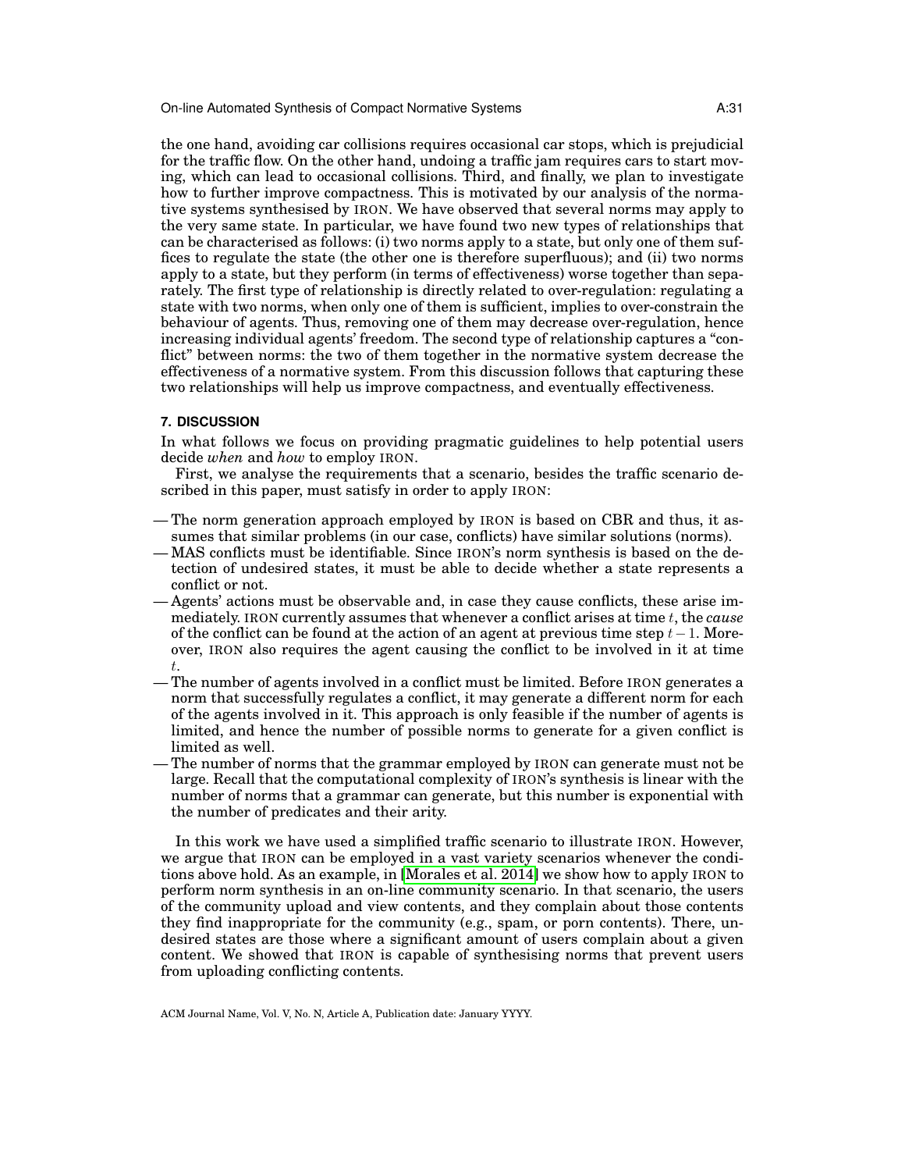the one hand, avoiding car collisions requires occasional car stops, which is prejudicial for the traffic flow. On the other hand, undoing a traffic jam requires cars to start moving, which can lead to occasional collisions. Third, and finally, we plan to investigate how to further improve compactness. This is motivated by our analysis of the normative systems synthesised by IRON. We have observed that several norms may apply to the very same state. In particular, we have found two new types of relationships that can be characterised as follows: (i) two norms apply to a state, but only one of them suffices to regulate the state (the other one is therefore superfluous); and (ii) two norms apply to a state, but they perform (in terms of effectiveness) worse together than separately. The first type of relationship is directly related to over-regulation: regulating a state with two norms, when only one of them is sufficient, implies to over-constrain the behaviour of agents. Thus, removing one of them may decrease over-regulation, hence increasing individual agents' freedom. The second type of relationship captures a "conflict" between norms: the two of them together in the normative system decrease the effectiveness of a normative system. From this discussion follows that capturing these two relationships will help us improve compactness, and eventually effectiveness.

## <span id="page-30-0"></span>**7. DISCUSSION**

In what follows we focus on providing pragmatic guidelines to help potential users decide *when* and *how* to employ IRON.

First, we analyse the requirements that a scenario, besides the traffic scenario described in this paper, must satisfy in order to apply IRON:

- The norm generation approach employed by IRON is based on CBR and thus, it assumes that similar problems (in our case, conflicts) have similar solutions (norms).
- MAS conflicts must be identifiable. Since IRON's norm synthesis is based on the detection of undesired states, it must be able to decide whether a state represents a conflict or not.
- Agents' actions must be observable and, in case they cause conflicts, these arise immediately. IRON currently assumes that whenever a conflict arises at time t, the *cause* of the conflict can be found at the action of an agent at previous time step  $t-1$ . Moreover, IRON also requires the agent causing the conflict to be involved in it at time t.
- The number of agents involved in a conflict must be limited. Before IRON generates a norm that successfully regulates a conflict, it may generate a different norm for each of the agents involved in it. This approach is only feasible if the number of agents is limited, and hence the number of possible norms to generate for a given conflict is limited as well.
- The number of norms that the grammar employed by IRON can generate must not be large. Recall that the computational complexity of IRON's synthesis is linear with the number of norms that a grammar can generate, but this number is exponential with the number of predicates and their arity.

In this work we have used a simplified traffic scenario to illustrate IRON. However, we argue that IRON can be employed in a vast variety scenarios whenever the conditions above hold. As an example, in [\[Morales et al. 2014\]](#page-32-12) we show how to apply IRON to perform norm synthesis in an on-line community scenario. In that scenario, the users of the community upload and view contents, and they complain about those contents they find inappropriate for the community (e.g., spam, or porn contents). There, undesired states are those where a significant amount of users complain about a given content. We showed that IRON is capable of synthesising norms that prevent users from uploading conflicting contents.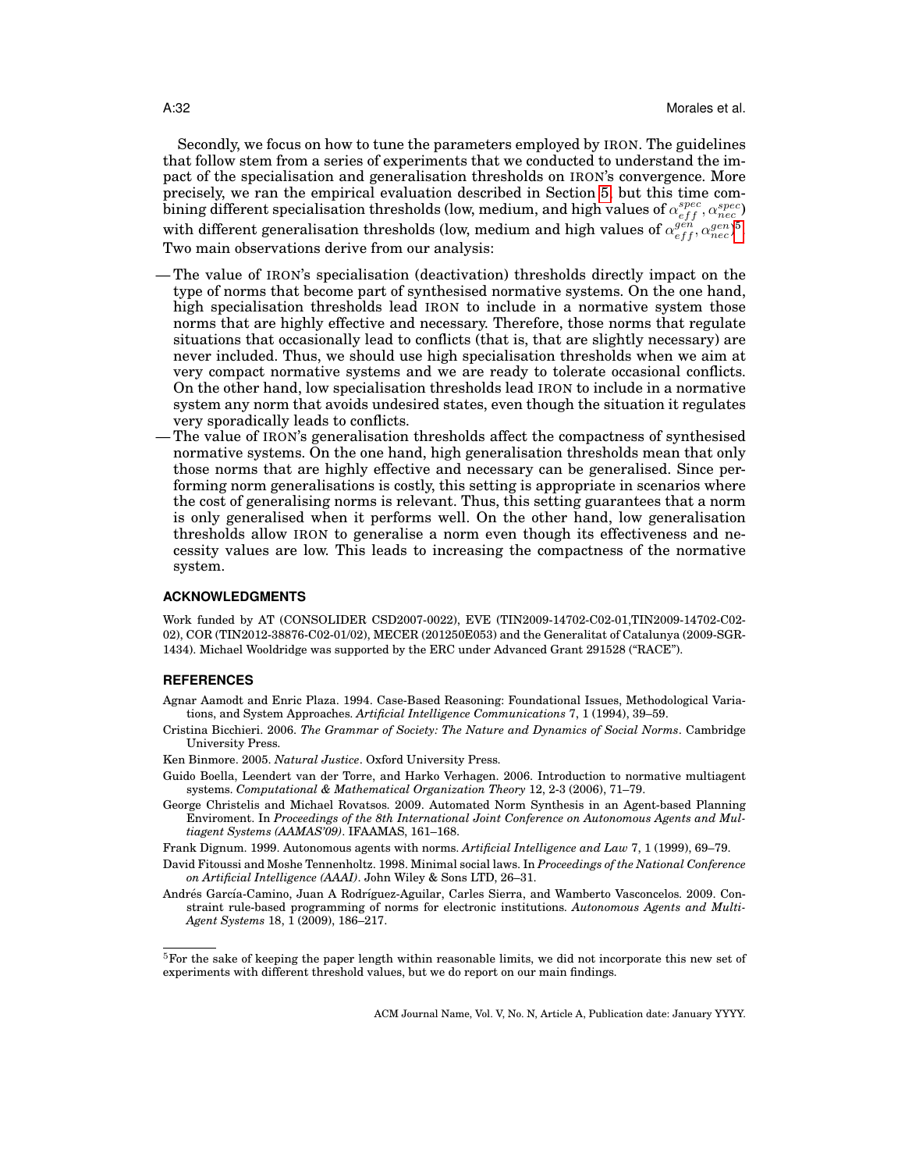Secondly, we focus on how to tune the parameters employed by IRON. The guidelines that follow stem from a series of experiments that we conducted to understand the impact of the specialisation and generalisation thresholds on IRON's convergence. More precisely, we ran the empirical evaluation described in Section [5,](#page-22-0) but this time com- $\delta$ ining different specialisation thresholds (low, medium, and high values of  $\alpha_{eff}^{spec},\alpha_{nec}^{spec}$ with different generalisation thresholds (low, medium and high values of  $\alpha_{eff}^{gen}, \alpha_{nec}^{gen})^5$  $\alpha_{eff}^{gen}, \alpha_{nec}^{gen})^5$ . Two main observations derive from our analysis:

- The value of IRON's specialisation (deactivation) thresholds directly impact on the type of norms that become part of synthesised normative systems. On the one hand, high specialisation thresholds lead IRON to include in a normative system those norms that are highly effective and necessary. Therefore, those norms that regulate situations that occasionally lead to conflicts (that is, that are slightly necessary) are never included. Thus, we should use high specialisation thresholds when we aim at very compact normative systems and we are ready to tolerate occasional conflicts. On the other hand, low specialisation thresholds lead IRON to include in a normative system any norm that avoids undesired states, even though the situation it regulates very sporadically leads to conflicts.
- The value of IRON's generalisation thresholds affect the compactness of synthesised normative systems. On the one hand, high generalisation thresholds mean that only those norms that are highly effective and necessary can be generalised. Since performing norm generalisations is costly, this setting is appropriate in scenarios where the cost of generalising norms is relevant. Thus, this setting guarantees that a norm is only generalised when it performs well. On the other hand, low generalisation thresholds allow IRON to generalise a norm even though its effectiveness and necessity values are low. This leads to increasing the compactness of the normative system.

#### **ACKNOWLEDGMENTS**

Work funded by AT (CONSOLIDER CSD2007-0022), EVE (TIN2009-14702-C02-01,TIN2009-14702-C02- 02), COR (TIN2012-38876-C02-01/02), MECER (201250E053) and the Generalitat of Catalunya (2009-SGR-1434). Michael Wooldridge was supported by the ERC under Advanced Grant 291528 ("RACE").

### **REFERENCES**

- <span id="page-31-6"></span>Agnar Aamodt and Enric Plaza. 1994. Case-Based Reasoning: Foundational Issues, Methodological Variations, and System Approaches. *Artificial Intelligence Communications* 7, 1 (1994), 39–59.
- <span id="page-31-0"></span>Cristina Bicchieri. 2006. *The Grammar of Society: The Nature and Dynamics of Social Norms*. Cambridge University Press.

<span id="page-31-1"></span>Ken Binmore. 2005. *Natural Justice*. Oxford University Press.

- <span id="page-31-3"></span>Guido Boella, Leendert van der Torre, and Harko Verhagen. 2006. Introduction to normative multiagent systems. *Computational & Mathematical Organization Theory* 12, 2-3 (2006), 71–79.
- <span id="page-31-5"></span>George Christelis and Michael Rovatsos. 2009. Automated Norm Synthesis in an Agent-based Planning Enviroment. In *Proceedings of the 8th International Joint Conference on Autonomous Agents and Multiagent Systems (AAMAS'09)*. IFAAMAS, 161–168.

<span id="page-31-2"></span>Frank Dignum. 1999. Autonomous agents with norms. *Artificial Intelligence and Law* 7, 1 (1999), 69–79.

- <span id="page-31-4"></span>David Fitoussi and Moshe Tennenholtz. 1998. Minimal social laws. In *Proceedings of the National Conference on Artificial Intelligence (AAAI)*. John Wiley & Sons LTD, 26–31.
- <span id="page-31-7"></span>Andrés García-Camino, Juan A Rodríguez-Aguilar, Carles Sierra, and Wamberto Vasconcelos. 2009. Constraint rule-based programming of norms for electronic institutions. *Autonomous Agents and Multi-Agent Systems* 18, 1 (2009), 186–217.

<span id="page-31-8"></span> $5$ For the sake of keeping the paper length within reasonable limits, we did not incorporate this new set of experiments with different threshold values, but we do report on our main findings.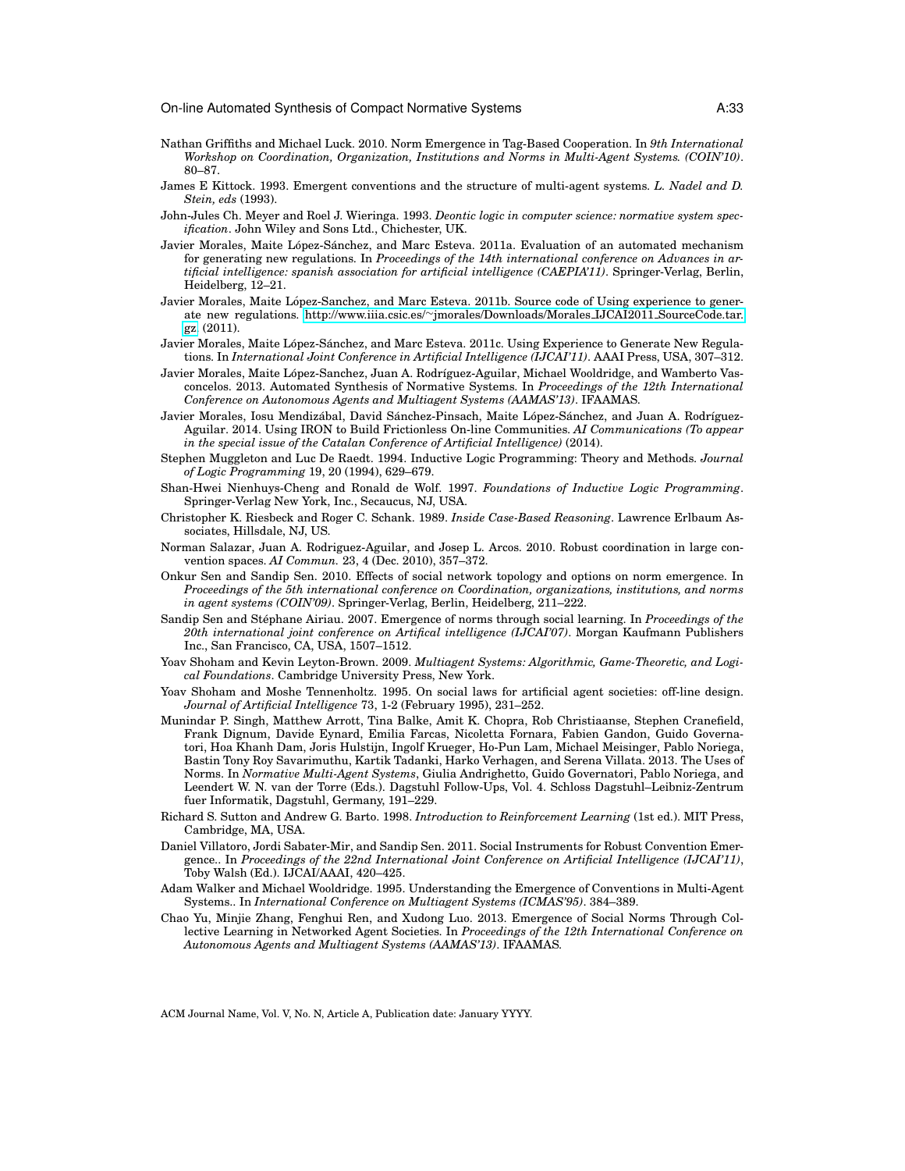- <span id="page-32-4"></span>Nathan Griffiths and Michael Luck. 2010. Norm Emergence in Tag-Based Cooperation. In *9th International Workshop on Coordination, Organization, Institutions and Norms in Multi-Agent Systems. (COIN'10)*. 80–87.
- <span id="page-32-8"></span>James E Kittock. 1993. Emergent conventions and the structure of multi-agent systems. *L. Nadel and D. Stein, eds* (1993).
- <span id="page-32-13"></span>John-Jules Ch. Meyer and Roel J. Wieringa. 1993. *Deontic logic in computer science: normative system specification*. John Wiley and Sons Ltd., Chichester, UK.
- <span id="page-32-20"></span>Javier Morales, Maite López-Sánchez, and Marc Esteva. 2011a. Evaluation of an automated mechanism for generating new regulations. In *Proceedings of the 14th international conference on Advances in artificial intelligence: spanish association for artificial intelligence (CAEPIA'11)*. Springer-Verlag, Berlin, Heidelberg, 12–21.
- <span id="page-32-19"></span>Javier Morales, Maite López-Sanchez, and Marc Esteva. 2011b. Source code of Using experience to generate new regulations. http://www.iiia.csic.es/∼[jmorales/Downloads/Morales](http://www.iiia.csic.es/~jmorales/Downloads/Morales_IJCAI2011_SourceCode.tar.gz) IJCAI2011 SourceCode.tar. [gz.](http://www.iiia.csic.es/~jmorales/Downloads/Morales_IJCAI2011_SourceCode.tar.gz) (2011).
- <span id="page-32-10"></span>Javier Morales, Maite López-Sánchez, and Marc Esteva. 2011c. Using Experience to Generate New Regulations. In *International Joint Conference in Artificial Intelligence (IJCAI'11)*. AAAI Press, USA, 307–312.
- <span id="page-32-11"></span>Javier Morales, Maite López-Sanchez, Juan A. Rodríguez-Aguilar, Michael Wooldridge, and Wamberto Vasconcelos. 2013. Automated Synthesis of Normative Systems. In *Proceedings of the 12th International Conference on Autonomous Agents and Multiagent Systems (AAMAS'13)*. IFAAMAS.
- <span id="page-32-12"></span>Javier Morales, Iosu Mendizábal, David Sánchez-Pinsach, Maite López-Sánchez, and Juan A. Rodríguez-Aguilar. 2014. Using IRON to Build Frictionless On-line Communities. *AI Communications (To appear in the special issue of the Catalan Conference of Artificial Intelligence)* (2014).
- <span id="page-32-17"></span>Stephen Muggleton and Luc De Raedt. 1994. Inductive Logic Programming: Theory and Methods. *Journal of Logic Programming* 19, 20 (1994), 629–679.
- <span id="page-32-18"></span>Shan-Hwei Nienhuys-Cheng and Ronald de Wolf. 1997. *Foundations of Inductive Logic Programming*. Springer-Verlag New York, Inc., Secaucus, NJ, USA.
- <span id="page-32-15"></span>Christopher K. Riesbeck and Roger C. Schank. 1989. *Inside Case-Based Reasoning*. Lawrence Erlbaum Associates, Hillsdale, NJ, US.
- <span id="page-32-5"></span>Norman Salazar, Juan A. Rodriguez-Aguilar, and Josep L. Arcos. 2010. Robust coordination in large convention spaces. *AI Commun.* 23, 4 (Dec. 2010), 357–372.
- <span id="page-32-3"></span>Onkur Sen and Sandip Sen. 2010. Effects of social network topology and options on norm emergence. In *Proceedings of the 5th international conference on Coordination, organizations, institutions, and norms in agent systems (COIN'09)*. Springer-Verlag, Berlin, Heidelberg, 211–222.
- <span id="page-32-2"></span>Sandip Sen and Stéphane Airiau. 2007. Emergence of norms through social learning. In *Proceedings of the 20th international joint conference on Artifical intelligence (IJCAI'07)*. Morgan Kaufmann Publishers Inc., San Francisco, CA, USA, 1507–1512.
- <span id="page-32-0"></span>Yoav Shoham and Kevin Leyton-Brown. 2009. *Multiagent Systems: Algorithmic, Game-Theoretic, and Logical Foundations*. Cambridge University Press, New York.
- <span id="page-32-1"></span>Yoav Shoham and Moshe Tennenholtz. 1995. On social laws for artificial agent societies: off-line design. *Journal of Artificial Intelligence* 73, 1-2 (February 1995), 231–252.
- <span id="page-32-14"></span>Munindar P. Singh, Matthew Arrott, Tina Balke, Amit K. Chopra, Rob Christiaanse, Stephen Cranefield, Frank Dignum, Davide Eynard, Emilia Farcas, Nicoletta Fornara, Fabien Gandon, Guido Governatori, Hoa Khanh Dam, Joris Hulstijn, Ingolf Krueger, Ho-Pun Lam, Michael Meisinger, Pablo Noriega, Bastin Tony Roy Savarimuthu, Kartik Tadanki, Harko Verhagen, and Serena Villata. 2013. The Uses of Norms. In *Normative Multi-Agent Systems*, Giulia Andrighetto, Guido Governatori, Pablo Noriega, and Leendert W. N. van der Torre (Eds.). Dagstuhl Follow-Ups, Vol. 4. Schloss Dagstuhl–Leibniz-Zentrum fuer Informatik, Dagstuhl, Germany, 191–229.
- <span id="page-32-16"></span>Richard S. Sutton and Andrew G. Barto. 1998. *Introduction to Reinforcement Learning* (1st ed.). MIT Press, Cambridge, MA, USA.
- <span id="page-32-6"></span>Daniel Villatoro, Jordi Sabater-Mir, and Sandip Sen. 2011. Social Instruments for Robust Convention Emergence.. In *Proceedings of the 22nd International Joint Conference on Artificial Intelligence (IJCAI'11)*, Toby Walsh (Ed.). IJCAI/AAAI, 420–425.
- <span id="page-32-9"></span>Adam Walker and Michael Wooldridge. 1995. Understanding the Emergence of Conventions in Multi-Agent Systems.. In *International Conference on Multiagent Systems (ICMAS'95)*. 384–389.
- <span id="page-32-7"></span>Chao Yu, Minjie Zhang, Fenghui Ren, and Xudong Luo. 2013. Emergence of Social Norms Through Collective Learning in Networked Agent Societies. In *Proceedings of the 12th International Conference on Autonomous Agents and Multiagent Systems (AAMAS'13)*. IFAAMAS.